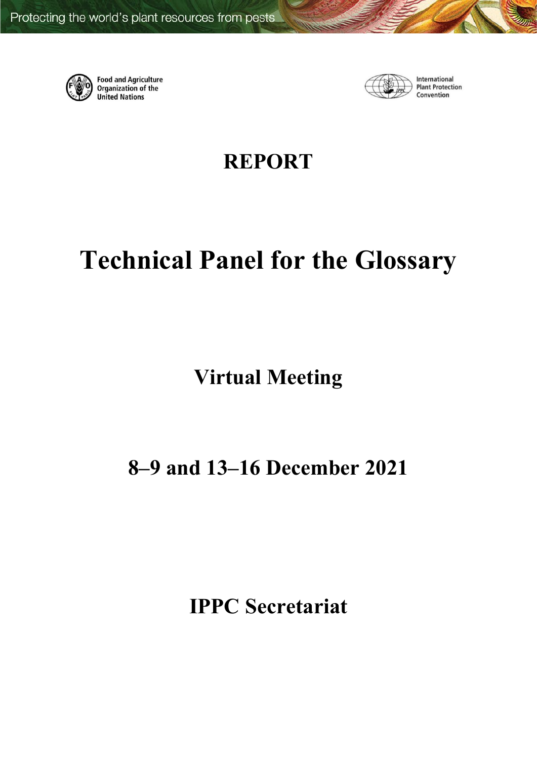

**Food and Agriculture** Organization of the **United Nations** 



International **Plant Protection** Convention

**REPORT**

# **Technical Panel for the Glossary**

**Virtual Meeting**

# **8–9 and 13–16 December 2021**

**IPPC Secretariat**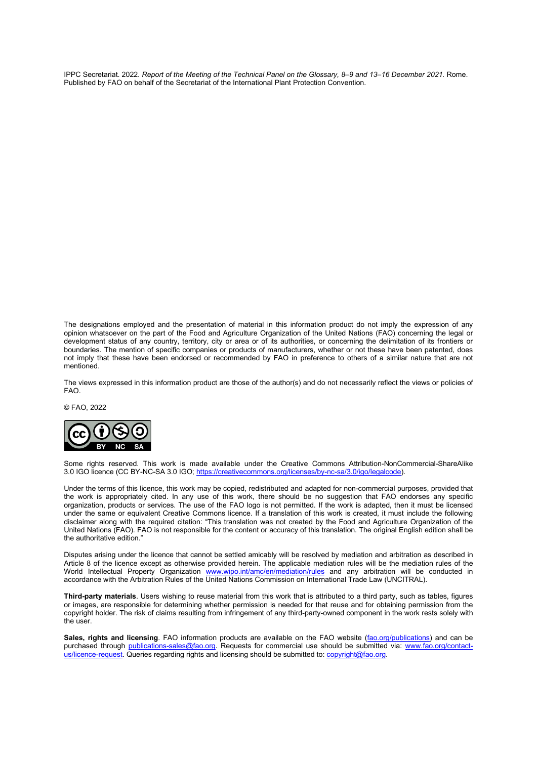IPPC Secretariat. 2022. *Report of the Meeting of the Technical Panel on the Glossary, 8–9 and 13–16 December 2021.* Rome. Published by FAO on behalf of the Secretariat of the International Plant Protection Convention.

The designations employed and the presentation of material in this information product do not imply the expression of any opinion whatsoever on the part of the Food and Agriculture Organization of the United Nations (FAO) concerning the legal or development status of any country, territory, city or area or of its authorities, or concerning the delimitation of its frontiers or boundaries. The mention of specific companies or products of manufacturers, whether or not these have been patented, does not imply that these have been endorsed or recommended by FAO in preference to others of a similar nature that are not mentioned.

The views expressed in this information product are those of the author(s) and do not necessarily reflect the views or policies of FAO.

© FAO, 2022



Some rights reserved. This work is made available under the Creative Commons Attribution-NonCommercial-ShareAlike 3.0 IGO licence (CC BY-NC-SA 3.0 IGO[; https://creativecommons.org/licenses/by-nc-sa/3.0/igo/legalcode\)](https://creativecommons.org/licenses/by-nc-sa/3.0/igo/legalcode).

Under the terms of this licence, this work may be copied, redistributed and adapted for non-commercial purposes, provided that the work is appropriately cited. In any use of this work, there should be no suggestion that FAO endorses any specific organization, products or services. The use of the FAO logo is not permitted. If the work is adapted, then it must be licensed under the same or equivalent Creative Commons licence. If a translation of this work is created, it must include the following disclaimer along with the required citation: "This translation was not created by the Food and Agriculture Organization of the United Nations (FAO). FAO is not responsible for the content or accuracy of this translation. The original English edition shall be the authoritative edition."

Disputes arising under the licence that cannot be settled amicably will be resolved by mediation and arbitration as described in Article 8 of the licence except as otherwise provided herein. The applicable mediation rules will be the mediation rules of the World Intellectual Property Organization [www.wipo.int/amc/en/mediation/rules](http://www.wipo.int/amc/en/mediation/rules) and any arbitration will be conducted in accordance with the Arbitration Rules of the United Nations Commission on International Trade Law (UNCITRAL).

**Third-party materials**. Users wishing to reuse material from this work that is attributed to a third party, such as tables, figures or images, are responsible for determining whether permission is needed for that reuse and for obtaining permission from the copyright holder. The risk of claims resulting from infringement of any third-party-owned component in the work rests solely with the user.

**Sales, rights and licensing.** FAO information products are available on the FAO website [\(fao.org/publications\)](http://www.fao.org/publications) and can be purchased through [publications-sales@fao.org.](mailto:publications-sales@fao.org) Requests for commercial use should be submitted via: [www.fao.org/contact](http://www.fao.org/contact-us/licence-request)[us/licence-request.](http://www.fao.org/contact-us/licence-request) Queries regarding rights and licensing should be submitted to[: copyright@fao.org.](mailto:copyright@fao.org)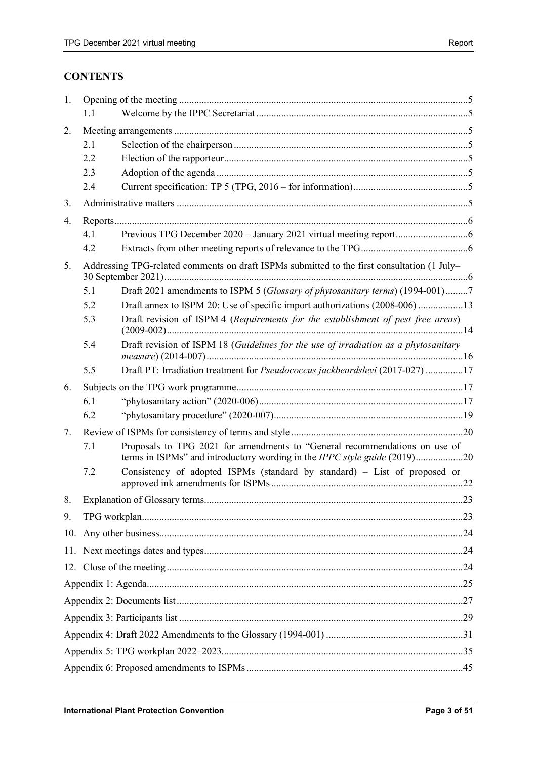# **CONTENTS**

| 1. |     |                                                                                                                                                                |  |  |  |  |  |  |
|----|-----|----------------------------------------------------------------------------------------------------------------------------------------------------------------|--|--|--|--|--|--|
|    | 1.1 |                                                                                                                                                                |  |  |  |  |  |  |
| 2. |     |                                                                                                                                                                |  |  |  |  |  |  |
|    | 2.1 |                                                                                                                                                                |  |  |  |  |  |  |
|    | 2.2 |                                                                                                                                                                |  |  |  |  |  |  |
|    | 2.3 |                                                                                                                                                                |  |  |  |  |  |  |
|    | 2.4 |                                                                                                                                                                |  |  |  |  |  |  |
| 3. |     |                                                                                                                                                                |  |  |  |  |  |  |
| 4. |     |                                                                                                                                                                |  |  |  |  |  |  |
|    | 4.1 |                                                                                                                                                                |  |  |  |  |  |  |
|    | 4.2 |                                                                                                                                                                |  |  |  |  |  |  |
| 5. |     | Addressing TPG-related comments on draft ISPMs submitted to the first consultation (1 July–                                                                    |  |  |  |  |  |  |
|    | 5.1 | Draft 2021 amendments to ISPM 5 (Glossary of phytosanitary terms) (1994-001)7                                                                                  |  |  |  |  |  |  |
|    | 5.2 | Draft annex to ISPM 20: Use of specific import authorizations (2008-006) 13                                                                                    |  |  |  |  |  |  |
|    | 5.3 | Draft revision of ISPM 4 (Requirements for the establishment of pest free areas)                                                                               |  |  |  |  |  |  |
|    | 5.4 | Draft revision of ISPM 18 (Guidelines for the use of irradiation as a phytosanitary                                                                            |  |  |  |  |  |  |
|    | 5.5 | Draft PT: Irradiation treatment for Pseudococcus jackbeardsleyi (2017-027) 17                                                                                  |  |  |  |  |  |  |
| 6. |     |                                                                                                                                                                |  |  |  |  |  |  |
|    | 6.1 |                                                                                                                                                                |  |  |  |  |  |  |
|    | 6.2 |                                                                                                                                                                |  |  |  |  |  |  |
| 7. |     |                                                                                                                                                                |  |  |  |  |  |  |
|    | 7.1 | Proposals to TPG 2021 for amendments to "General recommendations on use of<br>terms in ISPMs" and introductory wording in the <i>IPPC style guide</i> (2019)20 |  |  |  |  |  |  |
|    | 7.2 | Consistency of adopted ISPMs (standard by standard) - List of proposed or                                                                                      |  |  |  |  |  |  |
| 8. |     |                                                                                                                                                                |  |  |  |  |  |  |
| 9. |     |                                                                                                                                                                |  |  |  |  |  |  |
|    |     |                                                                                                                                                                |  |  |  |  |  |  |
|    |     |                                                                                                                                                                |  |  |  |  |  |  |
|    |     |                                                                                                                                                                |  |  |  |  |  |  |
|    |     |                                                                                                                                                                |  |  |  |  |  |  |
|    |     |                                                                                                                                                                |  |  |  |  |  |  |
|    |     |                                                                                                                                                                |  |  |  |  |  |  |
|    |     |                                                                                                                                                                |  |  |  |  |  |  |
|    |     |                                                                                                                                                                |  |  |  |  |  |  |
|    |     |                                                                                                                                                                |  |  |  |  |  |  |
|    |     |                                                                                                                                                                |  |  |  |  |  |  |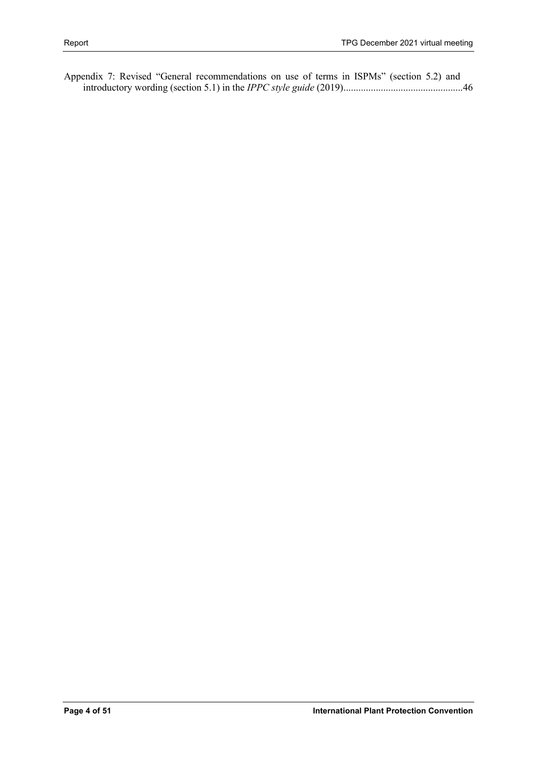[Appendix 7: Revised "General recommendations on use of terms in ISPMs" \(section 5.2\) and](#page-45-0)  [introductory wording \(section 5.1\) in the](#page-45-0) *IPPC style guide* (2019)................................................46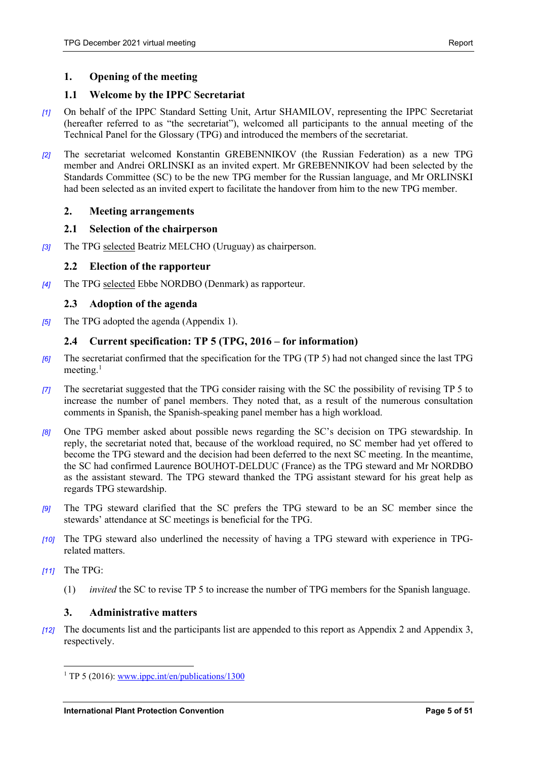# <span id="page-4-0"></span>**1. Opening of the meeting**

# <span id="page-4-1"></span>**1.1 Welcome by the IPPC Secretariat**

- *[1]* On behalf of the IPPC Standard Setting Unit, Artur SHAMILOV, representing the IPPC Secretariat (hereafter referred to as "the secretariat"), welcomed all participants to the annual meeting of the Technical Panel for the Glossary (TPG) and introduced the members of the secretariat.
- *[2]* The secretariat welcomed Konstantin GREBENNIKOV (the Russian Federation) as a new TPG member and Andrei ORLINSKI as an invited expert. Mr GREBENNIKOV had been selected by the Standards Committee (SC) to be the new TPG member for the Russian language, and Mr ORLINSKI had been selected as an invited expert to facilitate the handover from him to the new TPG member.

# <span id="page-4-2"></span>**2. Meeting arrangements**

# <span id="page-4-3"></span>**2.1 Selection of the chairperson**

*[3]* The TPG selected Beatriz MELCHO (Uruguay) as chairperson.

# <span id="page-4-4"></span>**2.2 Election of the rapporteur**

*[4]* The TPG selected Ebbe NORDBO (Denmark) as rapporteur.

# <span id="page-4-5"></span>**2.3 Adoption of the agenda**

*[5]* The TPG adopted the agenda (Appendix 1).

# <span id="page-4-6"></span>**2.4 Current specification: TP 5 (TPG, 2016 – for information)**

- *[6]* The secretariat confirmed that the specification for the TPG (TP 5) had not changed since the last TPG meeting.<sup>[1](#page-4-8)</sup>
- *[7]* The secretariat suggested that the TPG consider raising with the SC the possibility of revising TP 5 to increase the number of panel members. They noted that, as a result of the numerous consultation comments in Spanish, the Spanish-speaking panel member has a high workload.
- *[8]* One TPG member asked about possible news regarding the SC's decision on TPG stewardship. In reply, the secretariat noted that, because of the workload required, no SC member had yet offered to become the TPG steward and the decision had been deferred to the next SC meeting. In the meantime, the SC had confirmed Laurence BOUHOT-DELDUC (France) as the TPG steward and Mr NORDBO as the assistant steward. The TPG steward thanked the TPG assistant steward for his great help as regards TPG stewardship.
- *[9]* The TPG steward clarified that the SC prefers the TPG steward to be an SC member since the stewards' attendance at SC meetings is beneficial for the TPG.
- *[10]* The TPG steward also underlined the necessity of having a TPG steward with experience in TPGrelated matters.
- *[11]* The TPG:
	- (1) *invited* the SC to revise TP 5 to increase the number of TPG members for the Spanish language.

# <span id="page-4-7"></span>**3. Administrative matters**

<span id="page-4-8"></span>*[12]* The documents list and the participants list are appended to this report as Appendix 2 and Appendix 3, respectively.

<sup>&</sup>lt;sup>1</sup> TP 5 (2016): [www.ippc.int/en/publications/1300](https://www.ippc.int/en/publications/1300/)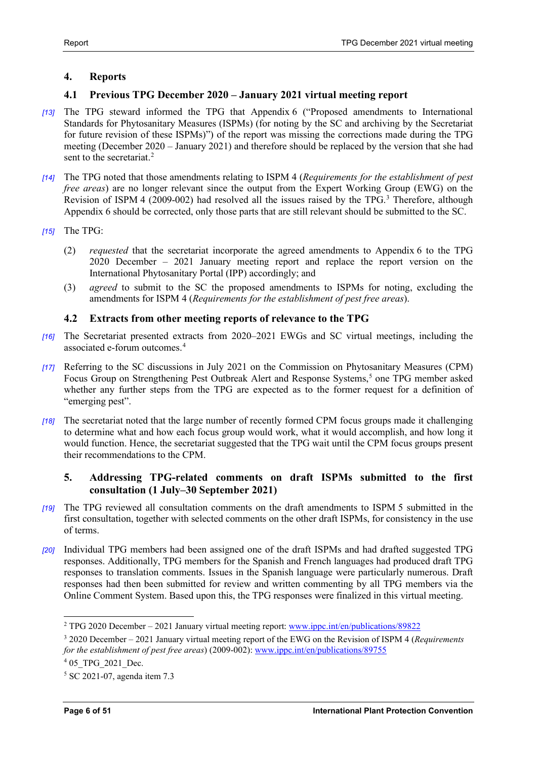# <span id="page-5-0"></span>**4. Reports**

# <span id="page-5-1"></span>**4.1 Previous TPG December 2020 – January 2021 virtual meeting report**

- *[13]* The TPG steward informed the TPG that Appendix 6 ("Proposed amendments to International Standards for Phytosanitary Measures (ISPMs) (for noting by the SC and archiving by the Secretariat for future revision of these ISPMs)") of the report was missing the corrections made during the TPG meeting (December 2020 – January 2021) and therefore should be replaced by the version that she had sent to the secretariat.<sup>[2](#page-5-4)</sup>
- *[14]* The TPG noted that those amendments relating to ISPM 4 (*Requirements for the establishment of pest free areas*) are no longer relevant since the output from the Expert Working Group (EWG) on the Revision of ISPM 4 (2009-002) had resolved all the issues raised by the TPG.<sup>3</sup> Therefore, although Appendix 6 should be corrected, only those parts that are still relevant should be submitted to the SC.
- *[15]* The TPG:
	- (2) *requested* that the secretariat incorporate the agreed amendments to Appendix 6 to the TPG 2020 December – 2021 January meeting report and replace the report version on the International Phytosanitary Portal (IPP) accordingly; and
	- (3) *agreed* to submit to the SC the proposed amendments to ISPMs for noting, excluding the amendments for ISPM 4 (*Requirements for the establishment of pest free areas*).

# <span id="page-5-2"></span>**4.2 Extracts from other meeting reports of relevance to the TPG**

- *[16]* The Secretariat presented extracts from 2020–2021 EWGs and SC virtual meetings, including the associated e-forum outcomes.[4](#page-5-6)
- *[17]* Referring to the SC discussions in July 2021 on the Commission on Phytosanitary Measures (CPM) Focus Group on Strengthening Pest Outbreak Alert and Response Systems,<sup>[5](#page-5-7)</sup> one TPG member asked whether any further steps from the TPG are expected as to the former request for a definition of "emerging pest".
- *[18]* The secretariat noted that the large number of recently formed CPM focus groups made it challenging to determine what and how each focus group would work, what it would accomplish, and how long it would function. Hence, the secretariat suggested that the TPG wait until the CPM focus groups present their recommendations to the CPM.

# <span id="page-5-3"></span>**5. Addressing TPG-related comments on draft ISPMs submitted to the first consultation (1 July–30 September 2021)**

- *[19]* The TPG reviewed all consultation comments on the draft amendments to ISPM 5 submitted in the first consultation, together with selected comments on the other draft ISPMs, for consistency in the use of terms.
- *[20]* Individual TPG members had been assigned one of the draft ISPMs and had drafted suggested TPG responses. Additionally, TPG members for the Spanish and French languages had produced draft TPG responses to translation comments. Issues in the Spanish language were particularly numerous. Draft responses had then been submitted for review and written commenting by all TPG members via the Online Comment System. Based upon this, the TPG responses were finalized in this virtual meeting.

<sup>2</sup> TPG 2020 December – 2021 January virtual meeting report: [www.ippc.int/en/publications/89822](https://www.ippc.int/en/publications/89822/)

<span id="page-5-5"></span><span id="page-5-4"></span><sup>3</sup> 2020 December – 2021 January virtual meeting report of the EWG on the Revision of ISPM 4 (*Requirements for the establishment of pest free areas*) (2009-002)[: www.ippc.int/en/publications/89755](https://www.ippc.int/en/publications/89755/)

<span id="page-5-6"></span><sup>&</sup>lt;sup>4</sup> 05 TPG 2021 Dec.

<span id="page-5-7"></span><sup>5</sup> SC 2021-07, agenda item 7.3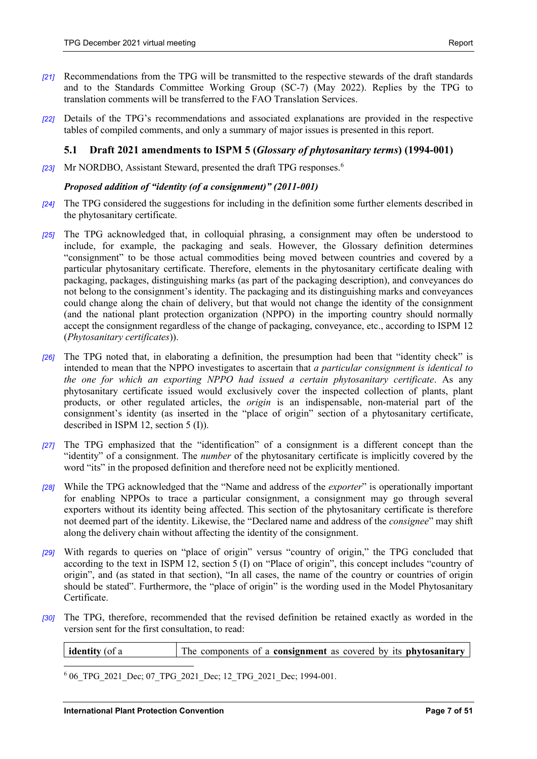- *[21]* Recommendations from the TPG will be transmitted to the respective stewards of the draft standards and to the Standards Committee Working Group (SC-7) (May 2022). Replies by the TPG to translation comments will be transferred to the FAO Translation Services.
- *[22]* Details of the TPG's recommendations and associated explanations are provided in the respective tables of compiled comments, and only a summary of major issues is presented in this report.

# <span id="page-6-0"></span>**5.1 Draft 2021 amendments to ISPM 5 (***Glossary of phytosanitary terms***) (1994-001)**

*[23]* Mr NORDBO, Assistant Steward, presented the draft TPG responses.[6](#page-6-1)

#### *Proposed addition of "identity (of a consignment)" (2011-001)*

- *[24]* The TPG considered the suggestions for including in the definition some further elements described in the phytosanitary certificate.
- *[25]* The TPG acknowledged that, in colloquial phrasing, a consignment may often be understood to include, for example, the packaging and seals. However, the Glossary definition determines "consignment" to be those actual commodities being moved between countries and covered by a particular phytosanitary certificate. Therefore, elements in the phytosanitary certificate dealing with packaging, packages, distinguishing marks (as part of the packaging description), and conveyances do not belong to the consignment's identity. The packaging and its distinguishing marks and conveyances could change along the chain of delivery, but that would not change the identity of the consignment (and the national plant protection organization (NPPO) in the importing country should normally accept the consignment regardless of the change of packaging, conveyance, etc., according to ISPM 12 (*Phytosanitary certificates*)).
- *[26]* The TPG noted that, in elaborating a definition, the presumption had been that "identity check" is intended to mean that the NPPO investigates to ascertain that *a particular consignment is identical to the one for which an exporting NPPO had issued a certain phytosanitary certificate*. As any phytosanitary certificate issued would exclusively cover the inspected collection of plants, plant products, or other regulated articles, the *origin* is an indispensable, non-material part of the consignment's identity (as inserted in the "place of origin" section of a phytosanitary certificate, described in ISPM 12, section 5 (I)).
- *[27]* The TPG emphasized that the "identification" of a consignment is a different concept than the "identity" of a consignment. The *number* of the phytosanitary certificate is implicitly covered by the word "its" in the proposed definition and therefore need not be explicitly mentioned.
- *[28]* While the TPG acknowledged that the "Name and address of the *exporter*" is operationally important for enabling NPPOs to trace a particular consignment, a consignment may go through several exporters without its identity being affected. This section of the phytosanitary certificate is therefore not deemed part of the identity. Likewise, the "Declared name and address of the *consignee*" may shift along the delivery chain without affecting the identity of the consignment.
- *[29]* With regards to queries on "place of origin" versus "country of origin," the TPG concluded that according to the text in ISPM 12, section 5 (I) on "Place of origin", this concept includes "country of origin", and (as stated in that section), "In all cases, the name of the country or countries of origin should be stated". Furthermore, the "place of origin" is the wording used in the Model Phytosanitary Certificate.
- *[30]* The TPG, therefore, recommended that the revised definition be retained exactly as worded in the version sent for the first consultation, to read:

| <b>identity</b> (of a | The components of a <b>consignment</b> as covered by its <b>phytosanitary</b> |  |
|-----------------------|-------------------------------------------------------------------------------|--|
|                       |                                                                               |  |

<span id="page-6-1"></span>6 06 TPG 2021 Dec; 07 TPG 2021 Dec; 12 TPG 2021 Dec; 1994-001.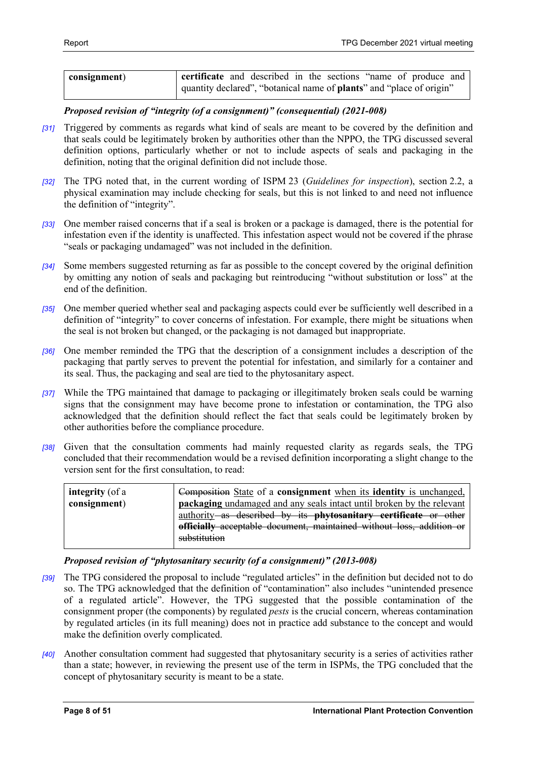| consignment) | <b>certificate</b> and described in the sections "name of produce and        |  |  |  |  |  |
|--------------|------------------------------------------------------------------------------|--|--|--|--|--|
|              | quantity declared", "botanical name of <b>plants</b> " and "place of origin" |  |  |  |  |  |

*Proposed revision of "integrity (of a consignment)" (consequential) (2021-008)*

- *[31]* Triggered by comments as regards what kind of seals are meant to be covered by the definition and that seals could be legitimately broken by authorities other than the NPPO, the TPG discussed several definition options, particularly whether or not to include aspects of seals and packaging in the definition, noting that the original definition did not include those.
- *[32]* The TPG noted that, in the current wording of ISPM 23 (*Guidelines for inspection*), section 2.2, a physical examination may include checking for seals, but this is not linked to and need not influence the definition of "integrity".
- *[33]* One member raised concerns that if a seal is broken or a package is damaged, there is the potential for infestation even if the identity is unaffected. This infestation aspect would not be covered if the phrase "seals or packaging undamaged" was not included in the definition.
- *[34]* Some members suggested returning as far as possible to the concept covered by the original definition by omitting any notion of seals and packaging but reintroducing "without substitution or loss" at the end of the definition.
- *[35]* One member queried whether seal and packaging aspects could ever be sufficiently well described in a definition of "integrity" to cover concerns of infestation. For example, there might be situations when the seal is not broken but changed, or the packaging is not damaged but inappropriate.
- *[36]* One member reminded the TPG that the description of a consignment includes a description of the packaging that partly serves to prevent the potential for infestation, and similarly for a container and its seal. Thus, the packaging and seal are tied to the phytosanitary aspect.
- *[37]* While the TPG maintained that damage to packaging or illegitimately broken seals could be warning signs that the consignment may have become prone to infestation or contamination, the TPG also acknowledged that the definition should reflect the fact that seals could be legitimately broken by other authorities before the compliance procedure.
- *[38]* Given that the consultation comments had mainly requested clarity as regards seals, the TPG concluded that their recommendation would be a revised definition incorporating a slight change to the version sent for the first consultation, to read:

| <b>integrity</b> (of a<br>consignment) | Composition State of a consignment when its identity is unchanged,<br><b>packaging</b> undamaged and any seals intact until broken by the relevant |
|----------------------------------------|----------------------------------------------------------------------------------------------------------------------------------------------------|
|                                        | authority as described by its phytosanitary certificate or other                                                                                   |
|                                        | officially acceptable document, maintained without loss, addition or                                                                               |
|                                        | substitution                                                                                                                                       |

# *Proposed revision of "phytosanitary security (of a consignment)" (2013-008)*

- *[39]* The TPG considered the proposal to include "regulated articles" in the definition but decided not to do so. The TPG acknowledged that the definition of "contamination" also includes "unintended presence of a regulated article". However, the TPG suggested that the possible contamination of the consignment proper (the components) by regulated *pests* is the crucial concern, whereas contamination by regulated articles (in its full meaning) does not in practice add substance to the concept and would make the definition overly complicated.
- *[40]* Another consultation comment had suggested that phytosanitary security is a series of activities rather than a state; however, in reviewing the present use of the term in ISPMs, the TPG concluded that the concept of phytosanitary security is meant to be a state.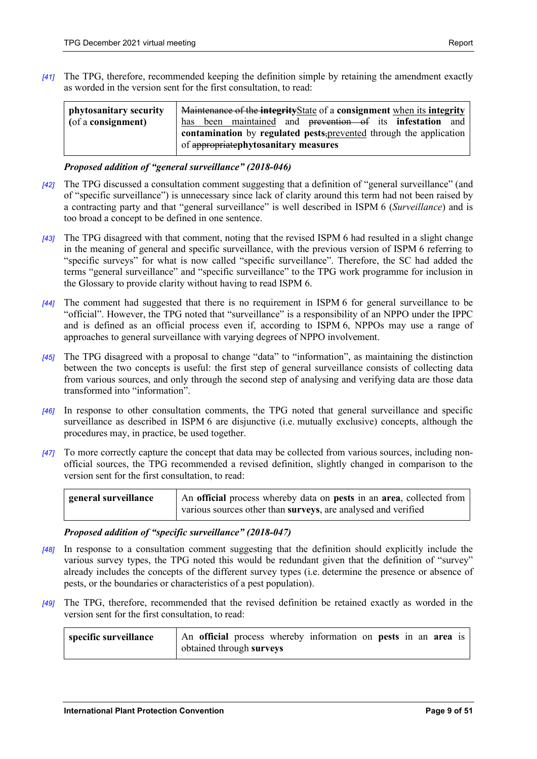*[41]* The TPG, therefore, recommended keeping the definition simple by retaining the amendment exactly as worded in the version sent for the first consultation, to read:

| phytosanitary security | Maintenance of the integrity State of a consignment when its integrity |  |  |  |  |  |  |  |  |  |
|------------------------|------------------------------------------------------------------------|--|--|--|--|--|--|--|--|--|
| (of a consignment)     | has been maintained and prevention of its infestation and              |  |  |  |  |  |  |  |  |  |
|                        | contamination by regulated pests, prevented through the application    |  |  |  |  |  |  |  |  |  |
|                        | of appropriatephytosanitary measures                                   |  |  |  |  |  |  |  |  |  |

#### *Proposed addition of "general surveillance" (2018-046)*

- *[42]* The TPG discussed a consultation comment suggesting that a definition of "general surveillance" (and of "specific surveillance") is unnecessary since lack of clarity around this term had not been raised by a contracting party and that "general surveillance" is well described in ISPM 6 (*Surveillance*) and is too broad a concept to be defined in one sentence.
- *[43]* The TPG disagreed with that comment, noting that the revised ISPM 6 had resulted in a slight change in the meaning of general and specific surveillance, with the previous version of ISPM 6 referring to "specific surveys" for what is now called "specific surveillance". Therefore, the SC had added the terms "general surveillance" and "specific surveillance" to the TPG work programme for inclusion in the Glossary to provide clarity without having to read ISPM 6.
- *[44]* The comment had suggested that there is no requirement in ISPM 6 for general surveillance to be "official". However, the TPG noted that "surveillance" is a responsibility of an NPPO under the IPPC and is defined as an official process even if, according to ISPM 6, NPPOs may use a range of approaches to general surveillance with varying degrees of NPPO involvement.
- *[45]* The TPG disagreed with a proposal to change "data" to "information", as maintaining the distinction between the two concepts is useful: the first step of general surveillance consists of collecting data from various sources, and only through the second step of analysing and verifying data are those data transformed into "information".
- *[46]* In response to other consultation comments, the TPG noted that general surveillance and specific surveillance as described in ISPM 6 are disjunctive (i.e. mutually exclusive) concepts, although the procedures may, in practice, be used together.
- *[47]* To more correctly capture the concept that data may be collected from various sources, including nonofficial sources, the TPG recommended a revised definition, slightly changed in comparison to the version sent for the first consultation, to read:

| general surveillance | An official process whereby data on pests in an area, collected from |
|----------------------|----------------------------------------------------------------------|
|                      | various sources other than surveys, are analysed and verified        |

#### *Proposed addition of "specific surveillance" (2018-047)*

- *[48]* In response to a consultation comment suggesting that the definition should explicitly include the various survey types, the TPG noted this would be redundant given that the definition of "survey" already includes the concepts of the different survey types (i.e. determine the presence or absence of pests, or the boundaries or characteristics of a pest population).
- *[49]* The TPG, therefore, recommended that the revised definition be retained exactly as worded in the version sent for the first consultation, to read:

| specific surveillance | An official process whereby information on pests in an area is |  |  |  |  |  |
|-----------------------|----------------------------------------------------------------|--|--|--|--|--|
|                       | obtained through surveys                                       |  |  |  |  |  |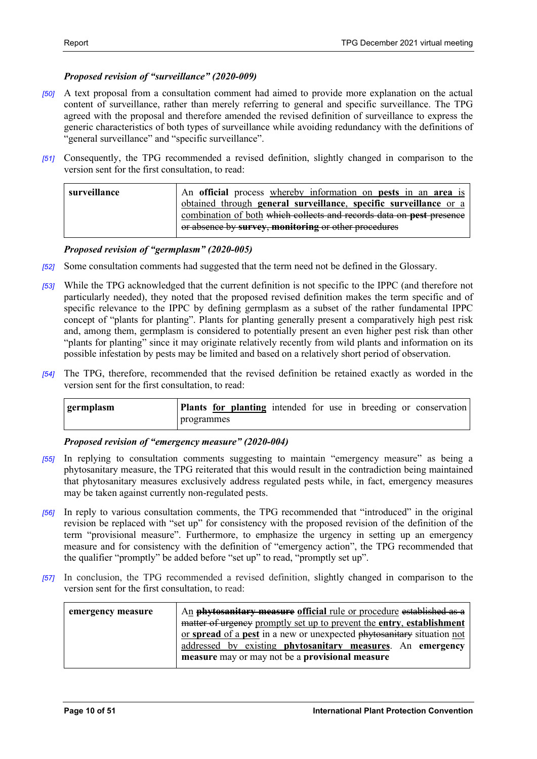# *Proposed revision of "surveillance" (2020-009)*

- *[50]* A text proposal from a consultation comment had aimed to provide more explanation on the actual content of surveillance, rather than merely referring to general and specific surveillance. The TPG agreed with the proposal and therefore amended the revised definition of surveillance to express the generic characteristics of both types of surveillance while avoiding redundancy with the definitions of "general surveillance" and "specific surveillance".
- *[51]* Consequently, the TPG recommended a revised definition, slightly changed in comparison to the version sent for the first consultation, to read:

| surveillance | An official process whereby information on pests in an area is       |
|--------------|----------------------------------------------------------------------|
|              | obtained through general surveillance, specific surveillance or a    |
|              | combination of both which collects and records data on pest presence |
|              | or absence by survey, monitoring or other procedures                 |

# *Proposed revision of "germplasm" (2020-005)*

- *[52]* Some consultation comments had suggested that the term need not be defined in the Glossary.
- *[53]* While the TPG acknowledged that the current definition is not specific to the IPPC (and therefore not particularly needed), they noted that the proposed revised definition makes the term specific and of specific relevance to the IPPC by defining germplasm as a subset of the rather fundamental IPPC concept of "plants for planting". Plants for planting generally present a comparatively high pest risk and, among them, germplasm is considered to potentially present an even higher pest risk than other "plants for planting" since it may originate relatively recently from wild plants and information on its possible infestation by pests may be limited and based on a relatively short period of observation.
- *[54]* The TPG, therefore, recommended that the revised definition be retained exactly as worded in the version sent for the first consultation, to read:

| germplasm |            |  |  |  | Plants for planting intended for use in breeding or conservation |
|-----------|------------|--|--|--|------------------------------------------------------------------|
|           | programmes |  |  |  |                                                                  |

# *Proposed revision of "emergency measure" (2020-004)*

- *[55]* In replying to consultation comments suggesting to maintain "emergency measure" as being a phytosanitary measure, the TPG reiterated that this would result in the contradiction being maintained that phytosanitary measures exclusively address regulated pests while, in fact, emergency measures may be taken against currently non-regulated pests.
- *[56]* In reply to various consultation comments, the TPG recommended that "introduced" in the original revision be replaced with "set up" for consistency with the proposed revision of the definition of the term "provisional measure". Furthermore, to emphasize the urgency in setting up an emergency measure and for consistency with the definition of "emergency action", the TPG recommended that the qualifier "promptly" be added before "set up" to read, "promptly set up".
- *[57]* In conclusion, the TPG recommended a revised definition, slightly changed in comparison to the version sent for the first consultation, to read:

| emergency measure | An <b>phytosanitary measure official</b> rule or procedure established as a |
|-------------------|-----------------------------------------------------------------------------|
|                   | matter of urgency promptly set up to prevent the entry, establishment       |
|                   | or spread of a pest in a new or unexpected phytosanitary situation not      |
|                   | addressed by existing phytosanitary measures. An emergency                  |
|                   | measure may or may not be a provisional measure                             |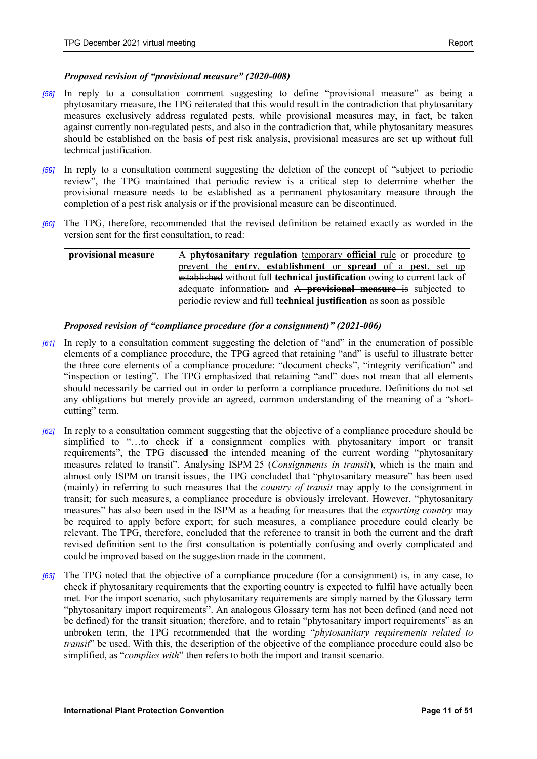# *Proposed revision of "provisional measure" (2020-008)*

- *[58]* In reply to a consultation comment suggesting to define "provisional measure" as being a phytosanitary measure, the TPG reiterated that this would result in the contradiction that phytosanitary measures exclusively address regulated pests, while provisional measures may, in fact, be taken against currently non-regulated pests, and also in the contradiction that, while phytosanitary measures should be established on the basis of pest risk analysis, provisional measures are set up without full technical justification.
- *[59]* In reply to a consultation comment suggesting the deletion of the concept of "subject to periodic review", the TPG maintained that periodic review is a critical step to determine whether the provisional measure needs to be established as a permanent phytosanitary measure through the completion of a pest risk analysis or if the provisional measure can be discontinued.
- *[60]* The TPG, therefore, recommended that the revised definition be retained exactly as worded in the version sent for the first consultation, to read:

| provisional measure | A <b>phytosanitary regulation</b> temporary <b>official</b> rule or procedure to |
|---------------------|----------------------------------------------------------------------------------|
|                     | prevent the entry, establishment or spread of a pest, set up                     |
|                     | established without full technical justification owing to current lack of        |
|                     | adequate information. and A <b>provisional measure</b> is subjected to           |
|                     | periodic review and full <b>technical justification</b> as soon as possible      |
|                     |                                                                                  |

# *Proposed revision of "compliance procedure (for a consignment)" (2021-006)*

- *[61]* In reply to a consultation comment suggesting the deletion of "and" in the enumeration of possible elements of a compliance procedure, the TPG agreed that retaining "and" is useful to illustrate better the three core elements of a compliance procedure: "document checks", "integrity verification" and "inspection or testing". The TPG emphasized that retaining "and" does not mean that all elements should necessarily be carried out in order to perform a compliance procedure. Definitions do not set any obligations but merely provide an agreed, common understanding of the meaning of a "shortcutting" term.
- *[62]* In reply to a consultation comment suggesting that the objective of a compliance procedure should be simplified to "…to check if a consignment complies with phytosanitary import or transit requirements", the TPG discussed the intended meaning of the current wording "phytosanitary measures related to transit". Analysing ISPM 25 (*Consignments in transit*), which is the main and almost only ISPM on transit issues, the TPG concluded that "phytosanitary measure" has been used (mainly) in referring to such measures that the *country of transit* may apply to the consignment in transit; for such measures, a compliance procedure is obviously irrelevant. However, "phytosanitary measures" has also been used in the ISPM as a heading for measures that the *exporting country* may be required to apply before export; for such measures, a compliance procedure could clearly be relevant. The TPG, therefore, concluded that the reference to transit in both the current and the draft revised definition sent to the first consultation is potentially confusing and overly complicated and could be improved based on the suggestion made in the comment.
- *[63]* The TPG noted that the objective of a compliance procedure (for a consignment) is, in any case, to check if phytosanitary requirements that the exporting country is expected to fulfil have actually been met. For the import scenario, such phytosanitary requirements are simply named by the Glossary term "phytosanitary import requirements". An analogous Glossary term has not been defined (and need not be defined) for the transit situation; therefore, and to retain "phytosanitary import requirements" as an unbroken term, the TPG recommended that the wording "*phytosanitary requirements related to transit*" be used. With this, the description of the objective of the compliance procedure could also be simplified, as "*complies with*" then refers to both the import and transit scenario.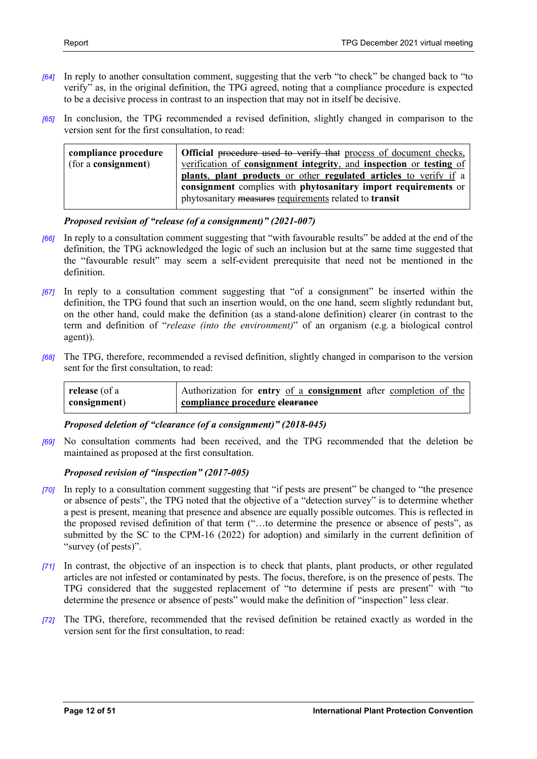- *[64]* In reply to another consultation comment, suggesting that the verb "to check" be changed back to "to verify" as, in the original definition, the TPG agreed, noting that a compliance procedure is expected to be a decisive process in contrast to an inspection that may not in itself be decisive.
- *[65]* In conclusion, the TPG recommended a revised definition, slightly changed in comparison to the version sent for the first consultation, to read:

| compliance procedure        | Official procedure used to verify that process of document checks,  |
|-----------------------------|---------------------------------------------------------------------|
| (for a <b>consignment</b> ) | verification of consignment integrity, and inspection or testing of |
|                             | plants, plant products or other regulated articles to verify if a   |
|                             | consignment complies with phytosanitary import requirements or      |
|                             | phytosanitary measures requirements related to transit              |

# *Proposed revision of "release (of a consignment)" (2021-007)*

- *[66]* In reply to a consultation comment suggesting that "with favourable results" be added at the end of the definition, the TPG acknowledged the logic of such an inclusion but at the same time suggested that the "favourable result" may seem a self-evident prerequisite that need not be mentioned in the definition.
- *[67]* In reply to a consultation comment suggesting that "of a consignment" be inserted within the definition, the TPG found that such an insertion would, on the one hand, seem slightly redundant but, on the other hand, could make the definition (as a stand-alone definition) clearer (in contrast to the term and definition of "*release (into the environment)*" of an organism (e.g. a biological control agent)).
- *[68]* The TPG, therefore, recommended a revised definition, slightly changed in comparison to the version sent for the first consultation, to read:

| release (of a | Authorization for entry of a consignment after completion of the |  |  |
|---------------|------------------------------------------------------------------|--|--|
| consignment)  | compliance procedure elearance                                   |  |  |

# *Proposed deletion of "clearance (of a consignment)" (2018-045)*

*[69]* No consultation comments had been received, and the TPG recommended that the deletion be maintained as proposed at the first consultation.

# *Proposed revision of "inspection" (2017-005)*

- *[70]* In reply to a consultation comment suggesting that "if pests are present" be changed to "the presence or absence of pests", the TPG noted that the objective of a "detection survey" is to determine whether a pest is present, meaning that presence and absence are equally possible outcomes. This is reflected in the proposed revised definition of that term ("…to determine the presence or absence of pests", as submitted by the SC to the CPM-16 (2022) for adoption) and similarly in the current definition of "survey (of pests)".
- *[71]* In contrast, the objective of an inspection is to check that plants, plant products, or other regulated articles are not infested or contaminated by pests. The focus, therefore, is on the presence of pests. The TPG considered that the suggested replacement of "to determine if pests are present" with "to determine the presence or absence of pests" would make the definition of "inspection" less clear.
- *[72]* The TPG, therefore, recommended that the revised definition be retained exactly as worded in the version sent for the first consultation, to read: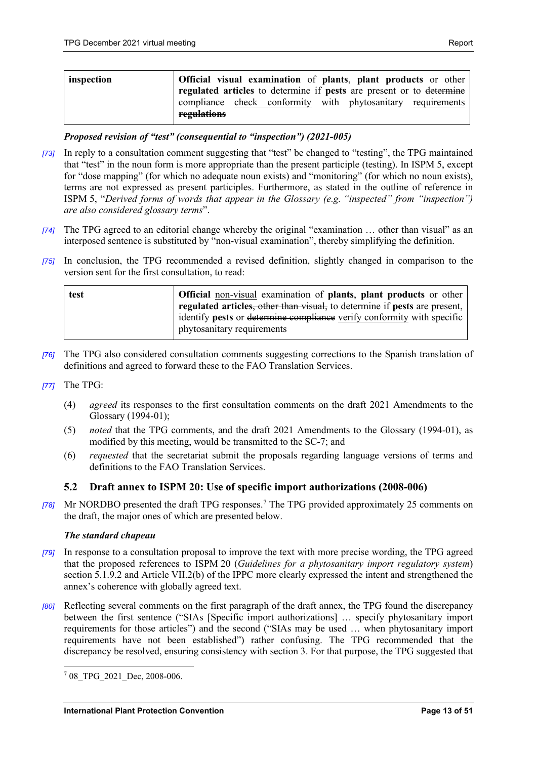| inspection | Official visual examination of plants, plant products or other<br>regulated articles to determine if pests are present or to determine |
|------------|----------------------------------------------------------------------------------------------------------------------------------------|
|            | compliance check conformity with phytosanitary requirements<br>regulations                                                             |

# *Proposed revision of "test" (consequential to "inspection") (2021-005)*

- *[73]* In reply to a consultation comment suggesting that "test" be changed to "testing", the TPG maintained that "test" in the noun form is more appropriate than the present participle (testing). In ISPM 5, except for "dose mapping" (for which no adequate noun exists) and "monitoring" (for which no noun exists), terms are not expressed as present participles. Furthermore, as stated in the outline of reference in ISPM 5, "*Derived forms of words that appear in the Glossary (e.g. "inspected" from "inspection") are also considered glossary terms*".
- *[74]* The TPG agreed to an editorial change whereby the original "examination … other than visual" as an interposed sentence is substituted by "non-visual examination", thereby simplifying the definition.
- *[75]* In conclusion, the TPG recommended a revised definition, slightly changed in comparison to the version sent for the first consultation, to read:

| test | <b>Official</b> non-visual examination of <b>plants</b> , <b>plant products</b> or other |
|------|------------------------------------------------------------------------------------------|
|      | regulated articles, other than visual, to determine if pests are present,                |
|      | didentify pests or determine compliance verify conformity with specific                  |
|      | phytosanitary requirements                                                               |

- *[76]* The TPG also considered consultation comments suggesting corrections to the Spanish translation of definitions and agreed to forward these to the FAO Translation Services.
- *[77]* The TPG:
	- (4) *agreed* its responses to the first consultation comments on the draft 2021 Amendments to the Glossary (1994-01);
	- (5) *noted* that the TPG comments, and the draft 2021 Amendments to the Glossary (1994-01), as modified by this meeting, would be transmitted to the SC-7; and
	- (6) *requested* that the secretariat submit the proposals regarding language versions of terms and definitions to the FAO Translation Services.

# <span id="page-12-0"></span>**5.2 Draft annex to ISPM 20: Use of specific import authorizations (2008-006)**

*[78]* Mr NORDBO presented the draft TPG responses.[7](#page-12-1) The TPG provided approximately 25 comments on the draft, the major ones of which are presented below.

# *The standard chapeau*

- *[79]* In response to a consultation proposal to improve the text with more precise wording, the TPG agreed that the proposed references to ISPM 20 (*Guidelines for a phytosanitary import regulatory system*) section 5.1.9.2 and Article VII.2(b) of the IPPC more clearly expressed the intent and strengthened the annex's coherence with globally agreed text.
- *[80]* Reflecting several comments on the first paragraph of the draft annex, the TPG found the discrepancy between the first sentence ("SIAs [Specific import authorizations] … specify phytosanitary import requirements for those articles") and the second ("SIAs may be used … when phytosanitary import requirements have not been established") rather confusing. The TPG recommended that the discrepancy be resolved, ensuring consistency with section 3. For that purpose, the TPG suggested that

<span id="page-12-1"></span><sup>&</sup>lt;sup>7</sup> 08 TPG 2021 Dec, 2008-006.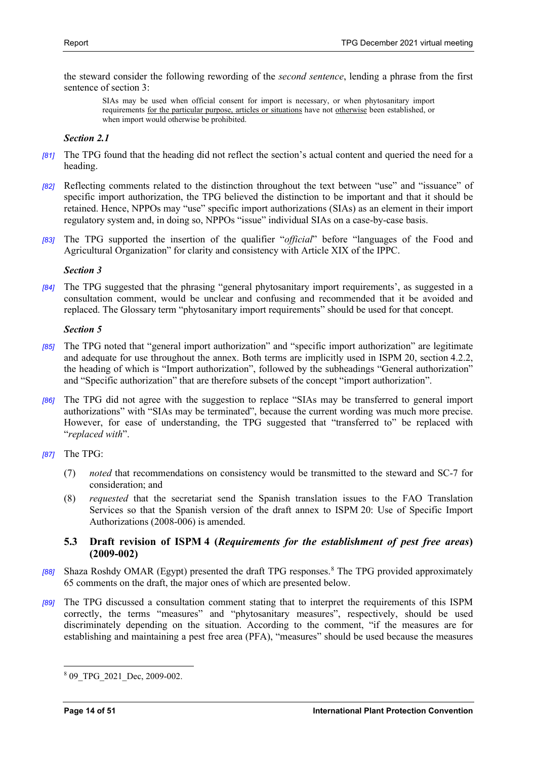the steward consider the following rewording of the *second sentence*, lending a phrase from the first sentence of section 3:

SIAs may be used when official consent for import is necessary, or when phytosanitary import requirements for the particular purpose, articles or situations have not otherwise been established, or when import would otherwise be prohibited.

# *Section 2.1*

- *[81]* The TPG found that the heading did not reflect the section's actual content and queried the need for a heading.
- *[82]* Reflecting comments related to the distinction throughout the text between "use" and "issuance" of specific import authorization, the TPG believed the distinction to be important and that it should be retained. Hence, NPPOs may "use" specific import authorizations (SIAs) as an element in their import regulatory system and, in doing so, NPPOs "issue" individual SIAs on a case-by-case basis.
- *[83]* The TPG supported the insertion of the qualifier "*official*" before "languages of the Food and Agricultural Organization" for clarity and consistency with Article XIX of the IPPC.

# *Section 3*

*[84]* The TPG suggested that the phrasing "general phytosanitary import requirements', as suggested in a consultation comment, would be unclear and confusing and recommended that it be avoided and replaced. The Glossary term "phytosanitary import requirements" should be used for that concept.

# *Section 5*

- *[85]* The TPG noted that "general import authorization" and "specific import authorization" are legitimate and adequate for use throughout the annex. Both terms are implicitly used in ISPM 20, section 4.2.2, the heading of which is "Import authorization", followed by the subheadings "General authorization" and "Specific authorization" that are therefore subsets of the concept "import authorization".
- *[86]* The TPG did not agree with the suggestion to replace "SIAs may be transferred to general import authorizations" with "SIAs may be terminated", because the current wording was much more precise. However, for ease of understanding, the TPG suggested that "transferred to" be replaced with "*replaced with*".
- *[87]* The TPG:
	- (7) *noted* that recommendations on consistency would be transmitted to the steward and SC-7 for consideration; and
	- (8) *requested* that the secretariat send the Spanish translation issues to the FAO Translation Services so that the Spanish version of the draft annex to ISPM 20: Use of Specific Import Authorizations (2008-006) is amended.

# <span id="page-13-0"></span>**5.3 Draft revision of ISPM 4 (***Requirements for the establishment of pest free areas***) (2009-002)**

- *[88]* Shaza Roshdy OMAR (Egypt) presented the draft TPG responses.[8](#page-13-1) The TPG provided approximately 65 comments on the draft, the major ones of which are presented below.
- *[89]* The TPG discussed a consultation comment stating that to interpret the requirements of this ISPM correctly, the terms "measures" and "phytosanitary measures", respectively, should be used discriminately depending on the situation. According to the comment, "if the measures are for establishing and maintaining a pest free area (PFA), "measures" should be used because the measures

<span id="page-13-1"></span><sup>8</sup> 09\_TPG\_2021\_Dec, 2009-002.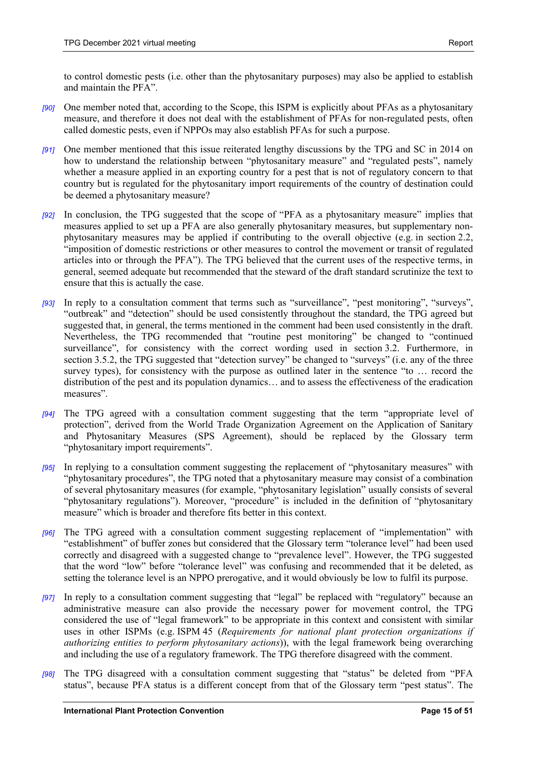to control domestic pests (i.e. other than the phytosanitary purposes) may also be applied to establish and maintain the PFA".

- *[90]* One member noted that, according to the Scope, this ISPM is explicitly about PFAs as a phytosanitary measure, and therefore it does not deal with the establishment of PFAs for non-regulated pests, often called domestic pests, even if NPPOs may also establish PFAs for such a purpose.
- *[91]* One member mentioned that this issue reiterated lengthy discussions by the TPG and SC in 2014 on how to understand the relationship between "phytosanitary measure" and "regulated pests", namely whether a measure applied in an exporting country for a pest that is not of regulatory concern to that country but is regulated for the phytosanitary import requirements of the country of destination could be deemed a phytosanitary measure?
- *[92]* In conclusion, the TPG suggested that the scope of "PFA as a phytosanitary measure" implies that measures applied to set up a PFA are also generally phytosanitary measures, but supplementary nonphytosanitary measures may be applied if contributing to the overall objective (e.g. in section 2.2, "imposition of domestic restrictions or other measures to control the movement or transit of regulated articles into or through the PFA"). The TPG believed that the current uses of the respective terms, in general, seemed adequate but recommended that the steward of the draft standard scrutinize the text to ensure that this is actually the case.
- *[93]* In reply to a consultation comment that terms such as "surveillance", "pest monitoring", "surveys", "outbreak" and "detection" should be used consistently throughout the standard, the TPG agreed but suggested that, in general, the terms mentioned in the comment had been used consistently in the draft. Nevertheless, the TPG recommended that "routine pest monitoring" be changed to "continued surveillance", for consistency with the correct wording used in section 3.2. Furthermore, in section 3.5.2, the TPG suggested that "detection survey" be changed to "surveys" (i.e. any of the three survey types), for consistency with the purpose as outlined later in the sentence "to … record the distribution of the pest and its population dynamics… and to assess the effectiveness of the eradication measures".
- *[94]* The TPG agreed with a consultation comment suggesting that the term "appropriate level of protection", derived from the World Trade Organization Agreement on the Application of Sanitary and Phytosanitary Measures (SPS Agreement), should be replaced by the Glossary term "phytosanitary import requirements".
- *[95]* In replying to a consultation comment suggesting the replacement of "phytosanitary measures" with "phytosanitary procedures", the TPG noted that a phytosanitary measure may consist of a combination of several phytosanitary measures (for example, "phytosanitary legislation" usually consists of several "phytosanitary regulations"). Moreover, "procedure" is included in the definition of "phytosanitary measure" which is broader and therefore fits better in this context.
- *[96]* The TPG agreed with a consultation comment suggesting replacement of "implementation" with "establishment" of buffer zones but considered that the Glossary term "tolerance level" had been used correctly and disagreed with a suggested change to "prevalence level". However, the TPG suggested that the word "low" before "tolerance level" was confusing and recommended that it be deleted, as setting the tolerance level is an NPPO prerogative, and it would obviously be low to fulfil its purpose.
- *[97]* In reply to a consultation comment suggesting that "legal" be replaced with "regulatory" because an administrative measure can also provide the necessary power for movement control, the TPG considered the use of "legal framework" to be appropriate in this context and consistent with similar uses in other ISPMs (e.g. ISPM 45 (*Requirements for national plant protection organizations if authorizing entities to perform phytosanitary actions*)), with the legal framework being overarching and including the use of a regulatory framework. The TPG therefore disagreed with the comment.
- *[98]* The TPG disagreed with a consultation comment suggesting that "status" be deleted from "PFA status", because PFA status is a different concept from that of the Glossary term "pest status". The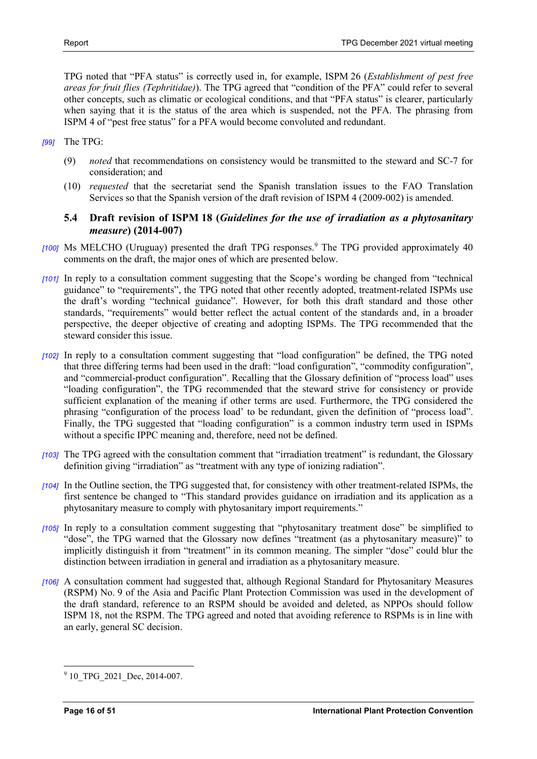TPG noted that "PFA status" is correctly used in, for example, ISPM 26 (*Establishment of pest free areas for fruit flies (Tephritidae)*). The TPG agreed that "condition of the PFA" could refer to several other concepts, such as climatic or ecological conditions, and that "PFA status" is clearer, particularly when saying that it is the status of the area which is suspended, not the PFA. The phrasing from ISPM 4 of "pest free status" for a PFA would become convoluted and redundant.

- *[99]* The TPG:
	- (9) *noted* that recommendations on consistency would be transmitted to the steward and SC-7 for consideration; and
	- (10) *requested* that the secretariat send the Spanish translation issues to the FAO Translation Services so that the Spanish version of the draft revision of ISPM 4 (2009-002) is amended.

# <span id="page-15-0"></span>**5.4 Draft revision of ISPM 18 (***Guidelines for the use of irradiation as a phytosanitary measure***) (2014-007)**

- *[100]* Ms MELCHO (Uruguay) presented the draft TPG responses. [9](#page-15-1) The TPG provided approximately 40 comments on the draft, the major ones of which are presented below.
- *[101]* In reply to a consultation comment suggesting that the Scope's wording be changed from "technical guidance" to "requirements", the TPG noted that other recently adopted, treatment-related ISPMs use the draft's wording "technical guidance". However, for both this draft standard and those other standards, "requirements" would better reflect the actual content of the standards and, in a broader perspective, the deeper objective of creating and adopting ISPMs. The TPG recommended that the steward consider this issue.
- *[102]* In reply to a consultation comment suggesting that "load configuration" be defined, the TPG noted that three differing terms had been used in the draft: "load configuration", "commodity configuration", and "commercial-product configuration". Recalling that the Glossary definition of "process load" uses "loading configuration", the TPG recommended that the steward strive for consistency or provide sufficient explanation of the meaning if other terms are used. Furthermore, the TPG considered the phrasing "configuration of the process load' to be redundant, given the definition of "process load". Finally, the TPG suggested that "loading configuration" is a common industry term used in ISPMs without a specific IPPC meaning and, therefore, need not be defined.
- *[103]* The TPG agreed with the consultation comment that "irradiation treatment" is redundant, the Glossary definition giving "irradiation" as "treatment with any type of ionizing radiation".
- *[104]* In the Outline section, the TPG suggested that, for consistency with other treatment-related ISPMs, the first sentence be changed to "This standard provides guidance on irradiation and its application as a phytosanitary measure to comply with phytosanitary import requirements."
- *[105]* In reply to a consultation comment suggesting that "phytosanitary treatment dose" be simplified to "dose", the TPG warned that the Glossary now defines "treatment (as a phytosanitary measure)" to implicitly distinguish it from "treatment" in its common meaning. The simpler "dose" could blur the distinction between irradiation in general and irradiation as a phytosanitary measure.
- *[106]* A consultation comment had suggested that, although Regional Standard for Phytosanitary Measures (RSPM) No. 9 of the Asia and Pacific Plant Protection Commission was used in the development of the draft standard, reference to an RSPM should be avoided and deleted, as NPPOs should follow ISPM 18, not the RSPM. The TPG agreed and noted that avoiding reference to RSPMs is in line with an early, general SC decision.

<span id="page-15-1"></span><sup>&</sup>lt;sup>9</sup> 10 TPG 2021 Dec, 2014-007.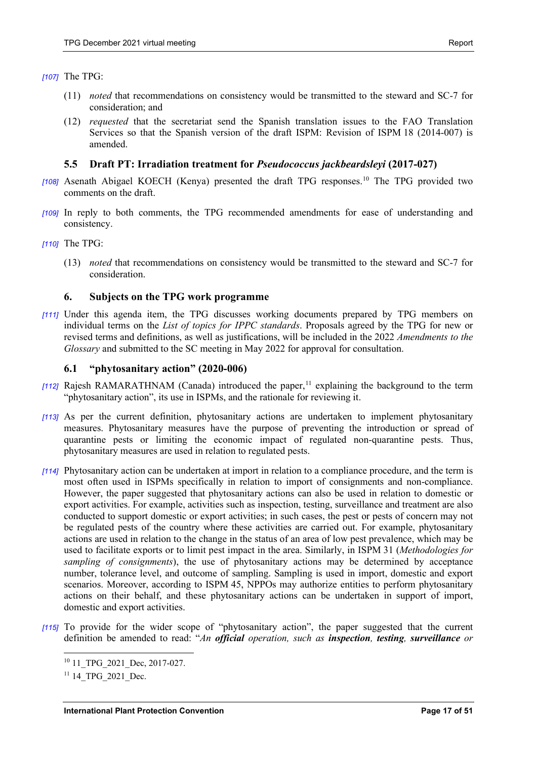#### *[107]* The TPG:

- (11) *noted* that recommendations on consistency would be transmitted to the steward and SC-7 for consideration; and
- (12) *requested* that the secretariat send the Spanish translation issues to the FAO Translation Services so that the Spanish version of the draft ISPM: Revision of ISPM 18 (2014-007) is amended.

# <span id="page-16-0"></span>**5.5 Draft PT: Irradiation treatment for** *Pseudococcus jackbeardsleyi* **(2017-027)**

- *[108]* Asenath Abigael KOECH (Kenya) presented the draft TPG responses[.10](#page-16-3) The TPG provided two comments on the draft.
- *[109]* In reply to both comments, the TPG recommended amendments for ease of understanding and consistency.
- *[110]* The TPG:
	- (13) *noted* that recommendations on consistency would be transmitted to the steward and SC-7 for consideration.

# <span id="page-16-1"></span>**6. Subjects on the TPG work programme**

*[111]* Under this agenda item, the TPG discusses working documents prepared by TPG members on individual terms on the *List of topics for IPPC standards*. Proposals agreed by the TPG for new or revised terms and definitions, as well as justifications, will be included in the 2022 *Amendments to the Glossary* and submitted to the SC meeting in May 2022 for approval for consultation.

# <span id="page-16-2"></span>**6.1 "phytosanitary action" (2020-006)**

- [[11](#page-16-4)2] Rajesh RAMARATHNAM (Canada) introduced the paper,<sup>11</sup> explaining the background to the term "phytosanitary action", its use in ISPMs, and the rationale for reviewing it.
- *[113]* As per the current definition, phytosanitary actions are undertaken to implement phytosanitary measures. Phytosanitary measures have the purpose of preventing the introduction or spread of quarantine pests or limiting the economic impact of regulated non-quarantine pests. Thus, phytosanitary measures are used in relation to regulated pests.
- *[114]* Phytosanitary action can be undertaken at import in relation to a compliance procedure, and the term is most often used in ISPMs specifically in relation to import of consignments and non-compliance. However, the paper suggested that phytosanitary actions can also be used in relation to domestic or export activities. For example, activities such as inspection, testing, surveillance and treatment are also conducted to support domestic or export activities; in such cases, the pest or pests of concern may not be regulated pests of the country where these activities are carried out. For example, phytosanitary actions are used in relation to the change in the status of an area of low pest prevalence, which may be used to facilitate exports or to limit pest impact in the area. Similarly, in ISPM 31 (*Methodologies for sampling of consignments*), the use of phytosanitary actions may be determined by acceptance number, tolerance level, and outcome of sampling. Sampling is used in import, domestic and export scenarios. Moreover, according to ISPM 45, NPPOs may authorize entities to perform phytosanitary actions on their behalf, and these phytosanitary actions can be undertaken in support of import, domestic and export activities.
- <span id="page-16-3"></span>*[115]* To provide for the wider scope of "phytosanitary action", the paper suggested that the current definition be amended to read: "*An official operation, such as inspection, testing, surveillance or*

<sup>&</sup>lt;sup>10</sup> 11 TPG 2021 Dec, 2017-027.

<span id="page-16-4"></span><sup>&</sup>lt;sup>11</sup> 14 TPG 2021 Dec.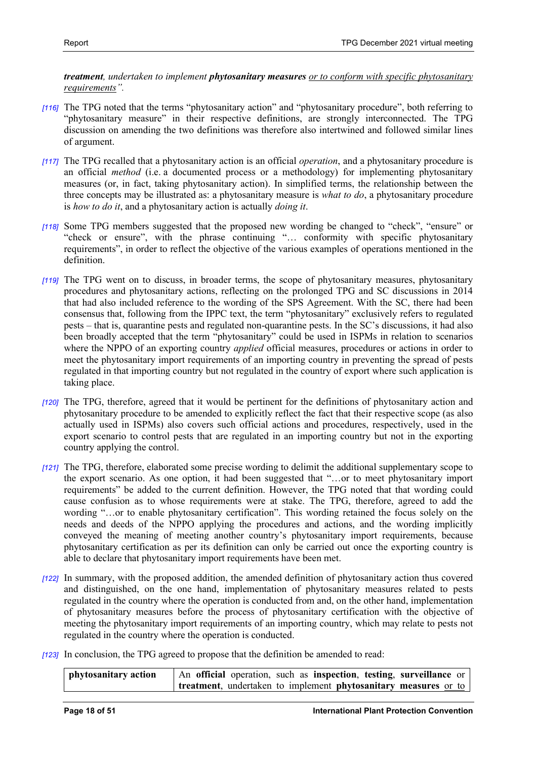*treatment, undertaken to implement phytosanitary measures or to conform with specific phytosanitary requirements".*

- *[116]* The TPG noted that the terms "phytosanitary action" and "phytosanitary procedure", both referring to "phytosanitary measure" in their respective definitions, are strongly interconnected. The TPG discussion on amending the two definitions was therefore also intertwined and followed similar lines of argument.
- *[117]* The TPG recalled that a phytosanitary action is an official *operation*, and a phytosanitary procedure is an official *method* (i.e. a documented process or a methodology) for implementing phytosanitary measures (or, in fact, taking phytosanitary action). In simplified terms, the relationship between the three concepts may be illustrated as: a phytosanitary measure is *what to do*, a phytosanitary procedure is *how to do it*, and a phytosanitary action is actually *doing it*.
- *[118]* Some TPG members suggested that the proposed new wording be changed to "check", "ensure" or "check or ensure", with the phrase continuing "… conformity with specific phytosanitary requirements", in order to reflect the objective of the various examples of operations mentioned in the definition.
- *[119]* The TPG went on to discuss, in broader terms, the scope of phytosanitary measures, phytosanitary procedures and phytosanitary actions, reflecting on the prolonged TPG and SC discussions in 2014 that had also included reference to the wording of the SPS Agreement. With the SC, there had been consensus that, following from the IPPC text, the term "phytosanitary" exclusively refers to regulated pests – that is, quarantine pests and regulated non-quarantine pests. In the SC's discussions, it had also been broadly accepted that the term "phytosanitary" could be used in ISPMs in relation to scenarios where the NPPO of an exporting country *applied* official measures, procedures or actions in order to meet the phytosanitary import requirements of an importing country in preventing the spread of pests regulated in that importing country but not regulated in the country of export where such application is taking place.
- *[120]* The TPG, therefore, agreed that it would be pertinent for the definitions of phytosanitary action and phytosanitary procedure to be amended to explicitly reflect the fact that their respective scope (as also actually used in ISPMs) also covers such official actions and procedures, respectively, used in the export scenario to control pests that are regulated in an importing country but not in the exporting country applying the control.
- *[121]* The TPG, therefore, elaborated some precise wording to delimit the additional supplementary scope to the export scenario. As one option, it had been suggested that "…or to meet phytosanitary import requirements" be added to the current definition. However, the TPG noted that that wording could cause confusion as to whose requirements were at stake. The TPG, therefore, agreed to add the wording "…or to enable phytosanitary certification". This wording retained the focus solely on the needs and deeds of the NPPO applying the procedures and actions, and the wording implicitly conveyed the meaning of meeting another country's phytosanitary import requirements, because phytosanitary certification as per its definition can only be carried out once the exporting country is able to declare that phytosanitary import requirements have been met.
- *[122]* In summary, with the proposed addition, the amended definition of phytosanitary action thus covered and distinguished, on the one hand, implementation of phytosanitary measures related to pests regulated in the country where the operation is conducted from and, on the other hand, implementation of phytosanitary measures before the process of phytosanitary certification with the objective of meeting the phytosanitary import requirements of an importing country, which may relate to pests not regulated in the country where the operation is conducted.
- *[123]* In conclusion, the TPG agreed to propose that the definition be amended to read:

| phytosanitary action | An official operation, such as inspection, testing, surveillance or |
|----------------------|---------------------------------------------------------------------|
|                      | treatment, undertaken to implement phytosanitary measures or to     |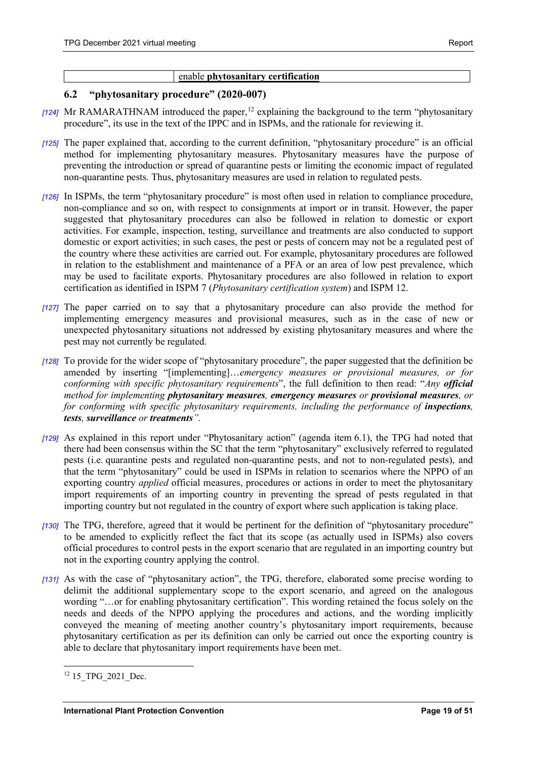# enable **phytosanitary certification**

# <span id="page-18-0"></span>**6.2 "phytosanitary procedure" (2020-007)**

- *[124]* Mr RAMARATHNAM introduced the paper,[12](#page-18-1) explaining the background to the term "phytosanitary procedure", its use in the text of the IPPC and in ISPMs, and the rationale for reviewing it.
- *[125]* The paper explained that, according to the current definition, "phytosanitary procedure" is an official method for implementing phytosanitary measures. Phytosanitary measures have the purpose of preventing the introduction or spread of quarantine pests or limiting the economic impact of regulated non-quarantine pests. Thus, phytosanitary measures are used in relation to regulated pests.
- *[126]* In ISPMs, the term "phytosanitary procedure" is most often used in relation to compliance procedure, non-compliance and so on, with respect to consignments at import or in transit. However, the paper suggested that phytosanitary procedures can also be followed in relation to domestic or export activities. For example, inspection, testing, surveillance and treatments are also conducted to support domestic or export activities; in such cases, the pest or pests of concern may not be a regulated pest of the country where these activities are carried out. For example, phytosanitary procedures are followed in relation to the establishment and maintenance of a PFA or an area of low pest prevalence, which may be used to facilitate exports. Phytosanitary procedures are also followed in relation to export certification as identified in ISPM 7 (*Phytosanitary certification system*) and ISPM 12.
- *[127]* The paper carried on to say that a phytosanitary procedure can also provide the method for implementing emergency measures and provisional measures, such as in the case of new or unexpected phytosanitary situations not addressed by existing phytosanitary measures and where the pest may not currently be regulated.
- *[128]* To provide for the wider scope of "phytosanitary procedure", the paper suggested that the definition be amended by inserting "[implementing]…*emergency measures or provisional measures, or for conforming with specific phytosanitary requirements*", the full definition to then read: "*Any official method for implementing phytosanitary measures, emergency measures or provisional measures, or for conforming with specific phytosanitary requirements, including the performance of inspections, tests, surveillance or treatments".*
- *[129]* As explained in this report under "Phytosanitary action" (agenda item 6.1), the TPG had noted that there had been consensus within the SC that the term "phytosanitary" exclusively referred to regulated pests (i.e. quarantine pests and regulated non-quarantine pests, and not to non-regulated pests), and that the term "phytosanitary" could be used in ISPMs in relation to scenarios where the NPPO of an exporting country *applied* official measures, procedures or actions in order to meet the phytosanitary import requirements of an importing country in preventing the spread of pests regulated in that importing country but not regulated in the country of export where such application is taking place.
- *[130]* The TPG, therefore, agreed that it would be pertinent for the definition of "phytosanitary procedure" to be amended to explicitly reflect the fact that its scope (as actually used in ISPMs) also covers official procedures to control pests in the export scenario that are regulated in an importing country but not in the exporting country applying the control.
- *[131]* As with the case of "phytosanitary action", the TPG, therefore, elaborated some precise wording to delimit the additional supplementary scope to the export scenario, and agreed on the analogous wording "...or for enabling phytosanitary certification". This wording retained the focus solely on the needs and deeds of the NPPO applying the procedures and actions, and the wording implicitly conveyed the meaning of meeting another country's phytosanitary import requirements, because phytosanitary certification as per its definition can only be carried out once the exporting country is able to declare that phytosanitary import requirements have been met.

<span id="page-18-1"></span><sup>&</sup>lt;sup>12</sup> 15 TPG 2021 Dec.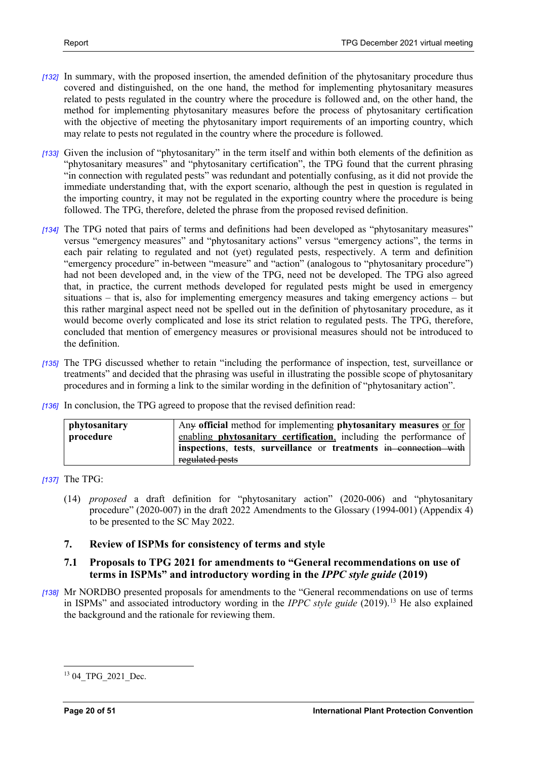- *[132]* In summary, with the proposed insertion, the amended definition of the phytosanitary procedure thus covered and distinguished, on the one hand, the method for implementing phytosanitary measures related to pests regulated in the country where the procedure is followed and, on the other hand, the method for implementing phytosanitary measures before the process of phytosanitary certification with the objective of meeting the phytosanitary import requirements of an importing country, which may relate to pests not regulated in the country where the procedure is followed.
- *[133]* Given the inclusion of "phytosanitary" in the term itself and within both elements of the definition as "phytosanitary measures" and "phytosanitary certification", the TPG found that the current phrasing "in connection with regulated pests" was redundant and potentially confusing, as it did not provide the immediate understanding that, with the export scenario, although the pest in question is regulated in the importing country, it may not be regulated in the exporting country where the procedure is being followed. The TPG, therefore, deleted the phrase from the proposed revised definition.
- *[134]* The TPG noted that pairs of terms and definitions had been developed as "phytosanitary measures" versus "emergency measures" and "phytosanitary actions" versus "emergency actions", the terms in each pair relating to regulated and not (yet) regulated pests, respectively. A term and definition "emergency procedure" in-between "measure" and "action" (analogous to "phytosanitary procedure") had not been developed and, in the view of the TPG, need not be developed. The TPG also agreed that, in practice, the current methods developed for regulated pests might be used in emergency situations – that is, also for implementing emergency measures and taking emergency actions – but this rather marginal aspect need not be spelled out in the definition of phytosanitary procedure, as it would become overly complicated and lose its strict relation to regulated pests. The TPG, therefore, concluded that mention of emergency measures or provisional measures should not be introduced to the definition.
- *[135]* The TPG discussed whether to retain "including the performance of inspection, test, surveillance or treatments" and decided that the phrasing was useful in illustrating the possible scope of phytosanitary procedures and in forming a link to the similar wording in the definition of "phytosanitary action".
- *[136]* In conclusion, the TPG agreed to propose that the revised definition read:

| phytosanitary | Any official method for implementing phytosanitary measures or for |
|---------------|--------------------------------------------------------------------|
| procedure     | enabling phytosanitary certification, including the performance of |
|               | inspections, tests, surveillance or treatments in connection with  |
|               | regulated pests                                                    |

*[137]* The TPG:

(14) *proposed* a draft definition for "phytosanitary action" (2020-006) and "phytosanitary procedure" (2020-007) in the draft 2022 Amendments to the Glossary (1994-001) (Appendix 4) to be presented to the SC May 2022.

# <span id="page-19-0"></span>**7. Review of ISPMs for consistency of terms and style**

# <span id="page-19-1"></span>**7.1 Proposals to TPG 2021 for amendments to "General recommendations on use of terms in ISPMs" and introductory wording in the** *IPPC style guide* **(2019)**

*[138]* Mr NORDBO presented proposals for amendments to the "General recommendations on use of terms in ISPMs" and associated introductory wording in the *IPPC style guide* (2019)[.13](#page-19-2) He also explained the background and the rationale for reviewing them.

<span id="page-19-2"></span><sup>&</sup>lt;sup>13</sup> 04 TPG 2021 Dec.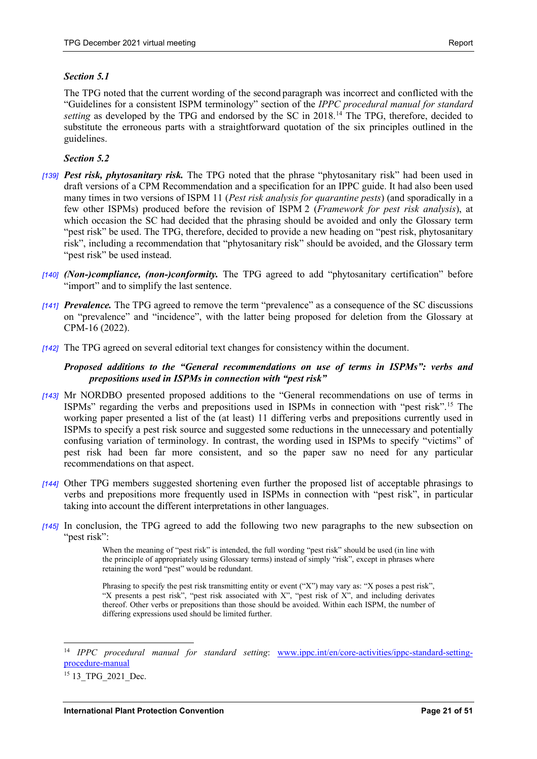# *Section 5.1*

The TPG noted that the current wording of the second paragraph was incorrect and conflicted with the "Guidelines for a consistent ISPM terminology" section of the *IPPC procedural manual for standard setting* as developed by the TPG and endorsed by the SC in 2018.<sup>[14](#page-20-0)</sup> The TPG, therefore, decided to substitute the erroneous parts with a straightforward quotation of the six principles outlined in the guidelines.

# *Section 5.2*

- *[139] Pest risk, phytosanitary risk.* The TPG noted that the phrase "phytosanitary risk" had been used in draft versions of a CPM Recommendation and a specification for an IPPC guide. It had also been used many times in two versions of ISPM 11 (*Pest risk analysis for quarantine pests*) (and sporadically in a few other ISPMs) produced before the revision of ISPM 2 (*Framework for pest risk analysis*), at which occasion the SC had decided that the phrasing should be avoided and only the Glossary term "pest risk" be used. The TPG, therefore, decided to provide a new heading on "pest risk, phytosanitary risk", including a recommendation that "phytosanitary risk" should be avoided, and the Glossary term "pest risk" be used instead.
- *[140] (Non-)compliance, (non-)conformity.* The TPG agreed to add "phytosanitary certification" before "import" and to simplify the last sentence.
- *[141] Prevalence.* The TPG agreed to remove the term "prevalence" as a consequence of the SC discussions on "prevalence" and "incidence", with the latter being proposed for deletion from the Glossary at CPM-16 (2022).
- *[142]* The TPG agreed on several editorial text changes for consistency within the document.

# *Proposed additions to the "General recommendations on use of terms in ISPMs": verbs and prepositions used in ISPMs in connection with "pest risk"*

- *[143]* Mr NORDBO presented proposed additions to the "General recommendations on use of terms in ISPMs" regarding the verbs and prepositions used in ISPMs in connection with "pest risk".[15](#page-20-1) The working paper presented a list of the (at least) 11 differing verbs and prepositions currently used in ISPMs to specify a pest risk source and suggested some reductions in the unnecessary and potentially confusing variation of terminology. In contrast, the wording used in ISPMs to specify "victims" of pest risk had been far more consistent, and so the paper saw no need for any particular recommendations on that aspect.
- *[144]* Other TPG members suggested shortening even further the proposed list of acceptable phrasings to verbs and prepositions more frequently used in ISPMs in connection with "pest risk", in particular taking into account the different interpretations in other languages.
- *[145]* In conclusion, the TPG agreed to add the following two new paragraphs to the new subsection on "pest risk":

When the meaning of "pest risk" is intended, the full wording "pest risk" should be used (in line with the principle of appropriately using Glossary terms) instead of simply "risk", except in phrases where retaining the word "pest" would be redundant.

Phrasing to specify the pest risk transmitting entity or event ("X") may vary as: "X poses a pest risk", "X presents a pest risk", "pest risk associated with X", "pest risk of X", and including derivates thereof. Other verbs or prepositions than those should be avoided. Within each ISPM, the number of differing expressions used should be limited further.

<span id="page-20-0"></span><sup>14</sup> *IPPC procedural manual for standard setting*: [www.ippc.int/en/core-activities/ippc-standard-setting](https://www.ippc.int/en/core-activities/ippc-standard-setting-procedure-manual/)[procedure-manual](https://www.ippc.int/en/core-activities/ippc-standard-setting-procedure-manual/)

<span id="page-20-1"></span><sup>&</sup>lt;sup>15</sup> 13 TPG 2021 Dec.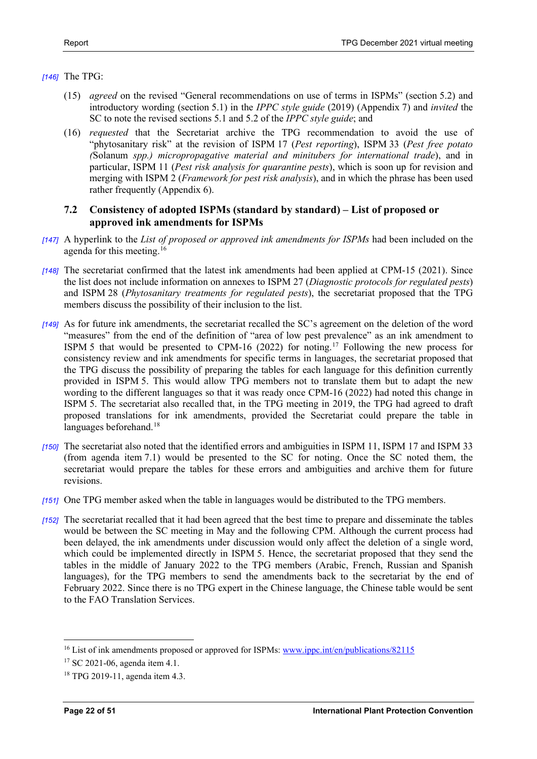# *[146]* The TPG:

- (15) *agreed* on the revised "General recommendations on use of terms in ISPMs" (section 5.2) and introductory wording (section 5.1) in the *IPPC style guide* (2019) (Appendix 7) and *invited* the SC to note the revised sections 5.1 and 5.2 of the *IPPC style guide*; and
- (16) *requested* that the Secretariat archive the TPG recommendation to avoid the use of "phytosanitary risk" at the revision of ISPM 17 (*Pest reporting*), ISPM 33 (*Pest free potato (*Solanum *spp.) micropropagative material and minitubers for international trade*), and in particular, ISPM 11 (*Pest risk analysis for quarantine pests*), which is soon up for revision and merging with ISPM 2 (*Framework for pest risk analysis*), and in which the phrase has been used rather frequently (Appendix 6).

# <span id="page-21-0"></span>**7.2 Consistency of adopted ISPMs (standard by standard) – List of proposed or approved ink amendments for ISPMs**

- *[147]* A hyperlink to the *List of proposed or approved ink amendments for ISPMs* had been included on the agenda for this meeting.<sup>[16](#page-21-1)</sup>
- *[148]* The secretariat confirmed that the latest ink amendments had been applied at CPM-15 (2021). Since the list does not include information on annexes to ISPM 27 (*Diagnostic protocols for regulated pests*) and ISPM 28 (*Phytosanitary treatments for regulated pests*), the secretariat proposed that the TPG members discuss the possibility of their inclusion to the list.
- *[149]* As for future ink amendments, the secretariat recalled the SC's agreement on the deletion of the word "measures" from the end of the definition of "area of low pest prevalence" as an ink amendment to ISPM 5 that would be presented to CPM-16 (2022) for noting.[17](#page-21-2) Following the new process for consistency review and ink amendments for specific terms in languages, the secretariat proposed that the TPG discuss the possibility of preparing the tables for each language for this definition currently provided in ISPM 5. This would allow TPG members not to translate them but to adapt the new wording to the different languages so that it was ready once CPM-16 (2022) had noted this change in ISPM 5. The secretariat also recalled that, in the TPG meeting in 2019, the TPG had agreed to draft proposed translations for ink amendments, provided the Secretariat could prepare the table in languages beforehand.<sup>18</sup>
- *[150]* The secretariat also noted that the identified errors and ambiguities in ISPM 11, ISPM 17 and ISPM 33 (from agenda item 7.1) would be presented to the SC for noting. Once the SC noted them, the secretariat would prepare the tables for these errors and ambiguities and archive them for future revisions.
- *[151]* One TPG member asked when the table in languages would be distributed to the TPG members.
- *[152]* The secretariat recalled that it had been agreed that the best time to prepare and disseminate the tables would be between the SC meeting in May and the following CPM. Although the current process had been delayed, the ink amendments under discussion would only affect the deletion of a single word, which could be implemented directly in ISPM 5. Hence, the secretariat proposed that they send the tables in the middle of January 2022 to the TPG members (Arabic, French, Russian and Spanish languages), for the TPG members to send the amendments back to the secretariat by the end of February 2022. Since there is no TPG expert in the Chinese language, the Chinese table would be sent to the FAO Translation Services.

<span id="page-21-1"></span><sup>&</sup>lt;sup>16</sup> List of ink amendments proposed or approved for ISPMs[: www.ippc.int/en/publications/82115](https://www.ippc.int/en/publications/82115/)

<span id="page-21-2"></span><sup>&</sup>lt;sup>17</sup> SC 2021-06, agenda item 4.1.

<span id="page-21-3"></span><sup>18</sup> TPG 2019-11, agenda item 4.3.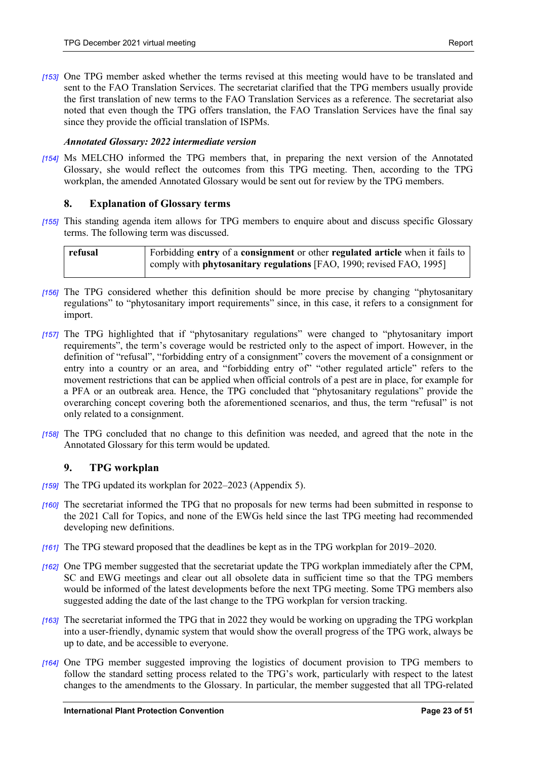*[153]* One TPG member asked whether the terms revised at this meeting would have to be translated and sent to the FAO Translation Services. The secretariat clarified that the TPG members usually provide the first translation of new terms to the FAO Translation Services as a reference. The secretariat also noted that even though the TPG offers translation, the FAO Translation Services have the final say since they provide the official translation of ISPMs.

# *Annotated Glossary: 2022 intermediate version*

*[154]* Ms MELCHO informed the TPG members that, in preparing the next version of the Annotated Glossary, she would reflect the outcomes from this TPG meeting. Then, according to the TPG workplan, the amended Annotated Glossary would be sent out for review by the TPG members.

# <span id="page-22-0"></span>**8. Explanation of Glossary terms**

*[155]* This standing agenda item allows for TPG members to enquire about and discuss specific Glossary terms. The following term was discussed.

| refusal | Forbidding entry of a consignment or other regulated article when it fails to |
|---------|-------------------------------------------------------------------------------|
|         | comply with <b>phytosanitary regulations</b> [FAO, 1990; revised FAO, 1995]   |

- *[156]* The TPG considered whether this definition should be more precise by changing "phytosanitary regulations" to "phytosanitary import requirements" since, in this case, it refers to a consignment for import.
- *[157]* The TPG highlighted that if "phytosanitary regulations" were changed to "phytosanitary import requirements", the term's coverage would be restricted only to the aspect of import. However, in the definition of "refusal", "forbidding entry of a consignment" covers the movement of a consignment or entry into a country or an area, and "forbidding entry of" "other regulated article" refers to the movement restrictions that can be applied when official controls of a pest are in place, for example for a PFA or an outbreak area. Hence, the TPG concluded that "phytosanitary regulations" provide the overarching concept covering both the aforementioned scenarios, and thus, the term "refusal" is not only related to a consignment.
- *[158]* The TPG concluded that no change to this definition was needed, and agreed that the note in the Annotated Glossary for this term would be updated.

# <span id="page-22-1"></span>**9. TPG workplan**

- *[159]* The TPG updated its workplan for 2022–2023 (Appendix 5).
- *[160]* The secretariat informed the TPG that no proposals for new terms had been submitted in response to the 2021 Call for Topics, and none of the EWGs held since the last TPG meeting had recommended developing new definitions.
- *[161]* The TPG steward proposed that the deadlines be kept as in the TPG workplan for 2019–2020.
- *[162]* One TPG member suggested that the secretariat update the TPG workplan immediately after the CPM, SC and EWG meetings and clear out all obsolete data in sufficient time so that the TPG members would be informed of the latest developments before the next TPG meeting. Some TPG members also suggested adding the date of the last change to the TPG workplan for version tracking.
- *[163]* The secretariat informed the TPG that in 2022 they would be working on upgrading the TPG workplan into a user-friendly, dynamic system that would show the overall progress of the TPG work, always be up to date, and be accessible to everyone.
- *[164]* One TPG member suggested improving the logistics of document provision to TPG members to follow the standard setting process related to the TPG's work, particularly with respect to the latest changes to the amendments to the Glossary. In particular, the member suggested that all TPG-related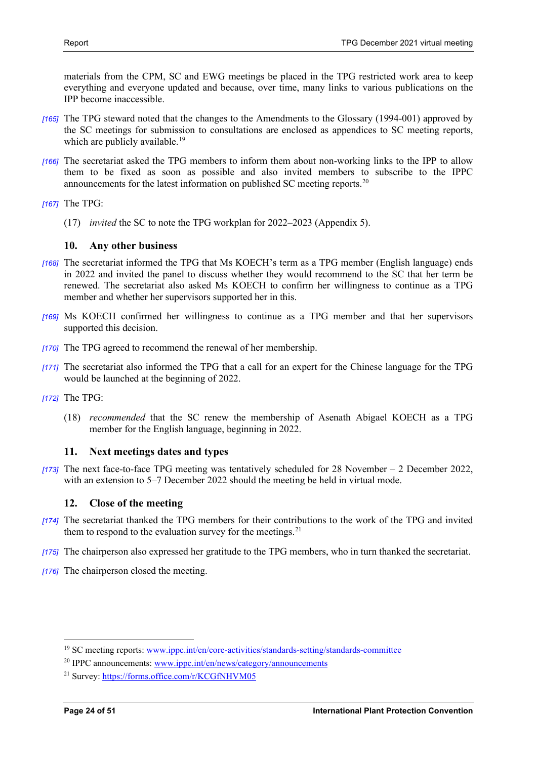materials from the CPM, SC and EWG meetings be placed in the TPG restricted work area to keep everything and everyone updated and because, over time, many links to various publications on the IPP become inaccessible.

- *[165]* The TPG steward noted that the changes to the Amendments to the Glossary (1994-001) approved by the SC meetings for submission to consultations are enclosed as appendices to SC meeting reports, which are publicly available.<sup>19</sup>
- *[166]* The secretariat asked the TPG members to inform them about non-working links to the IPP to allow them to be fixed as soon as possible and also invited members to subscribe to the IPPC announcements for the latest information on published SC meeting reports.<sup>[20](#page-23-4)</sup>
- *[167]* The TPG:
	- (17) *invited* the SC to note the TPG workplan for 2022–2023 (Appendix 5).

# <span id="page-23-0"></span>**10. Any other business**

- *[168]* The secretariat informed the TPG that Ms KOECH's term as a TPG member (English language) ends in 2022 and invited the panel to discuss whether they would recommend to the SC that her term be renewed. The secretariat also asked Ms KOECH to confirm her willingness to continue as a TPG member and whether her supervisors supported her in this.
- *[169]* Ms KOECH confirmed her willingness to continue as a TPG member and that her supervisors supported this decision.
- *[170]* The TPG agreed to recommend the renewal of her membership.
- *[171]* The secretariat also informed the TPG that a call for an expert for the Chinese language for the TPG would be launched at the beginning of 2022.
- *[172]* The TPG:
	- (18) *recommended* that the SC renew the membership of Asenath Abigael KOECH as a TPG member for the English language, beginning in 2022.

# <span id="page-23-1"></span>**11. Next meetings dates and types**

*[173]* The next face-to-face TPG meeting was tentatively scheduled for 28 November – 2 December 2022, with an extension to 5–7 December 2022 should the meeting be held in virtual mode.

# <span id="page-23-2"></span>**12. Close of the meeting**

- *[174]* The secretariat thanked the TPG members for their contributions to the work of the TPG and invited them to respond to the evaluation survey for the meetings. $21$
- *[175]* The chairperson also expressed her gratitude to the TPG members, who in turn thanked the secretariat.
- *[176]* The chairperson closed the meeting.

<span id="page-23-3"></span><sup>&</sup>lt;sup>19</sup> SC meeting reports: [www.ippc.int/en/core-activities/standards-setting/standards-committee](https://www.ippc.int/en/core-activities/standards-setting/standards-committee/)

<span id="page-23-4"></span> $20$  IPPC announcements: [www.ippc.int/en/news/category/announcements](https://www.ippc.int/en/news/category/announcements/)

<span id="page-23-5"></span><sup>21</sup> Survey[: https://forms.office.com/r/KCGfNHVM05](https://forms.office.com/r/KCGfNHVM05)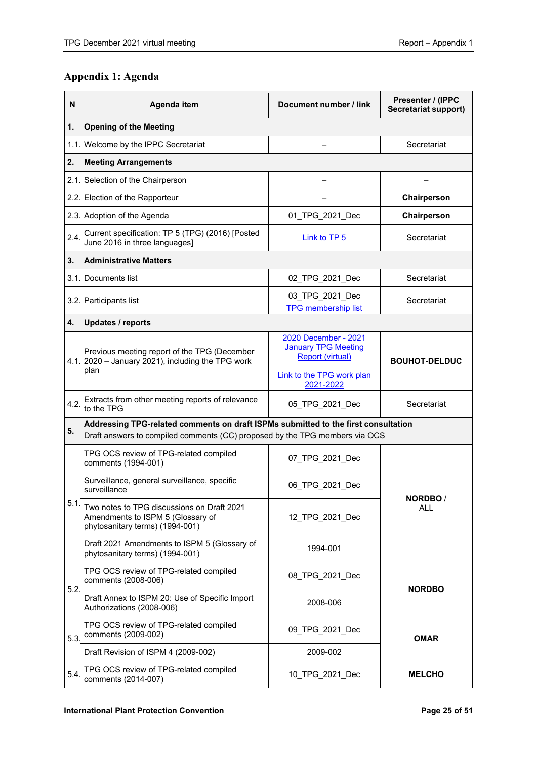# <span id="page-24-0"></span>**Appendix 1: Agenda**

| N    | Agenda item                                                                                                                                                       | Document number / link                                                                                                  | Presenter / (IPPC<br>Secretariat support) |
|------|-------------------------------------------------------------------------------------------------------------------------------------------------------------------|-------------------------------------------------------------------------------------------------------------------------|-------------------------------------------|
| 1.   | <b>Opening of the Meeting</b>                                                                                                                                     |                                                                                                                         |                                           |
|      | 1.1. Welcome by the IPPC Secretariat                                                                                                                              |                                                                                                                         | Secretariat                               |
| 2.   | <b>Meeting Arrangements</b>                                                                                                                                       |                                                                                                                         |                                           |
| 2.1  | Selection of the Chairperson                                                                                                                                      |                                                                                                                         |                                           |
| 2.2. | Election of the Rapporteur                                                                                                                                        |                                                                                                                         | Chairperson                               |
|      | 2.3. Adoption of the Agenda                                                                                                                                       | 01_TPG_2021_Dec                                                                                                         | Chairperson                               |
| 2.4. | Current specification: TP 5 (TPG) (2016) [Posted<br>June 2016 in three languages]                                                                                 | Link to TP 5                                                                                                            | Secretariat                               |
| 3.   | <b>Administrative Matters</b>                                                                                                                                     |                                                                                                                         |                                           |
| 3.1. | Documents list                                                                                                                                                    | 02 TPG 2021 Dec                                                                                                         | Secretariat                               |
|      | 3.2. Participants list                                                                                                                                            | 03_TPG_2021_Dec<br><b>TPG membership list</b>                                                                           | Secretariat                               |
| 4.   | <b>Updates / reports</b>                                                                                                                                          |                                                                                                                         |                                           |
|      | Previous meeting report of the TPG (December<br>4.1 2020 – January 2021), including the TPG work<br>plan                                                          | 2020 December - 2021<br><b>January TPG Meeting</b><br><b>Report (virtual)</b><br>Link to the TPG work plan<br>2021-2022 | <b>BOUHOT-DELDUC</b>                      |
| 4.2  | Extracts from other meeting reports of relevance<br>to the TPG                                                                                                    | 05_TPG_2021_Dec                                                                                                         | Secretariat                               |
| 5.   | Addressing TPG-related comments on draft ISPMs submitted to the first consultation<br>Draft answers to compiled comments (CC) proposed by the TPG members via OCS |                                                                                                                         |                                           |
|      | TPG OCS review of TPG-related compiled<br>comments (1994-001)                                                                                                     | 07 TPG 2021 Dec                                                                                                         |                                           |
|      | Surveillance, general surveillance, specific<br>surveillance                                                                                                      | 06 TPG 2021 Dec                                                                                                         |                                           |
| 5.1  | Two notes to TPG discussions on Draft 2021<br>Amendments to ISPM 5 (Glossary of<br>phytosanitary terms) (1994-001)                                                | 12_TPG_2021_Dec                                                                                                         | <b>NORDBO</b><br>ALL                      |
|      | Draft 2021 Amendments to ISPM 5 (Glossary of<br>phytosanitary terms) (1994-001)                                                                                   | 1994-001                                                                                                                |                                           |
| 5.2  | TPG OCS review of TPG-related compiled<br>comments (2008-006)                                                                                                     | 08_TPG_2021_Dec                                                                                                         | <b>NORDBO</b>                             |
|      | Draft Annex to ISPM 20: Use of Specific Import<br>Authorizations (2008-006)                                                                                       | 2008-006                                                                                                                |                                           |
| 5.3. | TPG OCS review of TPG-related compiled<br>comments (2009-002)                                                                                                     | 09_TPG_2021_Dec                                                                                                         | <b>OMAR</b>                               |
|      | Draft Revision of ISPM 4 (2009-002)                                                                                                                               | 2009-002                                                                                                                |                                           |
| 5.4  | TPG OCS review of TPG-related compiled<br>comments (2014-007)                                                                                                     | 10_TPG_2021_Dec                                                                                                         | <b>MELCHO</b>                             |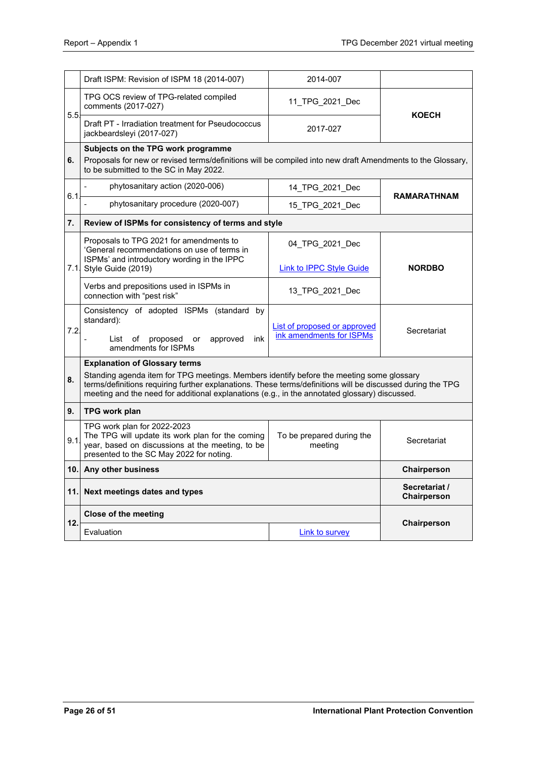|      | Draft ISPM: Revision of ISPM 18 (2014-007)                                                                                                                                                                                                                                                              | 2014-007                             |                              |  |  |
|------|---------------------------------------------------------------------------------------------------------------------------------------------------------------------------------------------------------------------------------------------------------------------------------------------------------|--------------------------------------|------------------------------|--|--|
|      | TPG OCS review of TPG-related compiled<br>comments (2017-027)                                                                                                                                                                                                                                           | 11 TPG 2021 Dec                      |                              |  |  |
| 5.5. | Draft PT - Irradiation treatment for Pseudococcus<br>jackbeardsleyi (2017-027)                                                                                                                                                                                                                          | 2017-027                             | <b>KOECH</b>                 |  |  |
| 6.   | Subjects on the TPG work programme<br>Proposals for new or revised terms/definitions will be compiled into new draft Amendments to the Glossary,<br>to be submitted to the SC in May 2022.                                                                                                              |                                      |                              |  |  |
|      | phytosanitary action (2020-006)                                                                                                                                                                                                                                                                         | 14 TPG 2021 Dec                      |                              |  |  |
| 6.1  | phytosanitary procedure (2020-007)                                                                                                                                                                                                                                                                      | 15_TPG_2021_Dec                      | <b>RAMARATHNAM</b>           |  |  |
| 7.   | Review of ISPMs for consistency of terms and style                                                                                                                                                                                                                                                      |                                      |                              |  |  |
|      | Proposals to TPG 2021 for amendments to<br>'General recommendations on use of terms in<br>ISPMs' and introductory wording in the IPPC                                                                                                                                                                   | 04 TPG 2021 Dec                      |                              |  |  |
|      | 7.1. Style Guide (2019)                                                                                                                                                                                                                                                                                 | <b>Link to IPPC Style Guide</b>      | <b>NORDBO</b>                |  |  |
|      | Verbs and prepositions used in ISPMs in<br>connection with "pest risk"                                                                                                                                                                                                                                  | 13_TPG_2021_Dec                      |                              |  |  |
| 7.2. | Consistency of adopted ISPMs (standard by<br>standard):                                                                                                                                                                                                                                                 | <b>List of proposed or approved</b>  | Secretariat                  |  |  |
|      | proposed<br>approved<br>ink<br>List<br>of<br>or<br>amendments for ISPMs                                                                                                                                                                                                                                 | ink amendments for ISPMs             |                              |  |  |
|      | <b>Explanation of Glossary terms</b>                                                                                                                                                                                                                                                                    |                                      |                              |  |  |
| 8.   | Standing agenda item for TPG meetings. Members identify before the meeting some glossary<br>terms/definitions requiring further explanations. These terms/definitions will be discussed during the TPG<br>meeting and the need for additional explanations (e.g., in the annotated glossary) discussed. |                                      |                              |  |  |
| 9.   | TPG work plan                                                                                                                                                                                                                                                                                           |                                      |                              |  |  |
| 9.1  | TPG work plan for 2022-2023<br>The TPG will update its work plan for the coming<br>year, based on discussions at the meeting, to be<br>presented to the SC May 2022 for noting.                                                                                                                         | To be prepared during the<br>meeting | Secretariat                  |  |  |
|      | 10. Any other business                                                                                                                                                                                                                                                                                  |                                      | Chairperson                  |  |  |
| 11.I | Next meetings dates and types                                                                                                                                                                                                                                                                           |                                      | Secretariat /<br>Chairperson |  |  |
| 12.  | Close of the meeting                                                                                                                                                                                                                                                                                    |                                      |                              |  |  |
|      | Evaluation                                                                                                                                                                                                                                                                                              | <b>Link to survey</b>                | Chairperson                  |  |  |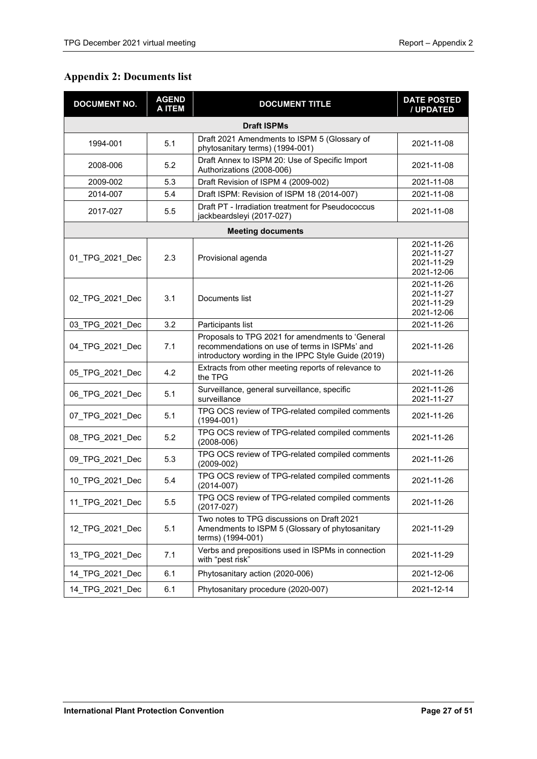# <span id="page-26-0"></span>**Appendix 2: Documents list**

| <b>DOCUMENT NO.</b> | <b>AGEND</b><br><b>DOCUMENT TITLE</b><br><b>AITEM</b> |                                                                                                                                                          | <b>DATE POSTED</b><br>/ UPDATED                      |  |  |  |
|---------------------|-------------------------------------------------------|----------------------------------------------------------------------------------------------------------------------------------------------------------|------------------------------------------------------|--|--|--|
| <b>Draft ISPMs</b>  |                                                       |                                                                                                                                                          |                                                      |  |  |  |
| 5.1<br>1994-001     |                                                       | Draft 2021 Amendments to ISPM 5 (Glossary of<br>phytosanitary terms) (1994-001)                                                                          | 2021-11-08                                           |  |  |  |
| 2008-006            | 5.2                                                   | Draft Annex to ISPM 20: Use of Specific Import<br>Authorizations (2008-006)                                                                              | 2021-11-08                                           |  |  |  |
| 2009-002            | 5.3                                                   | Draft Revision of ISPM 4 (2009-002)                                                                                                                      | 2021-11-08                                           |  |  |  |
| 2014-007            | 5.4                                                   | Draft ISPM: Revision of ISPM 18 (2014-007)                                                                                                               | 2021-11-08                                           |  |  |  |
| 2017-027            | 5.5                                                   | Draft PT - Irradiation treatment for Pseudococcus<br>jackbeardsleyi (2017-027)                                                                           | 2021-11-08                                           |  |  |  |
|                     |                                                       | <b>Meeting documents</b>                                                                                                                                 |                                                      |  |  |  |
| 01_TPG_2021_Dec     | 2.3                                                   | Provisional agenda                                                                                                                                       | 2021-11-26<br>2021-11-27<br>2021-11-29<br>2021-12-06 |  |  |  |
| 02 TPG 2021 Dec     | 3.1                                                   | Documents list                                                                                                                                           | 2021-11-26<br>2021-11-27<br>2021-11-29<br>2021-12-06 |  |  |  |
| 03 TPG 2021 Dec     | 3.2                                                   | Participants list                                                                                                                                        | 2021-11-26                                           |  |  |  |
| 04_TPG_2021_Dec     | 7.1                                                   | Proposals to TPG 2021 for amendments to 'General<br>recommendations on use of terms in ISPMs' and<br>introductory wording in the IPPC Style Guide (2019) | 2021-11-26                                           |  |  |  |
| 05_TPG_2021_Dec     | 4.2                                                   | Extracts from other meeting reports of relevance to<br>the TPG                                                                                           | 2021-11-26                                           |  |  |  |
| 06_TPG_2021_Dec     | 5.1                                                   | Surveillance, general surveillance, specific<br>surveillance                                                                                             | 2021-11-26<br>2021-11-27                             |  |  |  |
| 07_TPG_2021_Dec     | 5.1                                                   | TPG OCS review of TPG-related compiled comments<br>$(1994 - 001)$                                                                                        | 2021-11-26                                           |  |  |  |
| 08_TPG_2021_Dec     | 5.2                                                   | TPG OCS review of TPG-related compiled comments<br>$(2008 - 006)$                                                                                        | 2021-11-26                                           |  |  |  |
| 09 TPG 2021 Dec     | 5.3                                                   | TPG OCS review of TPG-related compiled comments<br>$(2009 - 002)$                                                                                        | 2021-11-26                                           |  |  |  |
| 10_TPG_2021_Dec     | 5.4                                                   | TPG OCS review of TPG-related compiled comments<br>$(2014 - 007)$                                                                                        | 2021-11-26                                           |  |  |  |
| 11 TPG 2021 Dec     | 5.5                                                   | TPG OCS review of TPG-related compiled comments<br>$(2017-027)$                                                                                          | 2021-11-26                                           |  |  |  |
| 12_TPG_2021_Dec     | 5.1                                                   | Two notes to TPG discussions on Draft 2021<br>Amendments to ISPM 5 (Glossary of phytosanitary<br>terms) (1994-001)                                       | 2021-11-29                                           |  |  |  |
| 13 TPG 2021 Dec     | 7.1                                                   | Verbs and prepositions used in ISPMs in connection<br>with "pest risk"                                                                                   | 2021-11-29                                           |  |  |  |
| 14_TPG_2021_Dec     | 6.1                                                   | Phytosanitary action (2020-006)                                                                                                                          | 2021-12-06                                           |  |  |  |
| 14 TPG 2021 Dec     | 6.1                                                   | Phytosanitary procedure (2020-007)                                                                                                                       | 2021-12-14                                           |  |  |  |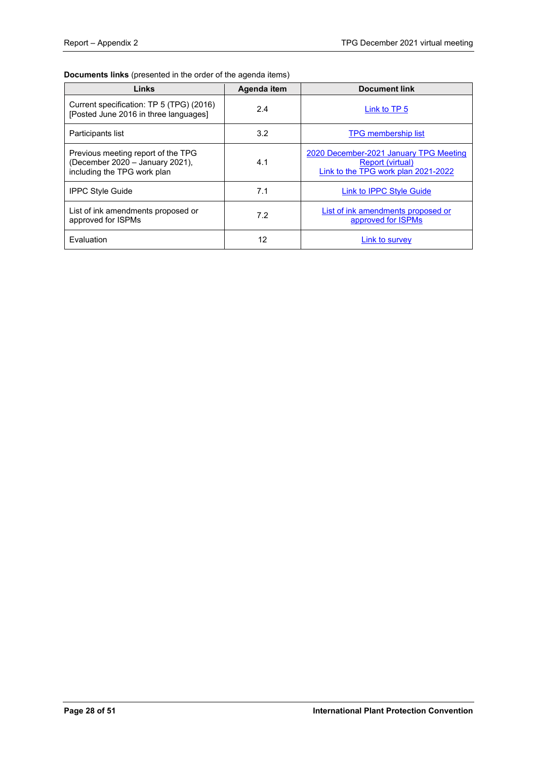# **Documents links** (presented in the order of the agenda items)

| Links                                                                                                | Agenda item | <b>Document link</b>                                                                              |
|------------------------------------------------------------------------------------------------------|-------------|---------------------------------------------------------------------------------------------------|
| Current specification: TP 5 (TPG) (2016)<br>[Posted June 2016 in three languages]                    | 2.4         | Link to TP 5                                                                                      |
| Participants list                                                                                    | 3.2         | <b>TPG</b> membership list                                                                        |
| Previous meeting report of the TPG<br>(December 2020 - January 2021),<br>including the TPG work plan | 4.1         | 2020 December-2021 January TPG Meeting<br>Report (virtual)<br>Link to the TPG work plan 2021-2022 |
| <b>IPPC Style Guide</b>                                                                              | 7.1         | Link to <b>IPPC</b> Style Guide                                                                   |
| List of ink amendments proposed or<br>approved for ISPMs                                             | 7.2         | List of ink amendments proposed or<br>approved for ISPMs                                          |
| Fvaluation                                                                                           | 12          | Link to survey                                                                                    |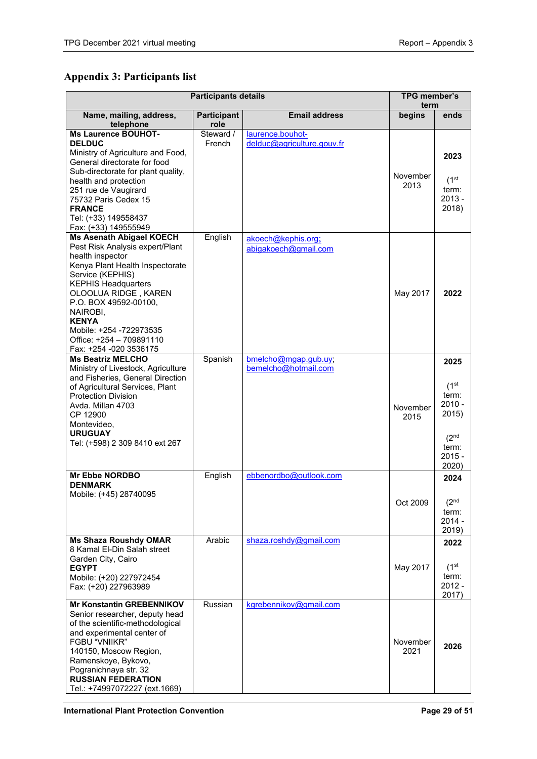# <span id="page-28-0"></span>**Appendix 3: Participants list**

| <b>Participants details</b>                                           |                     |                                                | <b>TPG member's</b><br>term |                             |
|-----------------------------------------------------------------------|---------------------|------------------------------------------------|-----------------------------|-----------------------------|
| <b>Email address</b><br>Name, mailing, address,<br><b>Participant</b> |                     | begins                                         | ends                        |                             |
| telephone                                                             | role                |                                                |                             |                             |
| <b>Ms Laurence BOUHOT-</b><br><b>DELDUC</b>                           | Steward /<br>French | laurence.bouhot-<br>delduc@agriculture.gouv.fr |                             |                             |
| Ministry of Agriculture and Food,                                     |                     |                                                |                             | 2023                        |
| General directorate for food                                          |                     |                                                |                             |                             |
| Sub-directorate for plant quality,                                    |                     |                                                | November                    |                             |
| health and protection<br>251 rue de Vaugirard                         |                     |                                                | 2013                        | (1 <sup>st</sup> )<br>term: |
| 75732 Paris Cedex 15                                                  |                     |                                                |                             | $2013 -$                    |
| <b>FRANCE</b>                                                         |                     |                                                |                             | 2018)                       |
| Tel: (+33) 149558437                                                  |                     |                                                |                             |                             |
| Fax: (+33) 149555949                                                  |                     |                                                |                             |                             |
| <b>Ms Asenath Abigael KOECH</b><br>Pest Risk Analysis expert/Plant    | English             | akoech@kephis.org;                             |                             |                             |
| health inspector                                                      |                     | abigakoech@gmail.com                           |                             |                             |
| Kenya Plant Health Inspectorate                                       |                     |                                                |                             |                             |
| Service (KEPHIS)                                                      |                     |                                                |                             |                             |
| <b>KEPHIS Headquarters</b>                                            |                     |                                                |                             |                             |
| OLOOLUA RIDGE, KAREN<br>P.O. BOX 49592-00100,                         |                     |                                                | May 2017                    | 2022                        |
| NAIROBI,                                                              |                     |                                                |                             |                             |
| <b>KENYA</b>                                                          |                     |                                                |                             |                             |
| Mobile: +254 -722973535                                               |                     |                                                |                             |                             |
| Office: +254 - 709891110                                              |                     |                                                |                             |                             |
| Fax: +254 -020 3536175<br><b>Ms Beatriz MELCHO</b>                    | Spanish             | bmelcho@mgap.gub.uy;                           |                             |                             |
| Ministry of Livestock, Agriculture                                    |                     | bemelcho@hotmail.com                           |                             | 2025                        |
| and Fisheries, General Direction                                      |                     |                                                |                             |                             |
| of Agricultural Services, Plant                                       |                     |                                                |                             | (1 <sup>st</sup> )          |
| <b>Protection Division</b>                                            |                     |                                                |                             | term:<br>$2010 -$           |
| Avda. Millan 4703<br>CP 12900                                         |                     |                                                | November                    | 2015)                       |
| Montevideo,                                                           |                     |                                                | 2015                        |                             |
| <b>URUGUAY</b>                                                        |                     |                                                |                             | (2 <sup>nd</sup> )          |
| Tel: (+598) 2 309 8410 ext 267                                        |                     |                                                |                             | term:                       |
|                                                                       |                     |                                                |                             | $2015 -$                    |
|                                                                       |                     |                                                |                             | 2020)                       |
| <b>Mr Ebbe NORDBO</b><br><b>DENMARK</b>                               | English             | ebbenordbo@outlook.com                         |                             | 2024                        |
| Mobile: (+45) 28740095                                                |                     |                                                |                             |                             |
|                                                                       |                     |                                                | Oct 2009                    | (2 <sup>nd</sup>            |
|                                                                       |                     |                                                |                             | term:                       |
|                                                                       |                     |                                                |                             | $2014 -$<br>2019)           |
| <b>Ms Shaza Roushdy OMAR</b>                                          | Arabic              | shaza.roshdy@gmail.com                         |                             | 2022                        |
| 8 Kamal El-Din Salah street                                           |                     |                                                |                             |                             |
| Garden City, Cairo                                                    |                     |                                                |                             |                             |
| <b>EGYPT</b>                                                          |                     |                                                | May 2017                    | (1 <sup>st</sup> )<br>term: |
| Mobile: (+20) 227972454<br>Fax: (+20) 227963989                       |                     |                                                |                             | $2012 -$                    |
|                                                                       |                     |                                                |                             | 2017)                       |
| <b>Mr Konstantin GREBENNIKOV</b>                                      | Russian             | kgrebennikov@gmail.com                         |                             |                             |
| Senior researcher, deputy head<br>of the scientific-methodological    |                     |                                                |                             |                             |
| and experimental center of                                            |                     |                                                |                             |                             |
| FGBU "VNIIKR"                                                         |                     |                                                | November                    | 2026                        |
| 140150, Moscow Region,                                                |                     |                                                | 2021                        |                             |
| Ramenskoye, Bykovo,                                                   |                     |                                                |                             |                             |
| Pogranichnaya str. 32<br><b>RUSSIAN FEDERATION</b>                    |                     |                                                |                             |                             |
| Tel.: +74997072227 (ext.1669)                                         |                     |                                                |                             |                             |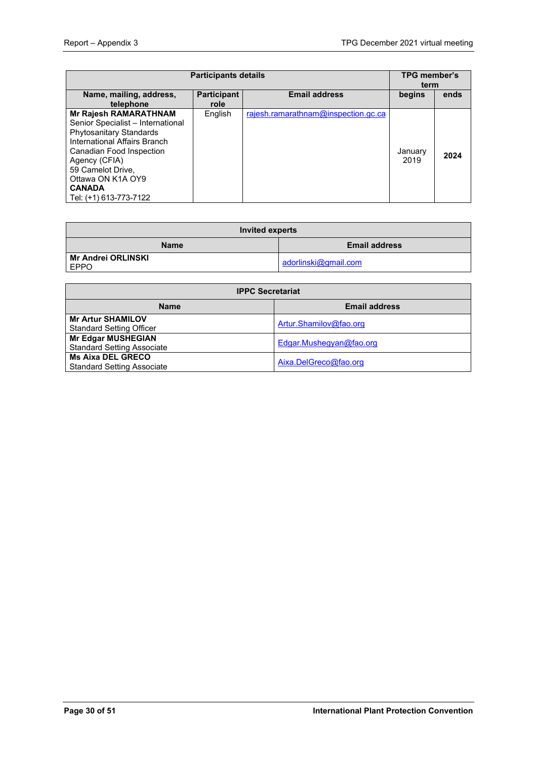| <b>Participants details</b>                                                                                                                                                                                                                                    |                            |                                     | <b>TPG member's</b><br>term |      |
|----------------------------------------------------------------------------------------------------------------------------------------------------------------------------------------------------------------------------------------------------------------|----------------------------|-------------------------------------|-----------------------------|------|
| Name, mailing, address,<br>telephone                                                                                                                                                                                                                           | <b>Participant</b><br>role | <b>Email address</b>                | begins                      | ends |
| <b>Mr Rajesh RAMARATHNAM</b><br>Senior Specialist - International<br>Phytosanitary Standards<br>International Affairs Branch<br>Canadian Food Inspection<br>Agency (CFIA)<br>59 Camelot Drive,<br>Ottawa ON K1A OY9<br><b>CANADA</b><br>Tel: (+1) 613-773-7122 | English                    | rajesh.ramarathnam@inspection.gc.ca | January<br>2019             | 2024 |

| Invited experts                     |                      |  |  |  |
|-------------------------------------|----------------------|--|--|--|
| <b>Email address</b><br><b>Name</b> |                      |  |  |  |
| Mr Andrei ORLINSKI<br><b>EPPO</b>   | adorlinski@gmail.com |  |  |  |

| <b>IPPC Secretariat</b>                                        |                         |  |  |  |
|----------------------------------------------------------------|-------------------------|--|--|--|
| <b>Name</b>                                                    | <b>Email address</b>    |  |  |  |
| <b>Mr Artur SHAMILOV</b><br><b>Standard Setting Officer</b>    | Artur.Shamilov@fao.org  |  |  |  |
| <b>Mr Edgar MUSHEGIAN</b><br><b>Standard Setting Associate</b> | Edgar.Mushegyan@fao.org |  |  |  |
| <b>Ms Aixa DEL GRECO</b><br><b>Standard Setting Associate</b>  | Aixa.DelGreco@fao.org   |  |  |  |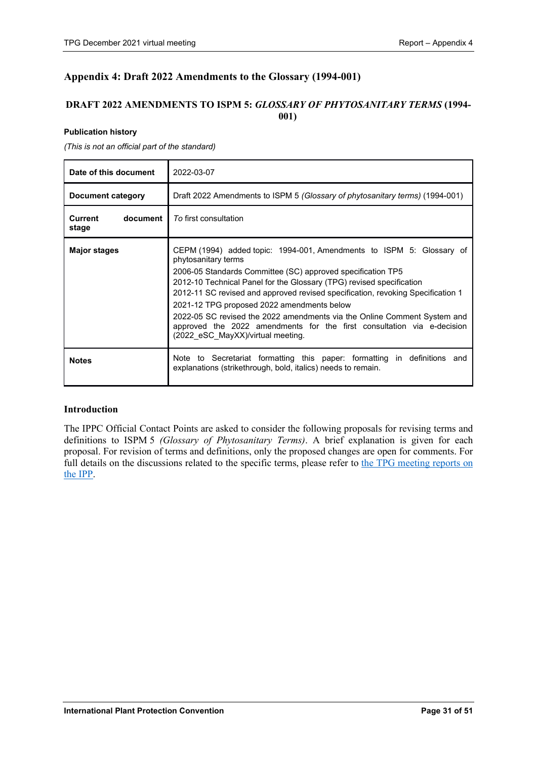# <span id="page-30-0"></span>**Appendix 4: Draft 2022 Amendments to the Glossary (1994-001)**

# **DRAFT 2022 AMENDMENTS TO ISPM 5:** *GLOSSARY OF PHYTOSANITARY TERMS* **(1994- 001)**

#### **Publication history**

*(This is not an official part of the standard)*

| Date of this document          | 2022-03-07                                                                                                                                                                                                                                                                                                                                                                                                                                                                                                                                                     |
|--------------------------------|----------------------------------------------------------------------------------------------------------------------------------------------------------------------------------------------------------------------------------------------------------------------------------------------------------------------------------------------------------------------------------------------------------------------------------------------------------------------------------------------------------------------------------------------------------------|
| Document category              | Draft 2022 Amendments to ISPM 5 (Glossary of phytosanitary terms) (1994-001)                                                                                                                                                                                                                                                                                                                                                                                                                                                                                   |
| Current<br>document  <br>stage | To first consultation                                                                                                                                                                                                                                                                                                                                                                                                                                                                                                                                          |
| <b>Major stages</b>            | CEPM (1994) added topic: 1994-001, Amendments to ISPM 5: Glossary of<br>phytosanitary terms<br>2006-05 Standards Committee (SC) approved specification TP5<br>2012-10 Technical Panel for the Glossary (TPG) revised specification<br>2012-11 SC revised and approved revised specification, revoking Specification 1<br>2021-12 TPG proposed 2022 amendments below<br>2022-05 SC revised the 2022 amendments via the Online Comment System and<br>approved the 2022 amendments for the first consultation via e-decision<br>(2022_eSC_MayXX)/virtual meeting. |
| <b>Notes</b>                   | Note to Secretariat formatting this paper: formatting in definitions and<br>explanations (strikethrough, bold, italics) needs to remain.                                                                                                                                                                                                                                                                                                                                                                                                                       |

# **Introduction**

The IPPC Official Contact Points are asked to consider the following proposals for revising terms and definitions to ISPM 5 *(Glossary of Phytosanitary Terms)*. A brief explanation is given for each proposal. For revision of terms and definitions, only the proposed changes are open for comments. For full details on the discussions related to the specific terms, please refer to the TPG meeting reports on [the IPP.](https://www.ippc.int/en/core-activities/standards-setting/expert-drafting-groups/technical-panels/technical-panel-glossary-phytosanitary-terms-ispm-5/)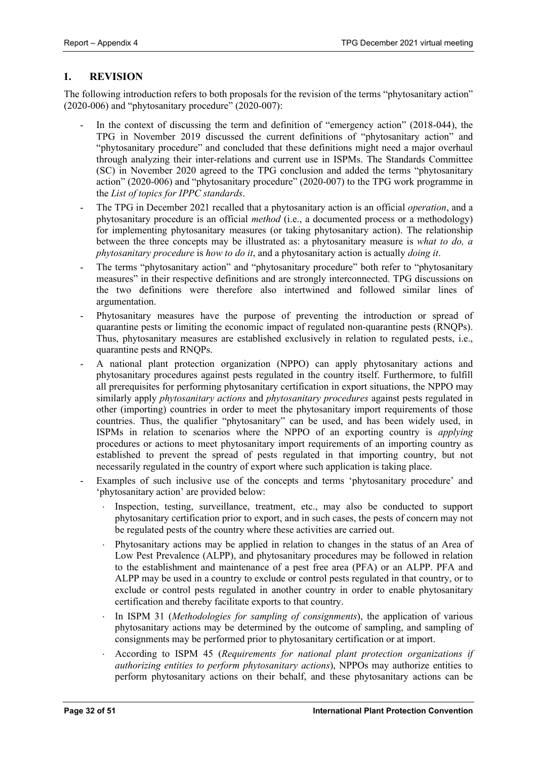# **1. REVISION**

The following introduction refers to both proposals for the revision of the terms "phytosanitary action"  $(2020-006)$  and "phytosanitary procedure"  $(2020-007)$ :

- In the context of discussing the term and definition of "emergency action" (2018-044), the TPG in November 2019 discussed the current definitions of "phytosanitary action" and "phytosanitary procedure" and concluded that these definitions might need a major overhaul through analyzing their inter-relations and current use in ISPMs. The Standards Committee (SC) in November 2020 agreed to the TPG conclusion and added the terms "phytosanitary action" (2020-006) and "phytosanitary procedure" (2020-007) to the TPG work programme in the *List of topics for IPPC standards*.
- The TPG in December 2021 recalled that a phytosanitary action is an official *operation*, and a phytosanitary procedure is an official *method* (i.e., a documented process or a methodology) for implementing phytosanitary measures (or taking phytosanitary action). The relationship between the three concepts may be illustrated as: a phytosanitary measure is *what to do, a phytosanitary procedure* is *how to do it*, and a phytosanitary action is actually *doing it*.
- The terms "phytosanitary action" and "phytosanitary procedure" both refer to "phytosanitary measures" in their respective definitions and are strongly interconnected. TPG discussions on the two definitions were therefore also intertwined and followed similar lines of argumentation.
- Phytosanitary measures have the purpose of preventing the introduction or spread of quarantine pests or limiting the economic impact of regulated non-quarantine pests (RNQPs). Thus, phytosanitary measures are established exclusively in relation to regulated pests, i.e., quarantine pests and RNQPs.
- A national plant protection organization (NPPO) can apply phytosanitary actions and phytosanitary procedures against pests regulated in the country itself. Furthermore, to fulfill all prerequisites for performing phytosanitary certification in export situations, the NPPO may similarly apply *phytosanitary actions* and *phytosanitary procedures* against pests regulated in other (importing) countries in order to meet the phytosanitary import requirements of those countries. Thus, the qualifier "phytosanitary" can be used, and has been widely used, in ISPMs in relation to scenarios where the NPPO of an exporting country is *applying* procedures or actions to meet phytosanitary import requirements of an importing country as established to prevent the spread of pests regulated in that importing country, but not necessarily regulated in the country of export where such application is taking place.
- Examples of such inclusive use of the concepts and terms 'phytosanitary procedure' and 'phytosanitary action' are provided below:
	- Inspection, testing, surveillance, treatment, etc., may also be conducted to support phytosanitary certification prior to export, and in such cases, the pests of concern may not be regulated pests of the country where these activities are carried out.
	- Phytosanitary actions may be applied in relation to changes in the status of an Area of Low Pest Prevalence (ALPP), and phytosanitary procedures may be followed in relation to the establishment and maintenance of a pest free area (PFA) or an ALPP. PFA and ALPP may be used in a country to exclude or control pests regulated in that country, or to exclude or control pests regulated in another country in order to enable phytosanitary certification and thereby facilitate exports to that country.
	- In ISPM 31 (*Methodologies for sampling of consignments*), the application of various phytosanitary actions may be determined by the outcome of sampling, and sampling of consignments may be performed prior to phytosanitary certification or at import.
	- ⋅ According to ISPM 45 (*Requirements for national plant protection organizations if authorizing entities to perform phytosanitary actions*), NPPOs may authorize entities to perform phytosanitary actions on their behalf, and these phytosanitary actions can be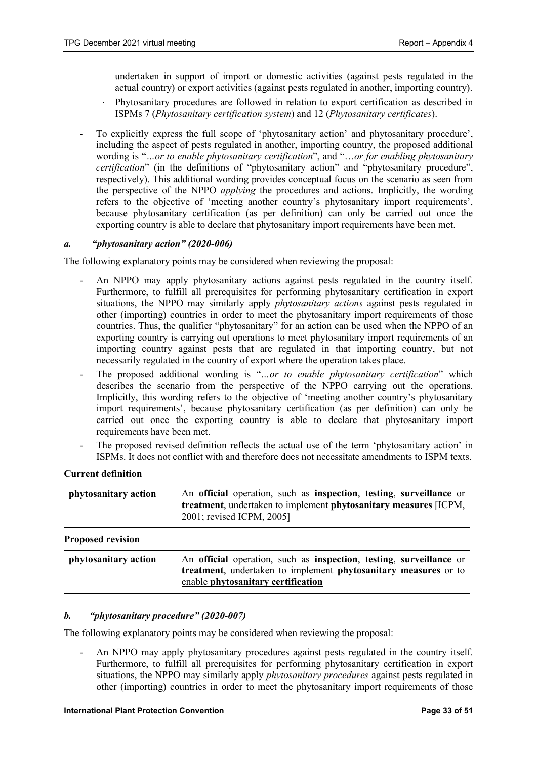undertaken in support of import or domestic activities (against pests regulated in the actual country) or export activities (against pests regulated in another, importing country).

- Phytosanitary procedures are followed in relation to export certification as described in ISPMs 7 (*Phytosanitary certification system*) and 12 (*Phytosanitary certificates*).
- To explicitly express the full scope of 'phytosanitary action' and phytosanitary procedure', including the aspect of pests regulated in another, importing country, the proposed additional wording is "*…or to enable phytosanitary certification*", and "…*or for enabling phytosanitary certification*" (in the definitions of "phytosanitary action" and "phytosanitary procedure", respectively). This additional wording provides conceptual focus on the scenario as seen from the perspective of the NPPO *applying* the procedures and actions. Implicitly, the wording refers to the objective of 'meeting another country's phytosanitary import requirements', because phytosanitary certification (as per definition) can only be carried out once the exporting country is able to declare that phytosanitary import requirements have been met.

#### *a. "phytosanitary action" (2020-006)*

The following explanatory points may be considered when reviewing the proposal:

- An NPPO may apply phytosanitary actions against pests regulated in the country itself. Furthermore, to fulfill all prerequisites for performing phytosanitary certification in export situations, the NPPO may similarly apply *phytosanitary actions* against pests regulated in other (importing) countries in order to meet the phytosanitary import requirements of those countries. Thus, the qualifier "phytosanitary" for an action can be used when the NPPO of an exporting country is carrying out operations to meet phytosanitary import requirements of an importing country against pests that are regulated in that importing country, but not necessarily regulated in the country of export where the operation takes place.
- The proposed additional wording is "...or to enable phytosanitary certification" which describes the scenario from the perspective of the NPPO carrying out the operations. Implicitly, this wording refers to the objective of 'meeting another country's phytosanitary import requirements', because phytosanitary certification (as per definition) can only be carried out once the exporting country is able to declare that phytosanitary import requirements have been met.
- The proposed revised definition reflects the actual use of the term 'phytosanitary action' in ISPMs. It does not conflict with and therefore does not necessitate amendments to ISPM texts.

# **Current definition**

| phytosanitary action | An official operation, such as inspection, testing, surveillance or |
|----------------------|---------------------------------------------------------------------|
|                      | treatment, undertaken to implement phytosanitary measures [ICPM,    |
|                      | 2001; revised ICPM, 2005]                                           |

#### **Proposed revision**

| phytosanitary action | An official operation, such as inspection, testing, surveillance or |
|----------------------|---------------------------------------------------------------------|
|                      | treatment, undertaken to implement phytosanitary measures or to     |
|                      | enable phytosanitary certification                                  |

# *b. "phytosanitary procedure" (2020-007)*

The following explanatory points may be considered when reviewing the proposal:

- An NPPO may apply phytosanitary procedures against pests regulated in the country itself. Furthermore, to fulfill all prerequisites for performing phytosanitary certification in export situations, the NPPO may similarly apply *phytosanitary procedures* against pests regulated in other (importing) countries in order to meet the phytosanitary import requirements of those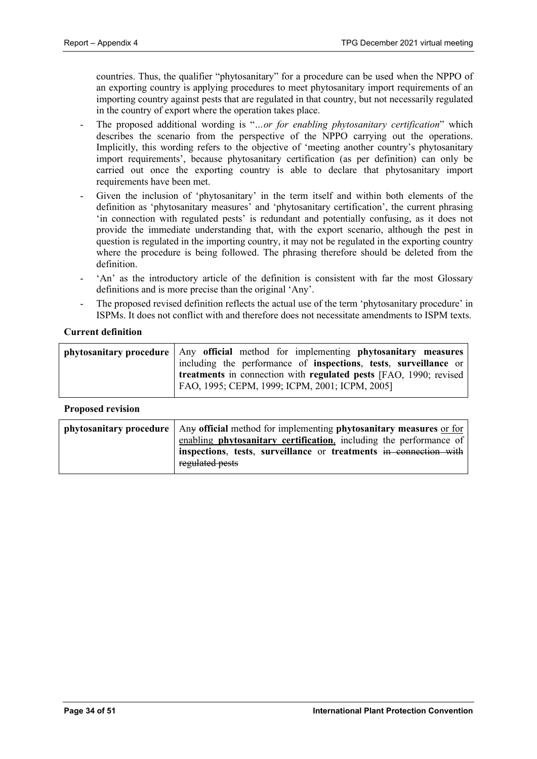countries. Thus, the qualifier "phytosanitary" for a procedure can be used when the NPPO of an exporting country is applying procedures to meet phytosanitary import requirements of an importing country against pests that are regulated in that country, but not necessarily regulated in the country of export where the operation takes place.

- The proposed additional wording is "*…or for enabling phytosanitary certification*" which describes the scenario from the perspective of the NPPO carrying out the operations. Implicitly, this wording refers to the objective of 'meeting another country's phytosanitary import requirements', because phytosanitary certification (as per definition) can only be carried out once the exporting country is able to declare that phytosanitary import requirements have been met.
- Given the inclusion of 'phytosanitary' in the term itself and within both elements of the definition as 'phytosanitary measures' and 'phytosanitary certification', the current phrasing 'in connection with regulated pests' is redundant and potentially confusing, as it does not provide the immediate understanding that, with the export scenario, although the pest in question is regulated in the importing country, it may not be regulated in the exporting country where the procedure is being followed. The phrasing therefore should be deleted from the definition.
- 'An' as the introductory article of the definition is consistent with far the most Glossary definitions and is more precise than the original 'Any'.
- The proposed revised definition reflects the actual use of the term 'phytosanitary procedure' in ISPMs. It does not conflict with and therefore does not necessitate amendments to ISPM texts.

# **Current definition**

| phytosanitary procedure   Any official method for implementing phytosanitary measures   |
|-----------------------------------------------------------------------------------------|
| including the performance of <b>inspections</b> , <b>tests</b> , <b>surveillance</b> or |
| treatments in connection with regulated pests [FAO, 1990; revised]                      |
| FAO, 1995; CEPM, 1999; ICPM, 2001; ICPM, 2005]                                          |

# **Proposed revision**

| <b>phytosanitary procedure</b> $\vert$ Any <b>official</b> method for implementing <b>phytosanitary measures</b> or for |
|-------------------------------------------------------------------------------------------------------------------------|
| enabling <b>phytosanitary certification</b> , including the performance of                                              |
| inspections, tests, surveillance or treatments in connection with                                                       |
| regulated pests                                                                                                         |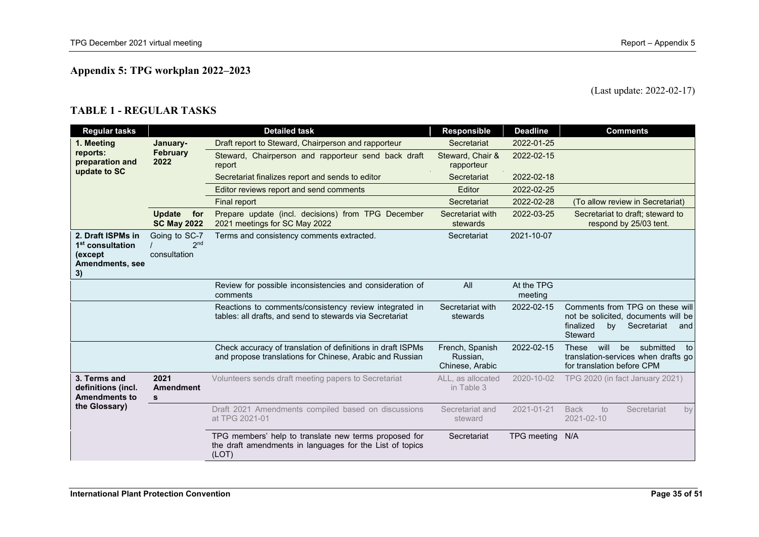# **Appendix 5: TPG workplan 2022–2023**

# (Last update: 2022-02-17)

# **TABLE 1 - REGULAR TASKS**

<span id="page-34-0"></span>

| <b>Regular tasks</b>                                                                  |                                                  | <b>Detailed task</b>                                                                                                       | <b>Responsible</b>                             | <b>Deadline</b>       | <b>Comments</b>                                                                                                            |
|---------------------------------------------------------------------------------------|--------------------------------------------------|----------------------------------------------------------------------------------------------------------------------------|------------------------------------------------|-----------------------|----------------------------------------------------------------------------------------------------------------------------|
| 1. Meeting                                                                            | January-                                         | Draft report to Steward, Chairperson and rapporteur                                                                        | Secretariat                                    | 2022-01-25            |                                                                                                                            |
| reports:<br>preparation and                                                           | <b>February</b><br>2022                          | Steward, Chairperson and rapporteur send back draft<br>report                                                              | Steward, Chair &<br>rapporteur                 | 2022-02-15            |                                                                                                                            |
| update to SC                                                                          |                                                  | Secretariat finalizes report and sends to editor                                                                           | Secretariat                                    | 2022-02-18            |                                                                                                                            |
|                                                                                       |                                                  | Editor reviews report and send comments                                                                                    | Editor                                         | 2022-02-25            |                                                                                                                            |
|                                                                                       |                                                  | <b>Final report</b>                                                                                                        | Secretariat                                    | 2022-02-28            | (To allow review in Secretariat)                                                                                           |
|                                                                                       | <b>Update</b><br>for<br><b>SC May 2022</b>       | Prepare update (incl. decisions) from TPG December<br>2021 meetings for SC May 2022                                        | Secretariat with<br>stewards                   | 2022-03-25            | Secretariat to draft: steward to<br>respond by 25/03 tent.                                                                 |
| 2. Draft ISPMs in<br>1 <sup>st</sup> consultation<br>(except<br>Amendments, see<br>3) | Going to SC-7<br>2 <sub>nd</sub><br>consultation | Terms and consistency comments extracted.                                                                                  | Secretariat                                    | 2021-10-07            |                                                                                                                            |
|                                                                                       |                                                  | Review for possible inconsistencies and consideration of<br>comments                                                       | All                                            | At the TPG<br>meeting |                                                                                                                            |
|                                                                                       |                                                  | Reactions to comments/consistency review integrated in<br>tables: all drafts, and send to stewards via Secretariat         | Secretariat with<br>stewards                   | 2022-02-15            | Comments from TPG on these will<br>not be solicited, documents will be<br>finalized<br>Secretariat<br>by<br>and<br>Steward |
|                                                                                       |                                                  | Check accuracy of translation of definitions in draft ISPMs<br>and propose translations for Chinese, Arabic and Russian    | French, Spanish<br>Russian,<br>Chinese, Arabic | 2022-02-15            | submitted<br>These<br>will<br>be<br>to<br>translation-services when drafts go<br>for translation before CPM                |
| 3. Terms and<br>definitions (incl.<br><b>Amendments to</b><br>the Glossary)           | 2021<br><b>Amendment</b><br>s                    | Volunteers sends draft meeting papers to Secretariat                                                                       | ALL, as allocated<br>in Table 3                | 2020-10-02            | TPG 2020 (in fact January 2021)                                                                                            |
|                                                                                       |                                                  | Draft 2021 Amendments compiled based on discussions<br>at TPG 2021-01                                                      | Secretariat and<br>steward                     | 2021-01-21            | <b>Back</b><br>to<br>Secretariat<br>by<br>2021-02-10                                                                       |
|                                                                                       |                                                  | TPG members' help to translate new terms proposed for<br>the draft amendments in languages for the List of topics<br>(LOT) | Secretariat                                    | <b>TPG</b> meeting    | N/A                                                                                                                        |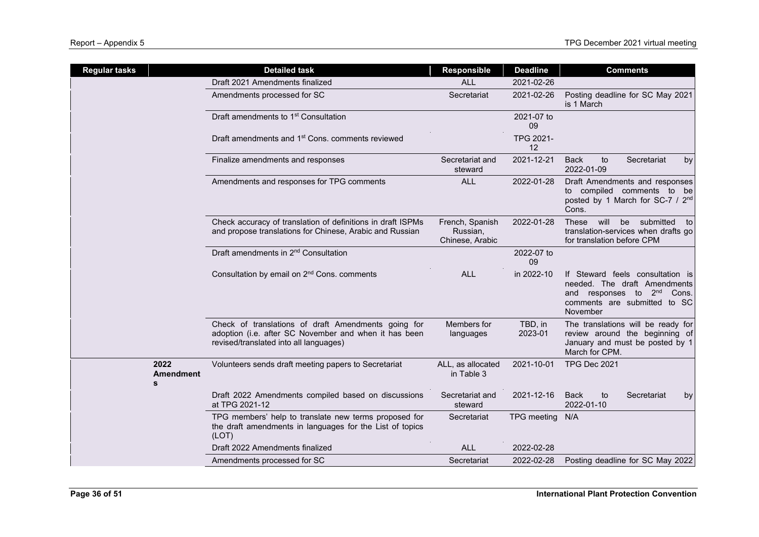| <b>Regular tasks</b> |                          | <b>Detailed task</b>                                                                                                                                   | <b>Responsible</b>                             | <b>Deadline</b>    | <b>Comments</b>                                                                                                                                           |
|----------------------|--------------------------|--------------------------------------------------------------------------------------------------------------------------------------------------------|------------------------------------------------|--------------------|-----------------------------------------------------------------------------------------------------------------------------------------------------------|
|                      |                          | Draft 2021 Amendments finalized                                                                                                                        | <b>ALL</b>                                     | 2021-02-26         |                                                                                                                                                           |
|                      |                          | Amendments processed for SC                                                                                                                            | Secretariat                                    | 2021-02-26         | Posting deadline for SC May 2021<br>is 1 March                                                                                                            |
|                      |                          | Draft amendments to 1 <sup>st</sup> Consultation                                                                                                       |                                                | 2021-07 to<br>09   |                                                                                                                                                           |
|                      |                          | Draft amendments and 1 <sup>st</sup> Cons. comments reviewed                                                                                           |                                                | TPG 2021-<br>12    |                                                                                                                                                           |
|                      |                          | Finalize amendments and responses                                                                                                                      | Secretariat and<br>steward                     | 2021-12-21         | <b>Back</b><br>Secretariat<br>to<br>by<br>2022-01-09                                                                                                      |
|                      |                          | Amendments and responses for TPG comments                                                                                                              | <b>ALL</b>                                     | 2022-01-28         | Draft Amendments and responses<br>to compiled comments to be<br>posted by 1 March for SC-7 / 2 <sup>nd</sup><br>Cons.                                     |
|                      |                          | Check accuracy of translation of definitions in draft ISPMs<br>and propose translations for Chinese, Arabic and Russian                                | French, Spanish<br>Russian,<br>Chinese, Arabic | 2022-01-28         | will be submitted to<br>These<br>translation-services when drafts go<br>for translation before CPM                                                        |
|                      |                          | Draft amendments in 2 <sup>nd</sup> Consultation                                                                                                       |                                                | 2022-07 to<br>09   |                                                                                                                                                           |
|                      |                          | Consultation by email on 2 <sup>nd</sup> Cons. comments                                                                                                | <b>ALL</b>                                     | in 2022-10         | If Steward feels consultation is<br>needed. The draft Amendments<br>and responses to 2 <sup>nd</sup><br>Cons.<br>comments are submitted to SC<br>November |
|                      |                          | Check of translations of draft Amendments going for<br>adoption (i.e. after SC November and when it has been<br>revised/translated into all languages) | Members for<br>languages                       | TBD, in<br>2023-01 | The translations will be ready for<br>review around the beginning of<br>January and must be posted by 1<br>March for CPM.                                 |
| S                    | 2022<br><b>Amendment</b> | Volunteers sends draft meeting papers to Secretariat                                                                                                   | ALL, as allocated<br>in Table 3                | 2021-10-01         | TPG Dec 2021                                                                                                                                              |
|                      |                          | Draft 2022 Amendments compiled based on discussions<br>at TPG 2021-12                                                                                  | Secretariat and<br>steward                     | 2021-12-16         | <b>Back</b><br>to<br>Secretariat<br>by<br>2022-01-10                                                                                                      |
|                      |                          | TPG members' help to translate new terms proposed for<br>the draft amendments in languages for the List of topics<br>(LOT)                             | Secretariat                                    | TPG meeting N/A    |                                                                                                                                                           |
|                      |                          | Draft 2022 Amendments finalized                                                                                                                        | <b>ALL</b>                                     | 2022-02-28         |                                                                                                                                                           |
|                      |                          | Amendments processed for SC                                                                                                                            | Secretariat                                    | 2022-02-28         | Posting deadline for SC May 2022                                                                                                                          |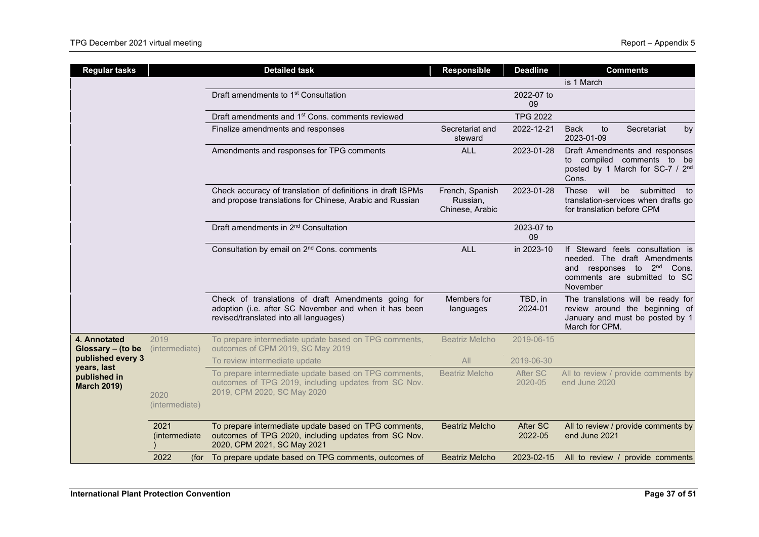| <b>Regular tasks</b>               |                        | <b>Detailed task</b>                                                                                                                                   | <b>Responsible</b>                             | <b>Deadline</b>     | <b>Comments</b>                                                                                                                                        |
|------------------------------------|------------------------|--------------------------------------------------------------------------------------------------------------------------------------------------------|------------------------------------------------|---------------------|--------------------------------------------------------------------------------------------------------------------------------------------------------|
|                                    |                        |                                                                                                                                                        |                                                |                     | is 1 March                                                                                                                                             |
|                                    |                        | Draft amendments to 1 <sup>st</sup> Consultation                                                                                                       |                                                | 2022-07 to<br>09    |                                                                                                                                                        |
|                                    |                        | Draft amendments and 1 <sup>st</sup> Cons. comments reviewed                                                                                           |                                                | <b>TPG 2022</b>     |                                                                                                                                                        |
|                                    |                        | Finalize amendments and responses                                                                                                                      | Secretariat and<br>steward                     | 2022-12-21          | <b>Back</b><br>to<br>Secretariat<br>by<br>2023-01-09                                                                                                   |
|                                    |                        | Amendments and responses for TPG comments                                                                                                              | <b>ALL</b>                                     | 2023-01-28          | Draft Amendments and responses<br>to compiled comments to be<br>posted by 1 March for SC-7 / 2 <sup>nd</sup><br>Cons.                                  |
|                                    |                        | Check accuracy of translation of definitions in draft ISPMs<br>and propose translations for Chinese, Arabic and Russian                                | French, Spanish<br>Russian,<br>Chinese, Arabic | 2023-01-28          | will<br>be<br>submitted to<br>These<br>translation-services when drafts go<br>for translation before CPM                                               |
|                                    |                        | Draft amendments in 2 <sup>nd</sup> Consultation                                                                                                       |                                                | 2023-07 to<br>09    |                                                                                                                                                        |
|                                    |                        | Consultation by email on 2 <sup>nd</sup> Cons. comments                                                                                                | <b>ALL</b>                                     | in 2023-10          | If Steward feels consultation is<br>needed. The draft Amendments<br>and responses to 2 <sup>nd</sup> Cons.<br>comments are submitted to SC<br>November |
|                                    |                        | Check of translations of draft Amendments going for<br>adoption (i.e. after SC November and when it has been<br>revised/translated into all languages) | Members for<br>languages                       | TBD, in<br>2024-01  | The translations will be ready for<br>review around the beginning of<br>January and must be posted by 1<br>March for CPM.                              |
| 4. Annotated<br>Glossary - (to be  | 2019<br>(intermediate) | To prepare intermediate update based on TPG comments,<br>outcomes of CPM 2019, SC May 2019                                                             | <b>Beatriz Melcho</b>                          | 2019-06-15          |                                                                                                                                                        |
| published every 3<br>years, last   |                        | To review intermediate update                                                                                                                          | All                                            | 2019-06-30          |                                                                                                                                                        |
| published in<br><b>March 2019)</b> | 2020<br>(intermediate) | To prepare intermediate update based on TPG comments,<br>outcomes of TPG 2019, including updates from SC Nov.<br>2019, CPM 2020, SC May 2020           | <b>Beatriz Melcho</b>                          | After SC<br>2020-05 | All to review / provide comments by<br>end June 2020                                                                                                   |
|                                    | 2021<br>(intermediate) | To prepare intermediate update based on TPG comments,<br>outcomes of TPG 2020, including updates from SC Nov.<br>2020, CPM 2021, SC May 2021           | <b>Beatriz Melcho</b>                          | After SC<br>2022-05 | All to review / provide comments by<br>end June 2021                                                                                                   |
|                                    | 2022                   | (for To prepare update based on TPG comments, outcomes of                                                                                              | <b>Beatriz Melcho</b>                          | 2023-02-15          | All to review / provide comments                                                                                                                       |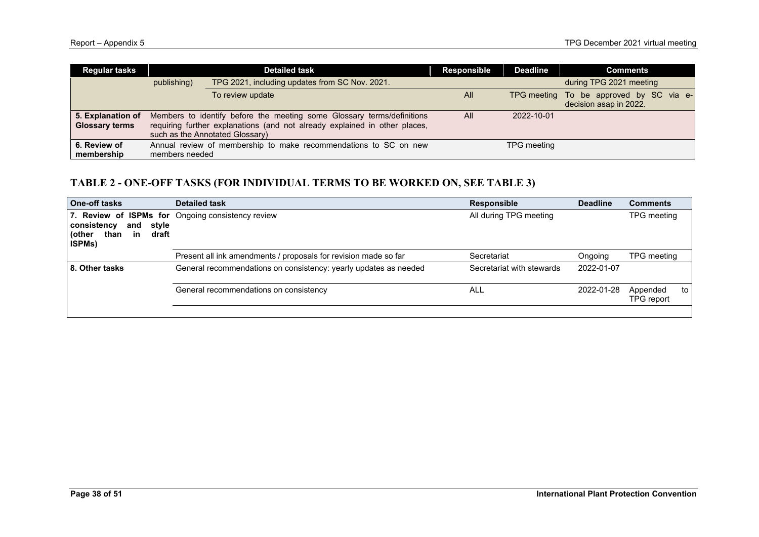| <b>Regular tasks</b>                       |                | <b>Detailed task</b>                                                                                                                                                                    | <b>Responsible</b> | <b>Deadline</b>    | <b>Comments</b>                                                   |
|--------------------------------------------|----------------|-----------------------------------------------------------------------------------------------------------------------------------------------------------------------------------------|--------------------|--------------------|-------------------------------------------------------------------|
|                                            | publishing)    | TPG 2021, including updates from SC Nov. 2021.                                                                                                                                          |                    |                    | during TPG 2021 meeting                                           |
|                                            |                | To review update                                                                                                                                                                        | All                |                    | TPG meeting To be approved by SC via e-<br>decision asap in 2022. |
| 5. Explanation of<br><b>Glossary terms</b> |                | Members to identify before the meeting some Glossary terms/definitions<br>requiring further explanations (and not already explained in other places,<br>such as the Annotated Glossary) | All                | 2022-10-01         |                                                                   |
| 6. Review of<br>membership                 | members needed | Annual review of membership to make recommendations to SC on new                                                                                                                        |                    | <b>TPG</b> meeting |                                                                   |

# **TABLE 2 - ONE-OFF TASKS (FOR INDIVIDUAL TERMS TO BE WORKED ON, SEE TABLE 3)**

| <b>One-off tasks</b>                                                           | <b>Detailed task</b>                                             | <b>Responsible</b>        | <b>Deadline</b> | <b>Comments</b>              |
|--------------------------------------------------------------------------------|------------------------------------------------------------------|---------------------------|-----------------|------------------------------|
| consistency<br>style<br>and<br>in<br>draft<br>(other<br>than<br><b>ISPMs</b> ) | 7. Review of ISPMs for Ongoing consistency review                | All during TPG meeting    |                 | TPG meeting                  |
|                                                                                | Present all ink amendments / proposals for revision made so far  | Secretariat               | Ongoing         | TPG meeting                  |
| 8. Other tasks                                                                 | General recommendations on consistency: yearly updates as needed | Secretariat with stewards | 2022-01-07      |                              |
|                                                                                | General recommendations on consistency                           | ALL                       | 2022-01-28      | Appended<br>to<br>TPG report |
|                                                                                |                                                                  |                           |                 |                              |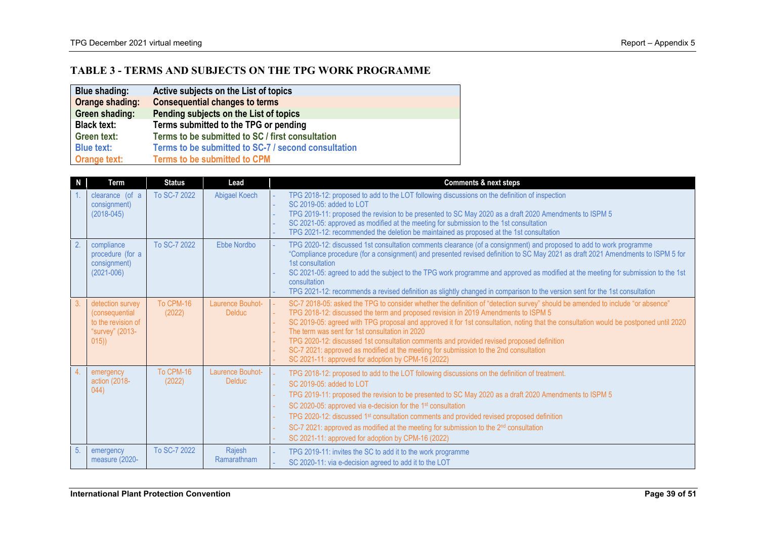# **TABLE 3 - TERMS AND SUBJECTS ON THE TPG WORK PROGRAMME**

| <b>Blue shading:</b> | Active subjects on the List of topics               |
|----------------------|-----------------------------------------------------|
| Orange shading:      | <b>Consequential changes to terms</b>               |
| Green shading:       | Pending subjects on the List of topics              |
| <b>Black text:</b>   | Terms submitted to the TPG or pending               |
| <b>Green text:</b>   | Terms to be submitted to SC / first consultation    |
| <b>Blue text:</b>    | Terms to be submitted to SC-7 / second consultation |
| <b>Orange text:</b>  | <b>Terms to be submitted to CPM</b>                 |

| N              | Term                                                                                        | <b>Status</b>       | Lead                              | <b>Comments &amp; next steps</b>                                                                                                                                                                                                                                                                                                                                                                                                                                                                                                                                                                                                                            |  |
|----------------|---------------------------------------------------------------------------------------------|---------------------|-----------------------------------|-------------------------------------------------------------------------------------------------------------------------------------------------------------------------------------------------------------------------------------------------------------------------------------------------------------------------------------------------------------------------------------------------------------------------------------------------------------------------------------------------------------------------------------------------------------------------------------------------------------------------------------------------------------|--|
|                | clearance (of a<br>consignment)<br>$(2018 - 045)$                                           | To SC-7 2022        | Abigael Koech                     | TPG 2018-12: proposed to add to the LOT following discussions on the definition of inspection<br>SC 2019-05: added to LOT<br>TPG 2019-11: proposed the revision to be presented to SC May 2020 as a draft 2020 Amendments to ISPM 5<br>SC 2021-05: approved as modified at the meeting for submission to the 1st consultation<br>TPG 2021-12: recommended the deletion be maintained as proposed at the 1st consultation                                                                                                                                                                                                                                    |  |
| 2.             | compliance<br>procedure (for a<br>consignment)<br>$(2021 - 006)$                            | To SC-7 2022        | Ebbe Nordbo                       | TPG 2020-12: discussed 1st consultation comments clearance (of a consignment) and proposed to add to work programme<br>"Compliance procedure (for a consignment) and presented revised definition to SC May 2021 as draft 2021 Amendments to ISPM 5 for<br>1st consultation<br>SC 2021-05: agreed to add the subject to the TPG work programme and approved as modified at the meeting for submission to the 1st<br>consultation<br>TPG 2021-12: recommends a revised definition as slightly changed in comparison to the version sent for the 1st consultation                                                                                             |  |
| 3.             | detection survey<br><i>(consequential</i><br>to the revision of<br>"survey" (2013-<br>(015) | To CPM-16<br>(2022) | Laurence Bouhot-<br><b>Delduc</b> | SC-7 2018-05: asked the TPG to consider whether the definition of "detection survey" should be amended to include "or absence"<br>TPG 2018-12: discussed the term and proposed revision in 2019 Amendments to ISPM 5<br>SC 2019-05: agreed with TPG proposal and approved it for 1st consultation, noting that the consultation would be postponed until 2020<br>The term was sent for 1st consultation in 2020<br>TPG 2020-12: discussed 1st consultation comments and provided revised proposed definition<br>SC-7 2021: approved as modified at the meeting for submission to the 2nd consultation<br>SC 2021-11: approved for adoption by CPM-16 (2022) |  |
| 4 <sup>1</sup> | emergency<br>action (2018-<br>(044)                                                         | To CPM-16<br>(2022) | Laurence Bouhot-<br><b>Delduc</b> | TPG 2018-12: proposed to add to the LOT following discussions on the definition of treatment.<br>SC 2019-05: added to LOT<br>TPG 2019-11: proposed the revision to be presented to SC May 2020 as a draft 2020 Amendments to ISPM 5<br>SC 2020-05: approved via e-decision for the 1 <sup>st</sup> consultation<br>TPG 2020-12: discussed 1 <sup>st</sup> consultation comments and provided revised proposed definition<br>SC-7 2021: approved as modified at the meeting for submission to the 2 <sup>nd</sup> consultation<br>SC 2021-11: approved for adoption by CPM-16 (2022)                                                                         |  |
| 5.             | emergency<br>measure (2020-                                                                 | To SC-7 2022        | Rajesh<br>Ramarathnam             | TPG 2019-11: invites the SC to add it to the work programme<br>SC 2020-11: via e-decision agreed to add it to the LOT                                                                                                                                                                                                                                                                                                                                                                                                                                                                                                                                       |  |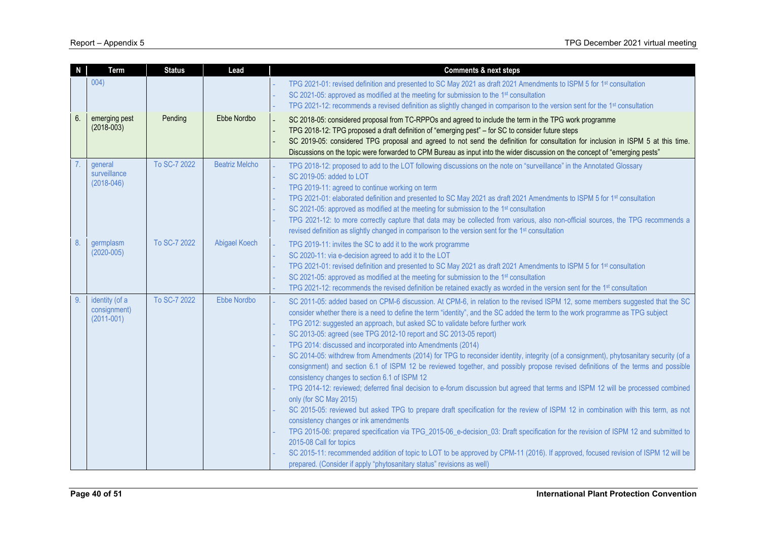| N  | Term                                             | <b>Status</b> | Lead                  | <b>Comments &amp; next steps</b>                                                                                                                                                                                                                                                                                                                                                                                                                                                                                                                                                                                                                                                                                                                                                                                                                                                                                                                                                                                                                                                                                                                                                                                                                                                                                                                                                                                                                                                                                                                   |  |
|----|--------------------------------------------------|---------------|-----------------------|----------------------------------------------------------------------------------------------------------------------------------------------------------------------------------------------------------------------------------------------------------------------------------------------------------------------------------------------------------------------------------------------------------------------------------------------------------------------------------------------------------------------------------------------------------------------------------------------------------------------------------------------------------------------------------------------------------------------------------------------------------------------------------------------------------------------------------------------------------------------------------------------------------------------------------------------------------------------------------------------------------------------------------------------------------------------------------------------------------------------------------------------------------------------------------------------------------------------------------------------------------------------------------------------------------------------------------------------------------------------------------------------------------------------------------------------------------------------------------------------------------------------------------------------------|--|
|    | 004)                                             |               |                       | TPG 2021-01: revised definition and presented to SC May 2021 as draft 2021 Amendments to ISPM 5 for 1st consultation<br>SC 2021-05: approved as modified at the meeting for submission to the 1 <sup>st</sup> consultation<br>TPG 2021-12: recommends a revised definition as slightly changed in comparison to the version sent for the 1st consultation                                                                                                                                                                                                                                                                                                                                                                                                                                                                                                                                                                                                                                                                                                                                                                                                                                                                                                                                                                                                                                                                                                                                                                                          |  |
| 6. | emerging pest<br>$(2018 - 003)$                  | Pending       | Ebbe Nordbo           | SC 2018-05: considered proposal from TC-RPPOs and agreed to include the term in the TPG work programme<br>TPG 2018-12: TPG proposed a draft definition of "emerging pest" - for SC to consider future steps<br>SC 2019-05: considered TPG proposal and agreed to not send the definition for consultation for inclusion in ISPM 5 at this time.<br>Discussions on the topic were forwarded to CPM Bureau as input into the wider discussion on the concept of "emerging pests"                                                                                                                                                                                                                                                                                                                                                                                                                                                                                                                                                                                                                                                                                                                                                                                                                                                                                                                                                                                                                                                                     |  |
|    | general<br>surveillance<br>$(2018 - 046)$        | To SC-7 2022  | <b>Beatriz Melcho</b> | TPG 2018-12: proposed to add to the LOT following discussions on the note on "surveillance" in the Annotated Glossary<br>SC 2019-05: added to LOT<br>TPG 2019-11: agreed to continue working on term<br>TPG 2021-01: elaborated definition and presented to SC May 2021 as draft 2021 Amendments to ISPM 5 for 1 <sup>st</sup> consultation<br>SC 2021-05: approved as modified at the meeting for submission to the 1 <sup>st</sup> consultation<br>TPG 2021-12: to more correctly capture that data may be collected from various, also non-official sources, the TPG recommends a<br>revised definition as slightly changed in comparison to the version sent for the 1 <sup>st</sup> consultation                                                                                                                                                                                                                                                                                                                                                                                                                                                                                                                                                                                                                                                                                                                                                                                                                                              |  |
| 8. | germplasm<br>$(2020 - 005)$                      | To SC-7 2022  | Abigael Koech         | TPG 2019-11: invites the SC to add it to the work programme<br>SC 2020-11: via e-decision agreed to add it to the LOT<br>TPG 2021-01: revised definition and presented to SC May 2021 as draft 2021 Amendments to ISPM 5 for 1st consultation<br>SC 2021-05: approved as modified at the meeting for submission to the 1 <sup>st</sup> consultation<br>TPG 2021-12: recommends the revised definition be retained exactly as worded in the version sent for the 1 <sup>st</sup> consultation                                                                                                                                                                                                                                                                                                                                                                                                                                                                                                                                                                                                                                                                                                                                                                                                                                                                                                                                                                                                                                                       |  |
| 9. | identity (of a<br>consignment)<br>$(2011 - 001)$ | To SC-7 2022  | Ebbe Nordbo           | SC 2011-05: added based on CPM-6 discussion. At CPM-6, in relation to the revised ISPM 12, some members suggested that the SC<br>consider whether there is a need to define the term "identity", and the SC added the term to the work programme as TPG subject<br>TPG 2012: suggested an approach, but asked SC to validate before further work<br>SC 2013-05: agreed (see TPG 2012-10 report and SC 2013-05 report)<br>TPG 2014: discussed and incorporated into Amendments (2014)<br>SC 2014-05: withdrew from Amendments (2014) for TPG to reconsider identity, integrity (of a consignment), phytosanitary security (of a<br>consignment) and section 6.1 of ISPM 12 be reviewed together, and possibly propose revised definitions of the terms and possible<br>consistency changes to section 6.1 of ISPM 12<br>TPG 2014-12: reviewed; deferred final decision to e-forum discussion but agreed that terms and ISPM 12 will be processed combined<br>only (for SC May 2015)<br>SC 2015-05: reviewed but asked TPG to prepare draft specification for the review of ISPM 12 in combination with this term, as not<br>consistency changes or ink amendments<br>TPG 2015-06: prepared specification via TPG_2015-06_e-decision_03: Draft specification for the revision of ISPM 12 and submitted to<br>2015-08 Call for topics<br>SC 2015-11: recommended addition of topic to LOT to be approved by CPM-11 (2016). If approved, focused revision of ISPM 12 will be<br>prepared. (Consider if apply "phytosanitary status" revisions as well) |  |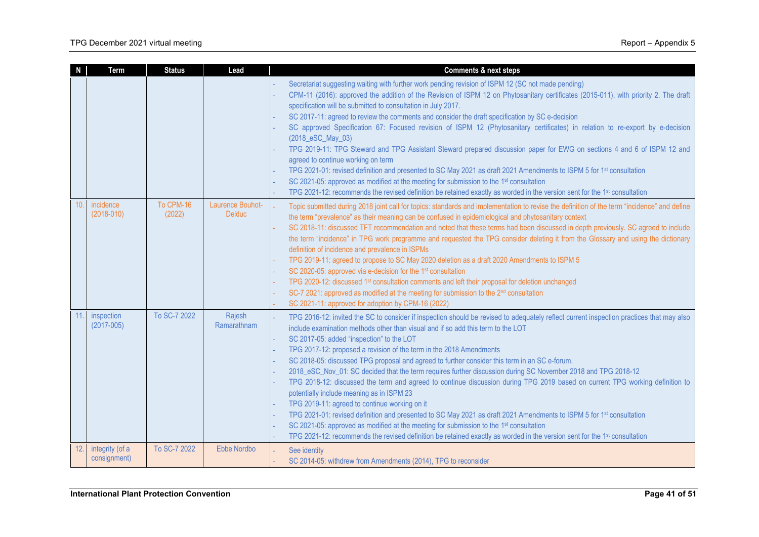|     | <b>Term</b>                     | <b>Status</b>       | Lead                              | <b>Comments &amp; next steps</b>                                                                                                                                                                                                                                                                                                                                                                                                                                                                                                                                                                                                                                                                                                                                                                                                                                                                                                                                                                                                                                                                                                                |
|-----|---------------------------------|---------------------|-----------------------------------|-------------------------------------------------------------------------------------------------------------------------------------------------------------------------------------------------------------------------------------------------------------------------------------------------------------------------------------------------------------------------------------------------------------------------------------------------------------------------------------------------------------------------------------------------------------------------------------------------------------------------------------------------------------------------------------------------------------------------------------------------------------------------------------------------------------------------------------------------------------------------------------------------------------------------------------------------------------------------------------------------------------------------------------------------------------------------------------------------------------------------------------------------|
|     |                                 |                     |                                   | Secretariat suggesting waiting with further work pending revision of ISPM 12 (SC not made pending)<br>CPM-11 (2016): approved the addition of the Revision of ISPM 12 on Phytosanitary certificates (2015-011), with priority 2. The draft<br>specification will be submitted to consultation in July 2017.<br>SC 2017-11: agreed to review the comments and consider the draft specification by SC e-decision<br>SC approved Specification 67: Focused revision of ISPM 12 (Phytosanitary certificates) in relation to re-export by e-decision<br>(2018_eSC_May_03)<br>TPG 2019-11: TPG Steward and TPG Assistant Steward prepared discussion paper for EWG on sections 4 and 6 of ISPM 12 and<br>agreed to continue working on term<br>TPG 2021-01: revised definition and presented to SC May 2021 as draft 2021 Amendments to ISPM 5 for 1st consultation<br>SC 2021-05: approved as modified at the meeting for submission to the 1st consultation<br>TPG 2021-12: recommends the revised definition be retained exactly as worded in the version sent for the 1 <sup>st</sup> consultation                                                |
| 10. | incidence<br>$(2018 - 010)$     | To CPM-16<br>(2022) | Laurence Bouhot-<br><b>Delduc</b> | Topic submitted during 2018 joint call for topics: standards and implementation to revise the definition of the term "incidence" and define<br>the term "prevalence" as their meaning can be confused in epidemiological and phytosanitary context<br>SC 2018-11: discussed TFT recommendation and noted that these terms had been discussed in depth previously. SC agreed to include<br>the term "incidence" in TPG work programme and requested the TPG consider deleting it from the Glossary and using the dictionary<br>definition of incidence and prevalence in ISPMs<br>TPG 2019-11: agreed to propose to SC May 2020 deletion as a draft 2020 Amendments to ISPM 5<br>SC 2020-05: approved via e-decision for the 1st consultation<br>TPG 2020-12: discussed 1st consultation comments and left their proposal for deletion unchanged<br>SC-7 2021: approved as modified at the meeting for submission to the 2 <sup>nd</sup> consultation<br>SC 2021-11: approved for adoption by CPM-16 (2022)                                                                                                                                      |
| 11. | inspection<br>$(2017 - 005)$    | To SC-7 2022        | Rajesh<br>Ramarathnam             | TPG 2016-12: invited the SC to consider if inspection should be revised to adequately reflect current inspection practices that may also<br>include examination methods other than visual and if so add this term to the LOT<br>SC 2017-05: added "inspection" to the LOT<br>TPG 2017-12: proposed a revision of the term in the 2018 Amendments<br>SC 2018-05: discussed TPG proposal and agreed to further consider this term in an SC e-forum.<br>2018_eSC_Nov_01: SC decided that the term requires further discussion during SC November 2018 and TPG 2018-12<br>TPG 2018-12: discussed the term and agreed to continue discussion during TPG 2019 based on current TPG working definition to<br>potentially include meaning as in ISPM 23<br>TPG 2019-11: agreed to continue working on it<br>TPG 2021-01: revised definition and presented to SC May 2021 as draft 2021 Amendments to ISPM 5 for 1st consultation<br>SC 2021-05: approved as modified at the meeting for submission to the 1st consultation<br>TPG 2021-12: recommends the revised definition be retained exactly as worded in the version sent for the 1st consultation |
| 12. | integrity (of a<br>consignment) | To SC-7 2022        | Ebbe Nordbo                       | See identity<br>SC 2014-05: withdrew from Amendments (2014), TPG to reconsider                                                                                                                                                                                                                                                                                                                                                                                                                                                                                                                                                                                                                                                                                                                                                                                                                                                                                                                                                                                                                                                                  |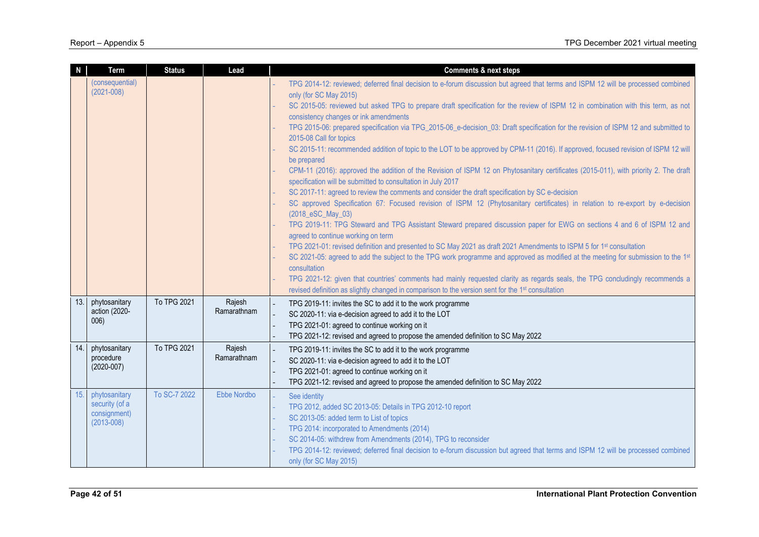| $\mathbf N$ | Term                                                              | <b>Status</b> | Lead                  | <b>Comments &amp; next steps</b>                                                                                                                                                                                                                                                                                                                                                                                                                                                                                                                                                                                                                                                                                                                                                                                                                                                                                                                                                                                                                                                                                                                                                                                                                                                                    |
|-------------|-------------------------------------------------------------------|---------------|-----------------------|-----------------------------------------------------------------------------------------------------------------------------------------------------------------------------------------------------------------------------------------------------------------------------------------------------------------------------------------------------------------------------------------------------------------------------------------------------------------------------------------------------------------------------------------------------------------------------------------------------------------------------------------------------------------------------------------------------------------------------------------------------------------------------------------------------------------------------------------------------------------------------------------------------------------------------------------------------------------------------------------------------------------------------------------------------------------------------------------------------------------------------------------------------------------------------------------------------------------------------------------------------------------------------------------------------|
|             | (consequential)<br>$(2021 - 008)$                                 |               |                       | TPG 2014-12: reviewed; deferred final decision to e-forum discussion but agreed that terms and ISPM 12 will be processed combined<br>only (for SC May 2015)<br>SC 2015-05: reviewed but asked TPG to prepare draft specification for the review of ISPM 12 in combination with this term, as not<br>consistency changes or ink amendments<br>TPG 2015-06: prepared specification via TPG_2015-06_e-decision_03: Draft specification for the revision of ISPM 12 and submitted to<br>2015-08 Call for topics<br>SC 2015-11: recommended addition of topic to the LOT to be approved by CPM-11 (2016). If approved, focused revision of ISPM 12 will<br>be prepared<br>CPM-11 (2016): approved the addition of the Revision of ISPM 12 on Phytosanitary certificates (2015-011), with priority 2. The draft<br>specification will be submitted to consultation in July 2017<br>SC 2017-11: agreed to review the comments and consider the draft specification by SC e-decision<br>SC approved Specification 67: Focused revision of ISPM 12 (Phytosanitary certificates) in relation to re-export by e-decision<br>(2018_eSC_May_03)<br>TPG 2019-11: TPG Steward and TPG Assistant Steward prepared discussion paper for EWG on sections 4 and 6 of ISPM 12 and<br>agreed to continue working on term |
|             |                                                                   |               |                       | TPG 2021-01: revised definition and presented to SC May 2021 as draft 2021 Amendments to ISPM 5 for 1 <sup>st</sup> consultation<br>SC 2021-05: agreed to add the subject to the TPG work programme and approved as modified at the meeting for submission to the 1st                                                                                                                                                                                                                                                                                                                                                                                                                                                                                                                                                                                                                                                                                                                                                                                                                                                                                                                                                                                                                               |
|             |                                                                   |               |                       | consultation<br>TPG 2021-12: given that countries' comments had mainly requested clarity as regards seals, the TPG concludingly recommends a                                                                                                                                                                                                                                                                                                                                                                                                                                                                                                                                                                                                                                                                                                                                                                                                                                                                                                                                                                                                                                                                                                                                                        |
|             |                                                                   |               |                       | revised definition as slightly changed in comparison to the version sent for the 1 <sup>st</sup> consultation                                                                                                                                                                                                                                                                                                                                                                                                                                                                                                                                                                                                                                                                                                                                                                                                                                                                                                                                                                                                                                                                                                                                                                                       |
| 13.         | phytosanitary<br>action (2020-<br>006)                            | To TPG 2021   | Rajesh<br>Ramarathnam | TPG 2019-11: invites the SC to add it to the work programme<br>SC 2020-11: via e-decision agreed to add it to the LOT<br>TPG 2021-01: agreed to continue working on it<br>TPG 2021-12: revised and agreed to propose the amended definition to SC May 2022                                                                                                                                                                                                                                                                                                                                                                                                                                                                                                                                                                                                                                                                                                                                                                                                                                                                                                                                                                                                                                          |
| 14.1        | phytosanitary<br>procedure<br>$(2020 - 007)$                      | To TPG 2021   | Rajesh<br>Ramarathnam | TPG 2019-11: invites the SC to add it to the work programme<br>SC 2020-11: via e-decision agreed to add it to the LOT<br>TPG 2021-01: agreed to continue working on it<br>$\overline{\phantom{a}}$<br>TPG 2021-12: revised and agreed to propose the amended definition to SC May 2022                                                                                                                                                                                                                                                                                                                                                                                                                                                                                                                                                                                                                                                                                                                                                                                                                                                                                                                                                                                                              |
| 15.         | phytosanitary<br>security (of a<br>consignment)<br>$(2013 - 008)$ | To SC-7 2022  | Ebbe Nordbo           | See identity<br>TPG 2012, added SC 2013-05: Details in TPG 2012-10 report<br>SC 2013-05: added term to List of topics<br>TPG 2014: incorporated to Amendments (2014)<br>SC 2014-05: withdrew from Amendments (2014), TPG to reconsider<br>TPG 2014-12: reviewed; deferred final decision to e-forum discussion but agreed that terms and ISPM 12 will be processed combined<br>only (for SC May 2015)                                                                                                                                                                                                                                                                                                                                                                                                                                                                                                                                                                                                                                                                                                                                                                                                                                                                                               |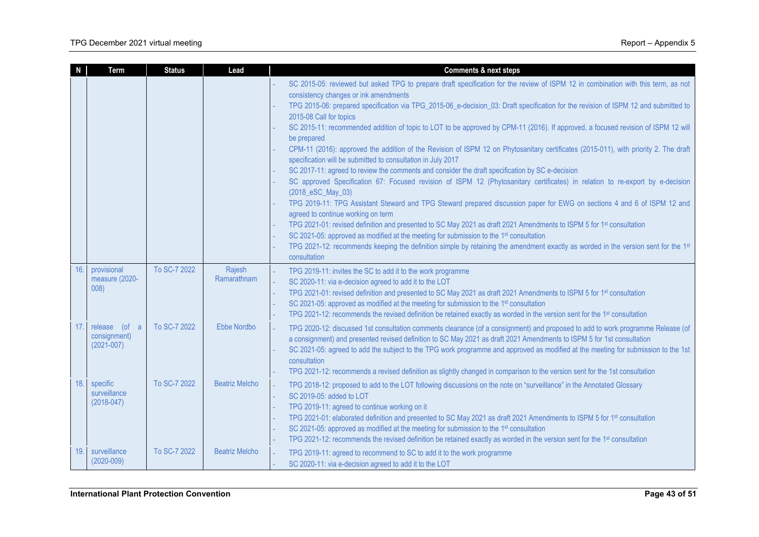| N   | Term                                                  | <b>Status</b> | Lead                  | <b>Comments &amp; next steps</b>                                                                                                                                                                                                                                                                                                                                                                                                                                                                                                                                                                                                                                                                                                                                                                                                                                                                                                                                                                                                                                                                                                                                                                                                                                                                                                                                                                                                                                                                                       |
|-----|-------------------------------------------------------|---------------|-----------------------|------------------------------------------------------------------------------------------------------------------------------------------------------------------------------------------------------------------------------------------------------------------------------------------------------------------------------------------------------------------------------------------------------------------------------------------------------------------------------------------------------------------------------------------------------------------------------------------------------------------------------------------------------------------------------------------------------------------------------------------------------------------------------------------------------------------------------------------------------------------------------------------------------------------------------------------------------------------------------------------------------------------------------------------------------------------------------------------------------------------------------------------------------------------------------------------------------------------------------------------------------------------------------------------------------------------------------------------------------------------------------------------------------------------------------------------------------------------------------------------------------------------------|
|     |                                                       |               |                       | SC 2015-05: reviewed but asked TPG to prepare draft specification for the review of ISPM 12 in combination with this term, as not<br>consistency changes or ink amendments<br>TPG 2015-06: prepared specification via TPG_2015-06_e-decision_03: Draft specification for the revision of ISPM 12 and submitted to<br>2015-08 Call for topics<br>SC 2015-11: recommended addition of topic to LOT to be approved by CPM-11 (2016). If approved, a focused revision of ISPM 12 will<br>be prepared<br>CPM-11 (2016): approved the addition of the Revision of ISPM 12 on Phytosanitary certificates (2015-011), with priority 2. The draft<br>specification will be submitted to consultation in July 2017<br>SC 2017-11: agreed to review the comments and consider the draft specification by SC e-decision<br>SC approved Specification 67: Focused revision of ISPM 12 (Phytosanitary certificates) in relation to re-export by e-decision<br>(2018_eSC_May_03)<br>TPG 2019-11: TPG Assistant Steward and TPG Steward prepared discussion paper for EWG on sections 4 and 6 of ISPM 12 and<br>agreed to continue working on term<br>TPG 2021-01: revised definition and presented to SC May 2021 as draft 2021 Amendments to ISPM 5 for 1st consultation<br>SC 2021-05: approved as modified at the meeting for submission to the 1 <sup>st</sup> consultation<br>TPG 2021-12: recommends keeping the definition simple by retaining the amendment exactly as worded in the version sent for the 1st<br>consultation |
| 16. | provisional<br>measure (2020-<br>008)                 | To SC-7 2022  | Rajesh<br>Ramarathnam | TPG 2019-11: invites the SC to add it to the work programme<br>SC 2020-11: via e-decision agreed to add it to the LOT<br>TPG 2021-01: revised definition and presented to SC May 2021 as draft 2021 Amendments to ISPM 5 for 1st consultation<br>SC 2021-05: approved as modified at the meeting for submission to the 1 <sup>st</sup> consultation<br>TPG 2021-12: recommends the revised definition be retained exactly as worded in the version sent for the 1 <sup>st</sup> consultation                                                                                                                                                                                                                                                                                                                                                                                                                                                                                                                                                                                                                                                                                                                                                                                                                                                                                                                                                                                                                           |
| 17. | $($ of a<br>release<br>consignment)<br>$(2021 - 007)$ | To SC-7 2022  | Ebbe Nordbo           | TPG 2020-12: discussed 1st consultation comments clearance (of a consignment) and proposed to add to work programme Release (of<br>a consignment) and presented revised definition to SC May 2021 as draft 2021 Amendments to ISPM 5 for 1st consultation<br>SC 2021-05: agreed to add the subject to the TPG work programme and approved as modified at the meeting for submission to the 1st<br>consultation<br>TPG 2021-12: recommends a revised definition as slightly changed in comparison to the version sent for the 1st consultation                                                                                                                                                                                                                                                                                                                                                                                                                                                                                                                                                                                                                                                                                                                                                                                                                                                                                                                                                                          |
| 18. | specific<br>surveillance<br>$(2018-047)$              | To SC-7 2022  | <b>Beatriz Melcho</b> | TPG 2018-12: proposed to add to the LOT following discussions on the note on "surveillance" in the Annotated Glossary<br>SC 2019-05: added to LOT<br>TPG 2019-11: agreed to continue working on it<br>TPG 2021-01: elaborated definition and presented to SC May 2021 as draft 2021 Amendments to ISPM 5 for 1 <sup>st</sup> consultation<br>SC 2021-05: approved as modified at the meeting for submission to the 1st consultation<br>TPG 2021-12: recommends the revised definition be retained exactly as worded in the version sent for the 1 <sup>st</sup> consultation                                                                                                                                                                                                                                                                                                                                                                                                                                                                                                                                                                                                                                                                                                                                                                                                                                                                                                                                           |
| 19. | surveillance<br>$(2020 - 009)$                        | To SC-7 2022  | <b>Beatriz Melcho</b> | TPG 2019-11: agreed to recommend to SC to add it to the work programme<br>SC 2020-11: via e-decision agreed to add it to the LOT                                                                                                                                                                                                                                                                                                                                                                                                                                                                                                                                                                                                                                                                                                                                                                                                                                                                                                                                                                                                                                                                                                                                                                                                                                                                                                                                                                                       |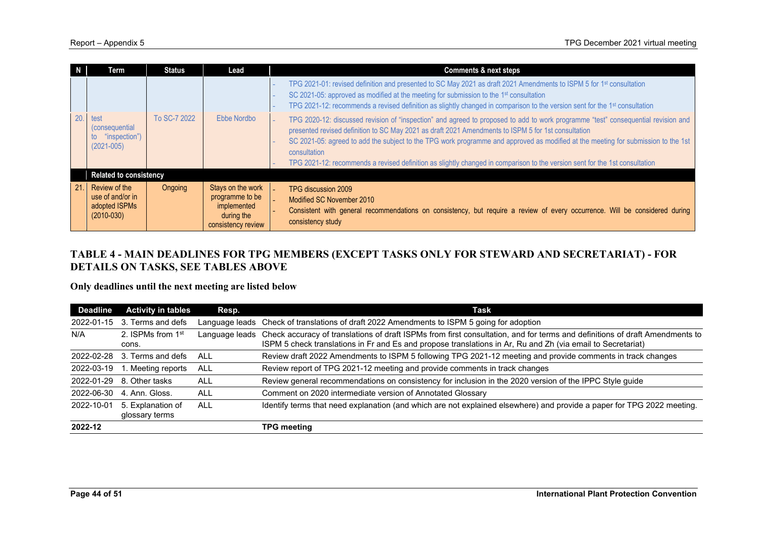|     | Term                                                                    | <b>Status</b> | Lead                                                                                    | <b>Comments &amp; next steps</b>                                                                                                                                                                                                                                                                                                                                                                                                                                                                                             |
|-----|-------------------------------------------------------------------------|---------------|-----------------------------------------------------------------------------------------|------------------------------------------------------------------------------------------------------------------------------------------------------------------------------------------------------------------------------------------------------------------------------------------------------------------------------------------------------------------------------------------------------------------------------------------------------------------------------------------------------------------------------|
|     |                                                                         |               |                                                                                         | TPG 2021-01: revised definition and presented to SC May 2021 as draft 2021 Amendments to ISPM 5 for 1 <sup>st</sup> consultation<br>SC 2021-05: approved as modified at the meeting for submission to the 1 <sup>st</sup> consultation<br>TPG 2021-12: recommends a revised definition as slightly changed in comparison to the version sent for the 1 <sup>st</sup> consultation                                                                                                                                            |
| 20. | test<br><i>(consequential)</i><br>"inspection")<br>to<br>$(2021 - 005)$ | To SC-7 2022  | Ebbe Nordbo                                                                             | TPG 2020-12: discussed revision of "inspection" and agreed to proposed to add to work programme "test" consequential revision and<br>presented revised definition to SC May 2021 as draft 2021 Amendments to ISPM 5 for 1st consultation<br>SC 2021-05: agreed to add the subject to the TPG work programme and approved as modified at the meeting for submission to the 1st<br>consultation<br>TPG 2021-12: recommends a revised definition as slightly changed in comparison to the version sent for the 1st consultation |
|     | <b>Related to consistency</b>                                           |               |                                                                                         |                                                                                                                                                                                                                                                                                                                                                                                                                                                                                                                              |
| 21. | Review of the<br>use of and/or in<br>adopted ISPMs<br>$(2010 - 030)$    | Ongoing       | Stays on the work<br>programme to be<br>implemented<br>during the<br>consistency review | TPG discussion 2009<br>Modified SC November 2010<br>Consistent with general recommendations on consistency, but require a review of every occurrence. Will be considered during<br>consistency study                                                                                                                                                                                                                                                                                                                         |

# **TABLE 4 - MAIN DEADLINES FOR TPG MEMBERS (EXCEPT TASKS ONLY FOR STEWARD AND SECRETARIAT) - FOR DETAILS ON TASKS, SEE TABLES ABOVE**

**Only deadlines until the next meeting are listed below**

| <b>Deadline</b> | <b>Activity in tables</b>              | Resp.          | Task                                                                                                                                                                                                                                       |  |
|-----------------|----------------------------------------|----------------|--------------------------------------------------------------------------------------------------------------------------------------------------------------------------------------------------------------------------------------------|--|
| 2022-01-15      | Terms and defs<br>3.                   | Language leads | Check of translations of draft 2022 Amendments to ISPM 5 going for adoption                                                                                                                                                                |  |
| N/A             | 2. ISPMs from 1 <sup>st</sup><br>cons. | Language leads | Check accuracy of translations of draft ISPMs from first consultation, and for terms and definitions of draft Amendments to<br>ISPM 5 check translations in Fr and Es and propose translations in Ar, Ru and Zh (via email to Secretariat) |  |
| 2022-02-28      | 3. Terms and defs                      | ALL            | Review draft 2022 Amendments to ISPM 5 following TPG 2021-12 meeting and provide comments in track changes                                                                                                                                 |  |
| 2022-03-19      | 1. Meeting reports                     | ALL            | Review report of TPG 2021-12 meeting and provide comments in track changes                                                                                                                                                                 |  |
| 2022-01-29      | 8. Other tasks                         | <b>ALL</b>     | Review general recommendations on consistency for inclusion in the 2020 version of the IPPC Style guide                                                                                                                                    |  |
| 2022-06-30      | 4. Ann. Gloss.                         | <b>ALL</b>     | Comment on 2020 intermediate version of Annotated Glossary                                                                                                                                                                                 |  |
| 2022-10-01      | 5. Explanation of<br>glossary terms    | <b>ALL</b>     | Identify terms that need explanation (and which are not explained elsewhere) and provide a paper for TPG 2022 meeting.                                                                                                                     |  |
| 2022-12         |                                        |                | TPG meeting                                                                                                                                                                                                                                |  |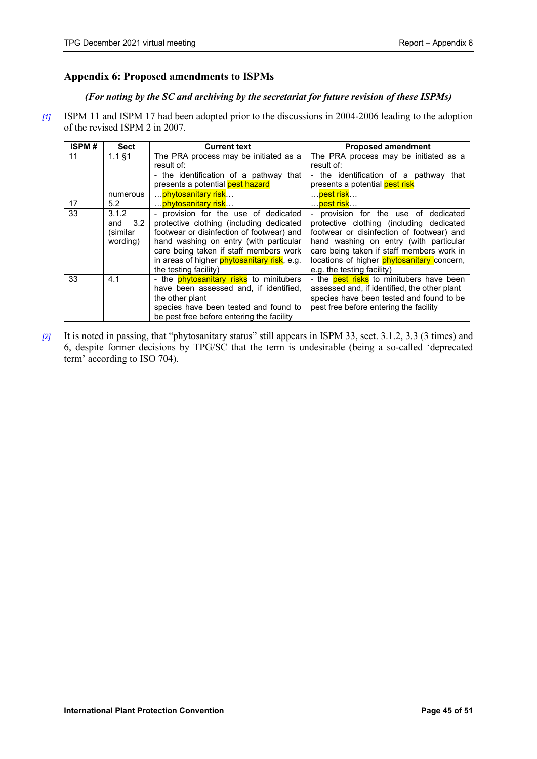# <span id="page-44-0"></span>**Appendix 6: Proposed amendments to ISPMs**

# *(For noting by the SC and archiving by the secretariat for future revision of these ISPMs)*

*[1]* ISPM 11 and ISPM 17 had been adopted prior to the discussions in 2004-2006 leading to the adoption of the revised ISPM 2 in 2007.

| <b>ISPM#</b> | <b>Sect</b> | <b>Current text</b>                                 | <b>Proposed amendment</b>                    |
|--------------|-------------|-----------------------------------------------------|----------------------------------------------|
| 11           | $1.1$ §1    | The PRA process may be initiated as a               | The PRA process may be initiated as a        |
|              |             | result of:                                          | result of:                                   |
|              |             | - the identification of a pathway that              | - the identification of a pathway that       |
|              |             | presents a potential pest hazard                    | presents a potential pest risk               |
|              | numerous    | … <mark>phytosanitary risk</mark> …                 | … <mark>pest risk</mark> …                   |
| 17           | 5.2         | <mark>phytosanitary risk</mark>                     | … <mark>pest risk</mark> …                   |
| 33           | 3.1.2       | - provision for the use of dedicated                | - provision for the use of dedicated         |
|              | and<br>3.2  | protective clothing (including dedicated            | protective clothing (including dedicated     |
|              | (similar)   | footwear or disinfection of footwear) and           | footwear or disinfection of footwear) and    |
|              | wording)    | hand washing on entry (with particular              | hand washing on entry (with particular       |
|              |             | care being taken if staff members work              | care being taken if staff members work in    |
|              |             | in areas of higher <b>phytosanitary risk</b> , e.g. | locations of higher phytosanitary concern,   |
|              |             | the testing facility)                               | e.g. the testing facility)                   |
| 33           | 4.1         | - the <b>phytosanitary risks</b> to minitubers      | - the pest risks to minitubers have been     |
|              |             | have been assessed and, if identified,              | assessed and, if identified, the other plant |
|              |             | the other plant                                     | species have been tested and found to be     |
|              |             | species have been tested and found to               | pest free before entering the facility       |
|              |             | be pest free before entering the facility           |                                              |

*[2]* It is noted in passing, that "phytosanitary status" still appears in ISPM 33, sect. 3.1.2, 3.3 (3 times) and 6, despite former decisions by TPG/SC that the term is undesirable (being a so-called 'deprecated term' according to ISO 704).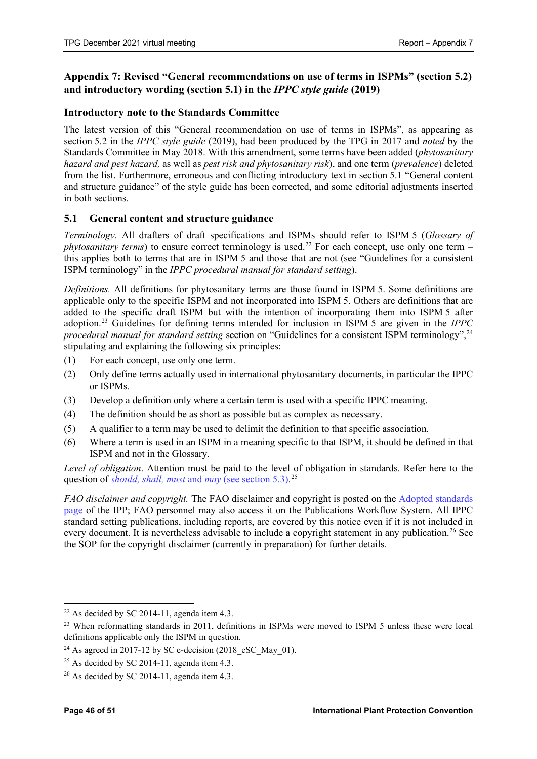# <span id="page-45-0"></span>**Appendix 7: Revised "General recommendations on use of terms in ISPMs" (section 5.2) and introductory wording (section 5.1) in the** *IPPC style guide* **(2019)**

# **Introductory note to the Standards Committee**

The latest version of this "General recommendation on use of terms in ISPMs", as appearing as section 5.2 in the *IPPC style guide* (2019), had been produced by the TPG in 2017 and *noted* by the Standards Committee in May 2018. With this amendment, some terms have been added (*phytosanitary hazard and pest hazard,* as well as *pest risk and phytosanitary risk*), and one term (*prevalence*) deleted from the list. Furthermore, erroneous and conflicting introductory text in section 5.1 "General content and structure guidance" of the style guide has been corrected, and some editorial adjustments inserted in both sections.

# **5.1 General content and structure guidance**

*Terminology*. All drafters of draft specifications and ISPMs should refer to ISPM 5 (*Glossary of phytosanitary terms*) to ensure correct terminology is used. [22](#page-45-1) For each concept, use only one term – this applies both to terms that are in ISPM 5 and those that are not (see "Guidelines for a consistent ISPM terminology" in the *IPPC procedural manual for standard setting*).

*Definitions.* All definitions for phytosanitary terms are those found in ISPM 5. Some definitions are applicable only to the specific ISPM and not incorporated into ISPM 5. Others are definitions that are added to the specific draft ISPM but with the intention of incorporating them into ISPM 5 after adoption. [23](#page-45-2) Guidelines for defining terms intended for inclusion in ISPM 5 are given in the *IPPC procedural manual for standard setting* section on "Guidelines for a consistent ISPM terminology", [24](#page-45-3) stipulating and explaining the following six principles:

- (1) For each concept, use only one term.
- (2) Only define terms actually used in international phytosanitary documents, in particular the IPPC or ISPMs.
- (3) Develop a definition only where a certain term is used with a specific IPPC meaning.
- (4) The definition should be as short as possible but as complex as necessary.
- (5) A qualifier to a term may be used to delimit the definition to that specific association.
- (6) Where a term is used in an ISPM in a meaning specific to that ISPM, it should be defined in that ISPM and not in the Glossary.

*Level of obligation*. Attention must be paid to the level of obligation in standards. Refer here to the question of *should, shall, must* and *may* (see section 5.3).<sup>[25](#page-45-4)</sup>

*FAO disclaimer and copyright.* The FAO disclaimer and copyright is posted on the Adopted standards page of the IPP; FAO personnel may also access it on the Publications Workflow System. All IPPC standard setting publications, including reports, are covered by this notice even if it is not included in every document. It is nevertheless advisable to include a copyright statement in any publication.<sup>[26](#page-45-5)</sup> See the SOP for the copyright disclaimer (currently in preparation) for further details.

<span id="page-45-1"></span><sup>&</sup>lt;sup>22</sup> As decided by SC 2014-11, agenda item 4.3.

<span id="page-45-2"></span><sup>&</sup>lt;sup>23</sup> When reformatting standards in 2011, definitions in ISPMs were moved to ISPM 5 unless these were local definitions applicable only the ISPM in question.

<span id="page-45-3"></span><sup>&</sup>lt;sup>24</sup> As agreed in 2017-12 by SC e-decision (2018 eSC\_May\_01).

<span id="page-45-4"></span> $25$  As decided by SC 2014-11, agenda item 4.3.

<span id="page-45-5"></span> $26$  As decided by SC 2014-11, agenda item 4.3.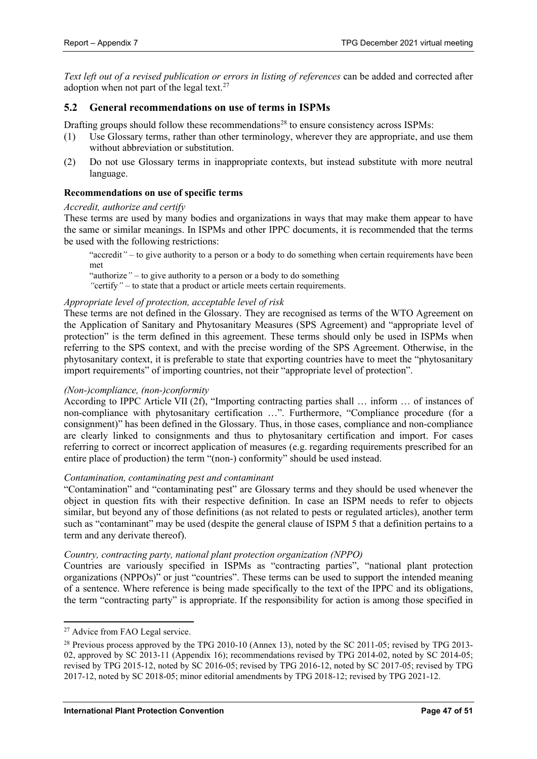*Text left out of a revised publication or errors in listing of references* can be added and corrected after adoption when not part of the legal text.<sup>[27](#page-46-0)</sup>

# **5.2 General recommendations on use of terms in ISPMs**

Drafting groups should follow these recommendations<sup>[28](#page-46-1)</sup> to ensure consistency across ISPMs:

- (1) Use Glossary terms, rather than other terminology, wherever they are appropriate, and use them without abbreviation or substitution.
- (2) Do not use Glossary terms in inappropriate contexts, but instead substitute with more neutral language.

# **Recommendations on use of specific terms**

#### *Accredit, authorize and certify*

These terms are used by many bodies and organizations in ways that may make them appear to have the same or similar meanings. In ISPMs and other IPPC documents, it is recommended that the terms be used with the following restrictions:

"accredit*"* – to give authority to a person or a body to do something when certain requirements have been met

"authorize*"* – to give authority to a person or a body to do something

*"*certify*"* – to state that a product or article meets certain requirements.

# *Appropriate level of protection, acceptable level of risk*

These terms are not defined in the Glossary. They are recognised as terms of the WTO Agreement on the Application of Sanitary and Phytosanitary Measures (SPS Agreement) and "appropriate level of protection" is the term defined in this agreement. These terms should only be used in ISPMs when referring to the SPS context, and with the precise wording of the SPS Agreement. Otherwise, in the phytosanitary context, it is preferable to state that exporting countries have to meet the "phytosanitary import requirements" of importing countries, not their "appropriate level of protection".

# *(Non-)compliance, (non-)conformity*

According to IPPC Article VII (2f), "Importing contracting parties shall … inform … of instances of non-compliance with phytosanitary certification …". Furthermore, "Compliance procedure (for a consignment)" has been defined in the Glossary. Thus, in those cases, compliance and non-compliance are clearly linked to consignments and thus to phytosanitary certification and import. For cases referring to correct or incorrect application of measures (e.g. regarding requirements prescribed for an entire place of production) the term "(non-) conformity" should be used instead.

# *Contamination, contaminating pest and contaminant*

"Contamination" and "contaminating pest" are Glossary terms and they should be used whenever the object in question fits with their respective definition. In case an ISPM needs to refer to objects similar, but beyond any of those definitions (as not related to pests or regulated articles), another term such as "contaminant" may be used (despite the general clause of ISPM 5 that a definition pertains to a term and any derivate thereof).

# *Country, contracting party, national plant protection organization (NPPO)*

Countries are variously specified in ISPMs as "contracting parties", "national plant protection organizations (NPPOs)" or just "countries". These terms can be used to support the intended meaning of a sentence. Where reference is being made specifically to the text of the IPPC and its obligations, the term "contracting party" is appropriate. If the responsibility for action is among those specified in

<span id="page-46-0"></span><sup>&</sup>lt;sup>27</sup> Advice from FAO Legal service.

<span id="page-46-1"></span><sup>&</sup>lt;sup>28</sup> Previous process approved by the TPG 2010-10 (Annex 13), noted by the SC 2011-05; revised by TPG 2013-02, approved by SC 2013-11 (Appendix 16); recommendations revised by TPG 2014-02, noted by SC 2014-05; revised by TPG 2015-12, noted by SC 2016-05; revised by TPG 2016-12, noted by SC 2017-05; revised by TPG 2017-12, noted by SC 2018-05; minor editorial amendments by TPG 2018-12; revised by TPG 2021-12.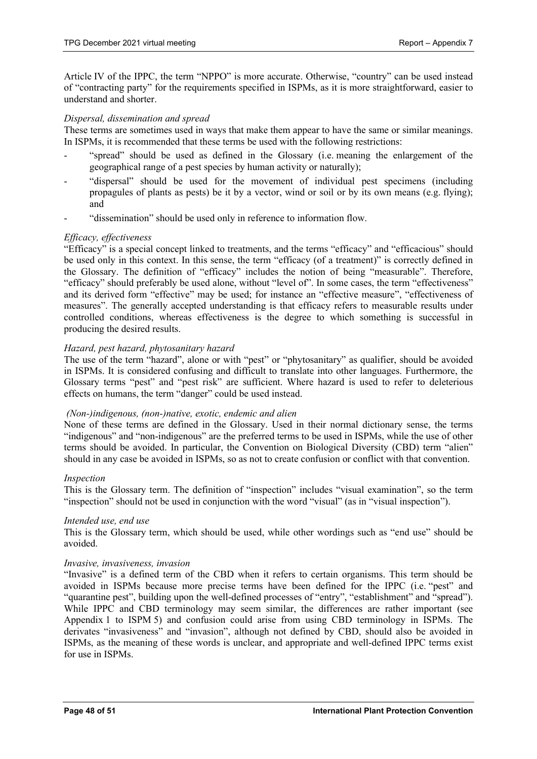Article IV of the IPPC, the term "NPPO" is more accurate. Otherwise, "country" can be used instead of "contracting party" for the requirements specified in ISPMs, as it is more straightforward, easier to understand and shorter.

#### *Dispersal, dissemination and spread*

These terms are sometimes used in ways that make them appear to have the same or similar meanings. In ISPMs, it is recommended that these terms be used with the following restrictions:

- "spread" should be used as defined in the Glossary (i.e. meaning the enlargement of the geographical range of a pest species by human activity or naturally);
- "dispersal" should be used for the movement of individual pest specimens (including propagules of plants as pests) be it by a vector, wind or soil or by its own means (e.g. flying); and
- "dissemination" should be used only in reference to information flow.

# *Efficacy, effectiveness*

"Efficacy" is a special concept linked to treatments, and the terms "efficacy" and "efficacious" should be used only in this context. In this sense, the term "efficacy (of a treatment)" is correctly defined in the Glossary. The definition of "efficacy" includes the notion of being "measurable". Therefore, "efficacy" should preferably be used alone, without "level of". In some cases, the term "effectiveness" and its derived form "effective" may be used; for instance an "effective measure", "effectiveness of measures". The generally accepted understanding is that efficacy refers to measurable results under controlled conditions, whereas effectiveness is the degree to which something is successful in producing the desired results.

#### *Hazard, pest hazard, phytosanitary hazard*

The use of the term "hazard", alone or with "pest" or "phytosanitary" as qualifier, should be avoided in ISPMs. It is considered confusing and difficult to translate into other languages. Furthermore, the Glossary terms "pest" and "pest risk" are sufficient. Where hazard is used to refer to deleterious effects on humans, the term "danger" could be used instead.

#### *(Non-)indigenous, (non-)native, exotic, endemic and alien*

None of these terms are defined in the Glossary. Used in their normal dictionary sense, the terms "indigenous" and "non-indigenous" are the preferred terms to be used in ISPMs, while the use of other terms should be avoided. In particular, the Convention on Biological Diversity (CBD) term "alien" should in any case be avoided in ISPMs, so as not to create confusion or conflict with that convention.

#### *Inspection*

This is the Glossary term. The definition of "inspection" includes "visual examination", so the term "inspection" should not be used in conjunction with the word "visual" (as in "visual inspection").

#### *Intended use, end use*

This is the Glossary term, which should be used, while other wordings such as "end use" should be avoided.

#### *Invasive, invasiveness, invasion*

"Invasive" is a defined term of the CBD when it refers to certain organisms. This term should be avoided in ISPMs because more precise terms have been defined for the IPPC (i.e. "pest" and "quarantine pest", building upon the well-defined processes of "entry", "establishment" and "spread"). While IPPC and CBD terminology may seem similar, the differences are rather important (see Appendix 1 to ISPM 5) and confusion could arise from using CBD terminology in ISPMs. The derivates "invasiveness" and "invasion", although not defined by CBD, should also be avoided in ISPMs, as the meaning of these words is unclear, and appropriate and well-defined IPPC terms exist for use in ISPMs.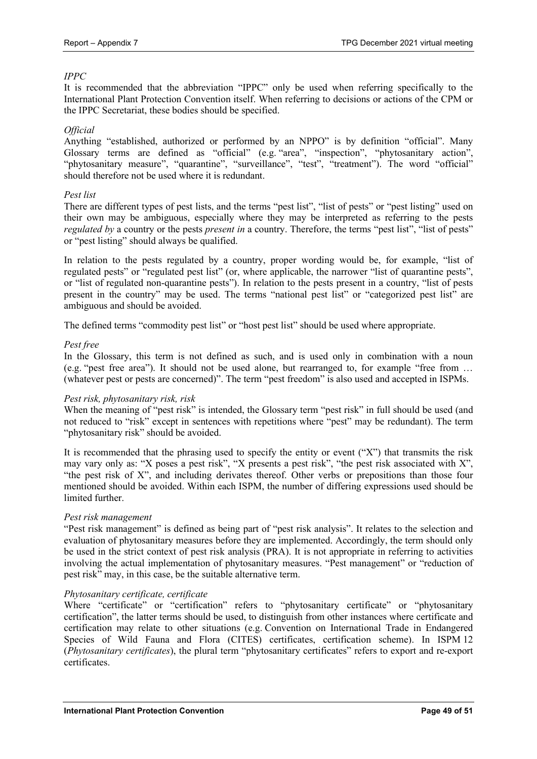# *IPPC*

It is recommended that the abbreviation "IPPC" only be used when referring specifically to the International Plant Protection Convention itself. When referring to decisions or actions of the CPM or the IPPC Secretariat, these bodies should be specified.

# *Official*

Anything "established, authorized or performed by an NPPO" is by definition "official". Many Glossary terms are defined as "official" (e.g. "area", "inspection", "phytosanitary action", "phytosanitary measure", "quarantine", "surveillance", "test", "treatment"). The word "official" should therefore not be used where it is redundant.

# *Pest list*

There are different types of pest lists, and the terms "pest list", "list of pests" or "pest listing" used on their own may be ambiguous, especially where they may be interpreted as referring to the pests *regulated by* a country or the pests *present in* a country. Therefore, the terms "pest list", "list of pests" or "pest listing" should always be qualified.

In relation to the pests regulated by a country, proper wording would be, for example, "list of regulated pests" or "regulated pest list" (or, where applicable, the narrower "list of quarantine pests", or "list of regulated non-quarantine pests"). In relation to the pests present in a country, "list of pests present in the country" may be used. The terms "national pest list" or "categorized pest list" are ambiguous and should be avoided.

The defined terms "commodity pest list" or "host pest list" should be used where appropriate.

# *Pest free*

In the Glossary, this term is not defined as such, and is used only in combination with a noun (e.g. "pest free area"). It should not be used alone, but rearranged to, for example "free from … (whatever pest or pests are concerned)". The term "pest freedom" is also used and accepted in ISPMs.

# *Pest risk, phytosanitary risk, risk*

When the meaning of "pest risk" is intended, the Glossary term "pest risk" in full should be used (and not reduced to "risk" except in sentences with repetitions where "pest" may be redundant). The term "phytosanitary risk" should be avoided.

It is recommended that the phrasing used to specify the entity or event ("X") that transmits the risk may vary only as: "X poses a pest risk", "X presents a pest risk", "the pest risk associated with X", "the pest risk of X", and including derivates thereof. Other verbs or prepositions than those four mentioned should be avoided. Within each ISPM, the number of differing expressions used should be limited further.

# *Pest risk management*

"Pest risk management" is defined as being part of "pest risk analysis". It relates to the selection and evaluation of phytosanitary measures before they are implemented. Accordingly, the term should only be used in the strict context of pest risk analysis (PRA). It is not appropriate in referring to activities involving the actual implementation of phytosanitary measures. "Pest management" or "reduction of pest risk" may, in this case, be the suitable alternative term.

# *Phytosanitary certificate, certificate*

Where "certificate" or "certification" refers to "phytosanitary certificate" or "phytosanitary certification", the latter terms should be used, to distinguish from other instances where certificate and certification may relate to other situations (e.g. Convention on International Trade in Endangered Species of Wild Fauna and Flora (CITES) certificates, certification scheme). In ISPM 12 (*Phytosanitary certificates*), the plural term "phytosanitary certificates" refers to export and re-export certificates.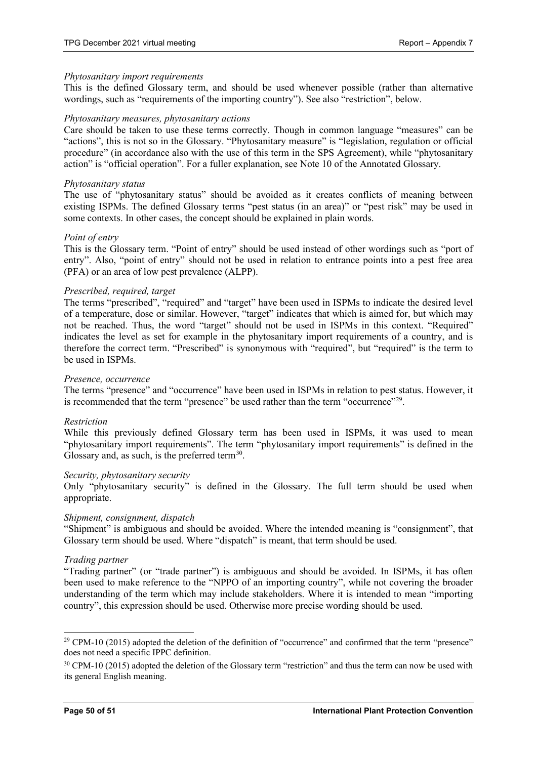#### *Phytosanitary import requirements*

This is the defined Glossary term, and should be used whenever possible (rather than alternative wordings, such as "requirements of the importing country"). See also "restriction", below.

#### *Phytosanitary measures, phytosanitary actions*

Care should be taken to use these terms correctly. Though in common language "measures" can be "actions", this is not so in the Glossary. "Phytosanitary measure" is "legislation, regulation or official procedure" (in accordance also with the use of this term in the SPS Agreement), while "phytosanitary action" is "official operation". For a fuller explanation, see Note 10 of the Annotated Glossary.

#### *Phytosanitary status*

The use of "phytosanitary status" should be avoided as it creates conflicts of meaning between existing ISPMs. The defined Glossary terms "pest status (in an area)" or "pest risk" may be used in some contexts. In other cases, the concept should be explained in plain words.

#### *Point of entry*

This is the Glossary term. "Point of entry" should be used instead of other wordings such as "port of entry". Also, "point of entry" should not be used in relation to entrance points into a pest free area (PFA) or an area of low pest prevalence (ALPP).

#### *Prescribed, required, target*

The terms "prescribed", "required" and "target" have been used in ISPMs to indicate the desired level of a temperature, dose or similar. However, "target" indicates that which is aimed for, but which may not be reached. Thus, the word "target" should not be used in ISPMs in this context. "Required" indicates the level as set for example in the phytosanitary import requirements of a country, and is therefore the correct term. "Prescribed" is synonymous with "required", but "required" is the term to be used in ISPMs.

#### *Presence, occurrence*

The terms "presence" and "occurrence" have been used in ISPMs in relation to pest status. However, it is recommended that the term "presence" be used rather than the term "occurrence"<sup>[29](#page-49-0)</sup>.

#### *Restriction*

While this previously defined Glossary term has been used in ISPMs, it was used to mean "phytosanitary import requirements". The term "phytosanitary import requirements" is defined in the Glossary and, as such, is the preferred term $^{30}$ .

#### *Security, phytosanitary security*

Only "phytosanitary security" is defined in the Glossary. The full term should be used when appropriate.

# *Shipment, consignment, dispatch*

"Shipment" is ambiguous and should be avoided. Where the intended meaning is "consignment", that Glossary term should be used. Where "dispatch" is meant, that term should be used.

#### *Trading partner*

"Trading partner" (or "trade partner") is ambiguous and should be avoided. In ISPMs, it has often been used to make reference to the "NPPO of an importing country", while not covering the broader understanding of the term which may include stakeholders. Where it is intended to mean "importing country", this expression should be used. Otherwise more precise wording should be used.

<span id="page-49-0"></span><sup>&</sup>lt;sup>29</sup> CPM-10 (2015) adopted the deletion of the definition of "occurrence" and confirmed that the term "presence" does not need a specific IPPC definition.

<span id="page-49-1"></span> $30$  CPM-10 (2015) adopted the deletion of the Glossary term "restriction" and thus the term can now be used with its general English meaning.